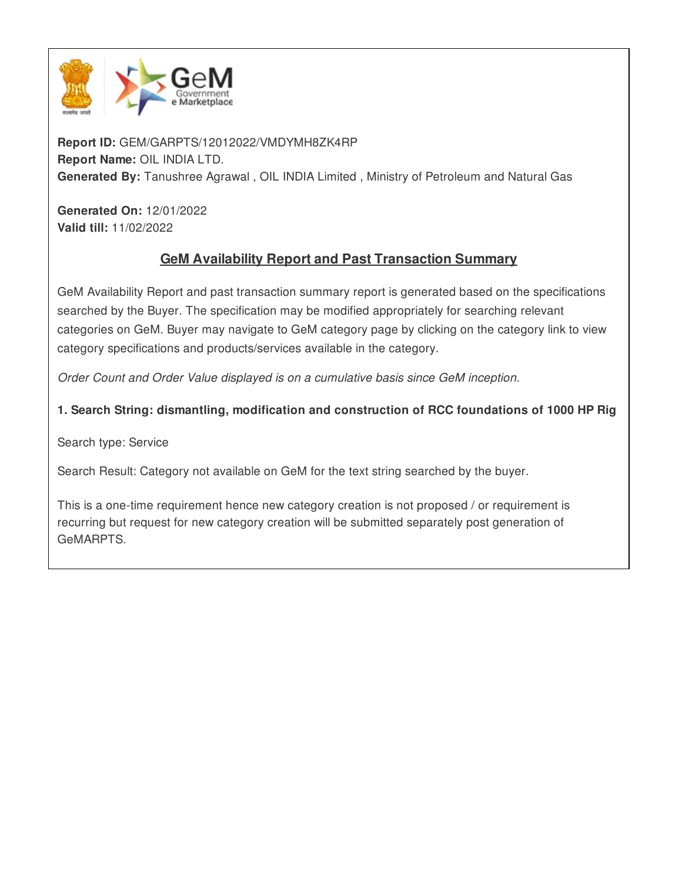

**Report ID:** GEM/GARPTS/12012022/VMDYMH8ZK4RP **Report Name:** OIL INDIA LTD. **Generated By:** Tanushree Agrawal , OIL INDIA Limited , Ministry of Petroleum and Natural Gas

**Generated On:** 12/01/2022 **Valid till:** 11/02/2022

# **GeM Availability Report and Past Transaction Summary**

GeM Availability Report and past transaction summary report is generated based on the specifications searched by the Buyer. The specification may be modified appropriately for searching relevant categories on GeM. Buyer may navigate to GeM category page by clicking on the category link to view category specifications and products/services available in the category.

*Order Count and Order Value displayed is on a cumulative basis since GeM inception.*

**1. Search String: dismantling, modification and construction of RCC foundations of 1000 HP Rig**

Search type: Service

Search Result: Category not available on GeM for the text string searched by the buyer.

This is a one-time requirement hence new category creation is not proposed / or requirement is recurring but request for new category creation will be submitted separately post generation of GeMARPTS.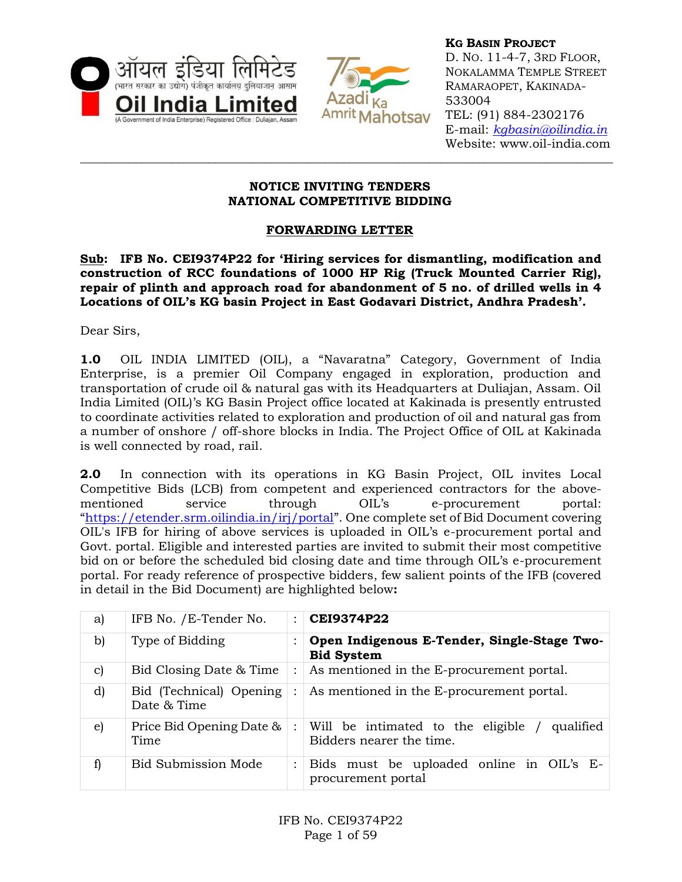



**KG BASIN PROJECT** D. NO. 11-4-7, 3RD FLOOR, NOKALAMMA TEMPLE STREET RAMARAOPET, KAKINADA-533004 TEL: (91) 884-2302176 E-mail: *[kgbasin@oilindia.in](mailto:contracts@oil.asm.nic.in)* Website: www.oil-india.com

### **NOTICE INVITING TENDERS NATIONAL COMPETITIVE BIDDING**

**\_\_\_\_\_\_\_\_\_\_\_\_\_\_\_\_\_\_\_\_\_\_\_\_\_\_\_\_\_\_\_\_\_\_\_\_\_\_\_\_\_\_\_\_\_\_\_\_\_\_\_\_\_\_\_\_\_\_\_\_\_\_\_\_\_\_\_\_\_\_\_\_\_\_\_\_\_\_\_\_\_\_\_\_\_\_\_**

## **FORWARDING LETTER**

**Sub: IFB No. CEI9374P22 for 'Hiring services for dismantling, modification and construction of RCC foundations of 1000 HP Rig (Truck Mounted Carrier Rig), repair of plinth and approach road for abandonment of 5 no. of drilled wells in 4 Locations of OIL's KG basin Project in East Godavari District, Andhra Pradesh'.**

Dear Sirs,

**1.0** OIL INDIA LIMITED (OIL), a "Navaratna" Category, Government of India Enterprise, is a premier Oil Company engaged in exploration, production and transportation of crude oil & natural gas with its Headquarters at Duliajan, Assam. Oil India Limited (OIL)'s KG Basin Project office located at Kakinada is presently entrusted to coordinate activities related to exploration and production of oil and natural gas from a number of onshore / off-shore blocks in India. The Project Office of OIL at Kakinada is well connected by road, rail.

**2.0** In connection with its operations in KG Basin Project, OIL invites Local Competitive Bids (LCB) from competent and experienced contractors for the abovementioned service through OIL's e-procurement portal: "<https://etender.srm.oilindia.in/irj/portal>". One complete set of Bid Document covering OIL's IFB for hiring of above services is uploaded in OIL's e-procurement portal and Govt. portal. Eligible and interested parties are invited to submit their most competitive bid on or before the scheduled bid closing date and time through OIL's e-procurement portal. For ready reference of prospective bidders, few salient points of the IFB (covered in detail in the Bid Document) are highlighted below**:**

| a)            | IFB No. / E-Tender No.                 | $\ddot{\phantom{a}}$ | <b>CEI9374P22</b>                                                            |
|---------------|----------------------------------------|----------------------|------------------------------------------------------------------------------|
| b)            | Type of Bidding                        | $\bullet$            | Open Indigenous E-Tender, Single-Stage Two-<br><b>Bid System</b>             |
| $\mathbf{c})$ | Bid Closing Date & Time                | $\ddot{\cdot}$       | As mentioned in the E-procurement portal.                                    |
| d)            | Bid (Technical) Opening<br>Date & Time | $\ddot{\cdot}$       | As mentioned in the E-procurement portal.                                    |
| e)            | Price Bid Opening Date &<br>Time       |                      | Will be intimated to the eligible /<br>qualified<br>Bidders nearer the time. |
| f)            | <b>Bid Submission Mode</b>             | $\ddot{\cdot}$       | Bids must be uploaded online in OIL's E-<br>procurement portal               |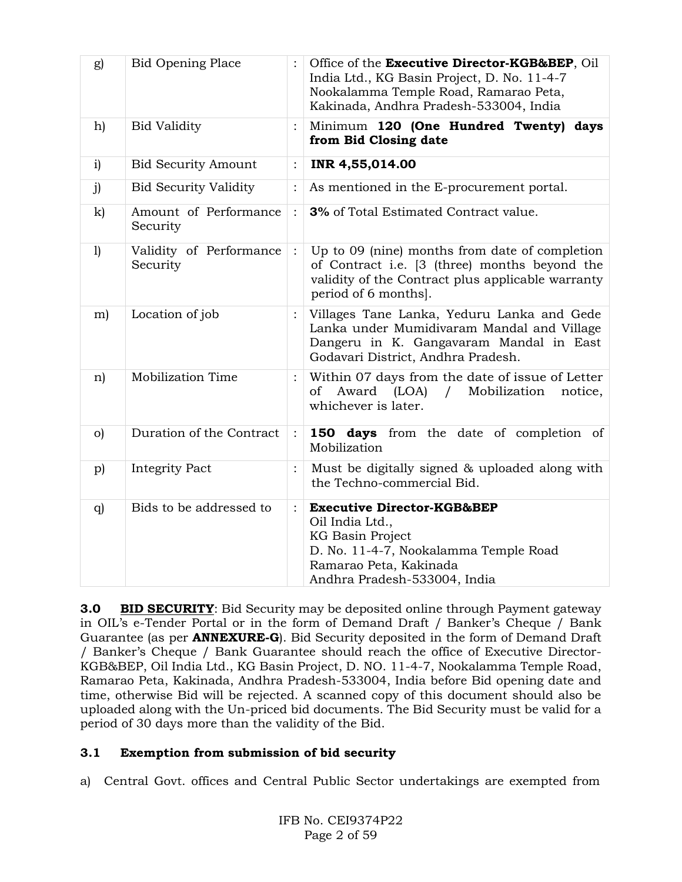| g)           | <b>Bid Opening Place</b>            |                | Office of the Executive Director-KGB&BEP, Oil<br>India Ltd., KG Basin Project, D. No. 11-4-7<br>Nookalamma Temple Road, Ramarao Peta,<br>Kakinada, Andhra Pradesh-533004, India |  |
|--------------|-------------------------------------|----------------|---------------------------------------------------------------------------------------------------------------------------------------------------------------------------------|--|
| h)           | <b>Bid Validity</b>                 |                | Minimum 120 (One Hundred Twenty)<br>days<br>from Bid Closing date                                                                                                               |  |
| i)           | <b>Bid Security Amount</b>          | :              | INR 4,55,014.00                                                                                                                                                                 |  |
| j)           | <b>Bid Security Validity</b>        | $\ddot{\cdot}$ | As mentioned in the E-procurement portal.                                                                                                                                       |  |
| $\mathbf{k}$ | Amount of Performance<br>Security   | $\ddot{\cdot}$ | 3% of Total Estimated Contract value.                                                                                                                                           |  |
| 1)           | Validity of Performance<br>Security | $\ddot{\cdot}$ | Up to 09 (nine) months from date of completion<br>of Contract i.e. [3 (three) months beyond the<br>validity of the Contract plus applicable warranty<br>period of 6 months].    |  |
| m)           | Location of job                     |                | Villages Tane Lanka, Yeduru Lanka and Gede<br>Lanka under Mumidivaram Mandal and Village<br>Dangeru in K. Gangavaram Mandal in East<br>Godavari District, Andhra Pradesh.       |  |
| n)           | Mobilization Time                   |                | Within 07 days from the date of issue of Letter<br>Award (LOA) /<br>Mobilization<br>of<br>notice,<br>whichever is later.                                                        |  |
| $\circ$ )    | Duration of the Contract            | $\ddot{\cdot}$ | 150 days from the date of completion of<br>Mobilization                                                                                                                         |  |
| p)           | <b>Integrity Pact</b>               |                | Must be digitally signed & uploaded along with<br>the Techno-commercial Bid.                                                                                                    |  |
| q)           | Bids to be addressed to             | $\ddot{\cdot}$ | <b>Executive Director-KGB&amp;BEP</b><br>Oil India Ltd.,<br>KG Basin Project<br>D. No. 11-4-7, Nookalamma Temple Road<br>Ramarao Peta, Kakinada<br>Andhra Pradesh-533004, India |  |

**3.0 BID SECURITY**: Bid Security may be deposited online through Payment gateway in OIL's e-Tender Portal or in the form of Demand Draft / Banker's Cheque / Bank Guarantee (as per **ANNEXURE-G**). Bid Security deposited in the form of Demand Draft / Banker's Cheque / Bank Guarantee should reach the office of Executive Director-KGB&BEP, Oil India Ltd., KG Basin Project, D. NO. 11-4-7, Nookalamma Temple Road, Ramarao Peta, Kakinada, Andhra Pradesh-533004, India before Bid opening date and time, otherwise Bid will be rejected. A scanned copy of this document should also be uploaded along with the Un-priced bid documents. The Bid Security must be valid for a period of 30 days more than the validity of the Bid.

## **3.1 Exemption from submission of bid security**

a) Central Govt. offices and Central Public Sector undertakings are exempted from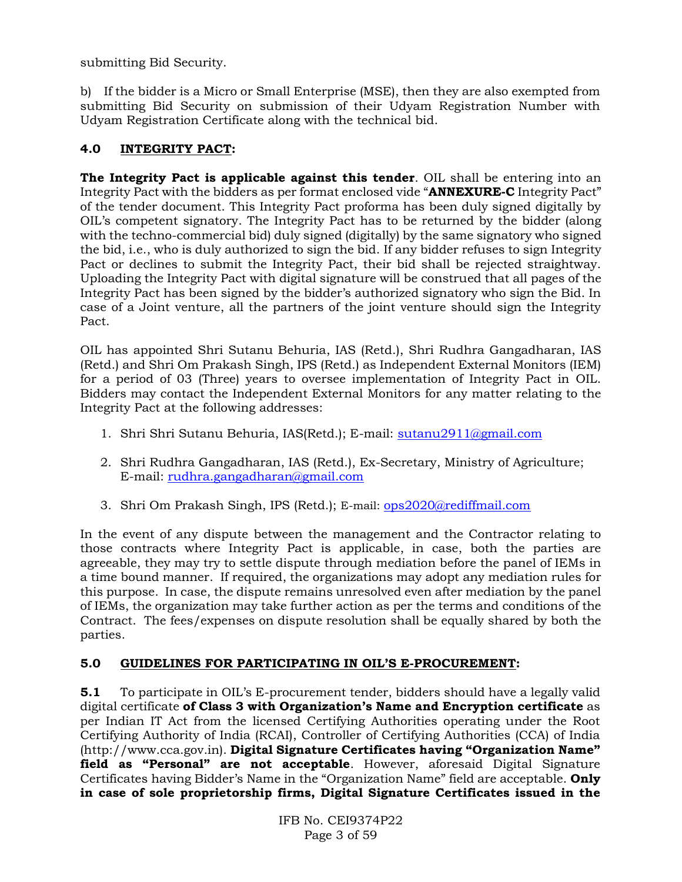submitting Bid Security.

b) If the bidder is a Micro or Small Enterprise (MSE), then they are also exempted from submitting Bid Security on submission of their Udyam Registration Number with Udyam Registration Certificate along with the technical bid.

## **4.0 INTEGRITY PACT:**

**The Integrity Pact is applicable against this tender**. OIL shall be entering into an Integrity Pact with the bidders as per format enclosed vide "**ANNEXURE-C** Integrity Pact" of the tender document. This Integrity Pact proforma has been duly signed digitally by OIL's competent signatory. The Integrity Pact has to be returned by the bidder (along with the techno-commercial bid) duly signed (digitally) by the same signatory who signed the bid, i.e., who is duly authorized to sign the bid. If any bidder refuses to sign Integrity Pact or declines to submit the Integrity Pact, their bid shall be rejected straightway. Uploading the Integrity Pact with digital signature will be construed that all pages of the Integrity Pact has been signed by the bidder's authorized signatory who sign the Bid. In case of a Joint venture, all the partners of the joint venture should sign the Integrity Pact.

OIL has appointed Shri Sutanu Behuria, IAS (Retd.), Shri Rudhra Gangadharan, IAS (Retd.) and Shri Om Prakash Singh, IPS (Retd.) as Independent External Monitors (IEM) for a period of 03 (Three) years to oversee implementation of Integrity Pact in OIL. Bidders may contact the Independent External Monitors for any matter relating to the Integrity Pact at the following addresses:

- 1. Shri Shri Sutanu Behuria, IAS(Retd.); E-mail: [sutanu2911@gmail.com](mailto:sutanu2911@gmail.com)
- 2. Shri Rudhra Gangadharan, IAS (Retd.), Ex-Secretary, Ministry of Agriculture; E-mail: [rudhra.gangadharan@gmail.com](mailto:rudhra.gangadharan@gmail.com)
- 3. Shri Om Prakash Singh, IPS (Retd.); E-mail: [ops2020@rediffmail.com](mailto:ops2020@rediffmail.com)

In the event of any dispute between the management and the Contractor relating to those contracts where Integrity Pact is applicable, in case, both the parties are agreeable, they may try to settle dispute through mediation before the panel of IEMs in a time bound manner. If required, the organizations may adopt any mediation rules for this purpose. In case, the dispute remains unresolved even after mediation by the panel of IEMs, the organization may take further action as per the terms and conditions of the Contract. The fees/expenses on dispute resolution shall be equally shared by both the parties.

## **5.0 GUIDELINES FOR PARTICIPATING IN OIL'S E-PROCUREMENT:**

**5.1** To participate in OIL's E-procurement tender, bidders should have a legally valid digital certificate **of Class 3 with Organization's Name and Encryption certificate** as per Indian IT Act from the licensed Certifying Authorities operating under the Root Certifying Authority of India (RCAI), Controller of Certifying Authorities (CCA) of India (http://www.cca.gov.in). **Digital Signature Certificates having "Organization Name" field as "Personal" are not acceptable**. However, aforesaid Digital Signature Certificates having Bidder's Name in the "Organization Name" field are acceptable. **Only in case of sole proprietorship firms, Digital Signature Certificates issued in the**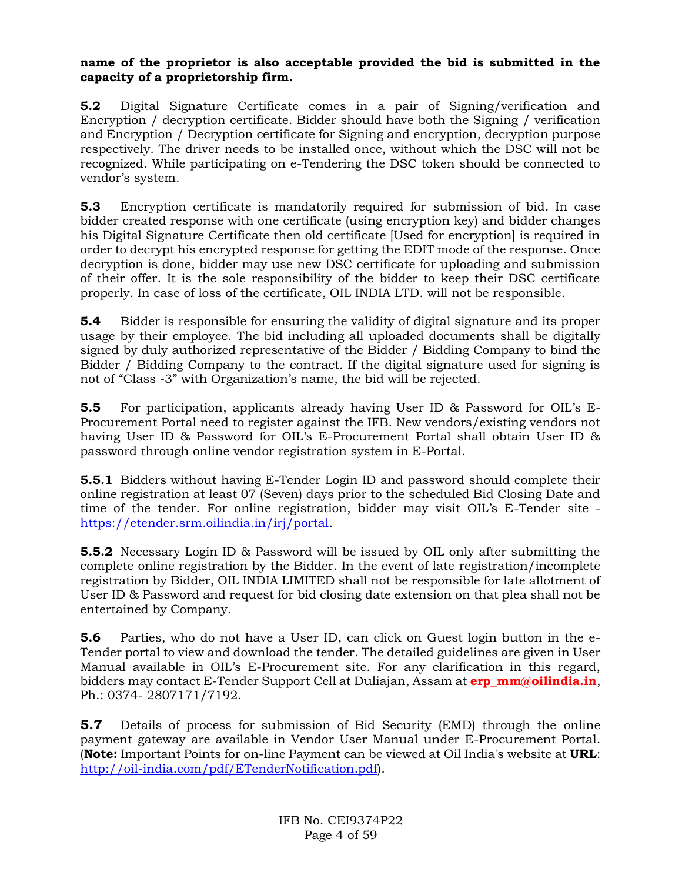### **name of the proprietor is also acceptable provided the bid is submitted in the capacity of a proprietorship firm.**

**5.2** Digital Signature Certificate comes in a pair of Signing/verification and Encryption / decryption certificate. Bidder should have both the Signing / verification and Encryption / Decryption certificate for Signing and encryption, decryption purpose respectively. The driver needs to be installed once, without which the DSC will not be recognized. While participating on e-Tendering the DSC token should be connected to vendor's system.

**5.3** Encryption certificate is mandatorily required for submission of bid. In case bidder created response with one certificate (using encryption key) and bidder changes his Digital Signature Certificate then old certificate [Used for encryption] is required in order to decrypt his encrypted response for getting the EDIT mode of the response. Once decryption is done, bidder may use new DSC certificate for uploading and submission of their offer. It is the sole responsibility of the bidder to keep their DSC certificate properly. In case of loss of the certificate, OIL INDIA LTD. will not be responsible.

**5.4** Bidder is responsible for ensuring the validity of digital signature and its proper usage by their employee. The bid including all uploaded documents shall be digitally signed by duly authorized representative of the Bidder / Bidding Company to bind the Bidder / Bidding Company to the contract. If the digital signature used for signing is not of "Class -3" with Organization's name, the bid will be rejected.

**5.5** For participation, applicants already having User ID & Password for OIL's E-Procurement Portal need to register against the IFB. New vendors/existing vendors not having User ID & Password for OIL's E-Procurement Portal shall obtain User ID & password through online vendor registration system in E-Portal.

**5.5.1** Bidders without having E-Tender Login ID and password should complete their online registration at least 07 (Seven) days prior to the scheduled Bid Closing Date and time of the tender. For online registration, bidder may visit OIL's E-Tender site [https://etender.srm.oilindia.in/irj/portal.](https://etender.srm.oilindia.in/irj/portal)

**5.5.2** Necessary Login ID & Password will be issued by OIL only after submitting the complete online registration by the Bidder. In the event of late registration/incomplete registration by Bidder, OIL INDIA LIMITED shall not be responsible for late allotment of User ID & Password and request for bid closing date extension on that plea shall not be entertained by Company.

**5.6** Parties, who do not have a User ID, can click on Guest login button in the e-Tender portal to view and download the tender. The detailed guidelines are given in User Manual available in OIL's E-Procurement site. For any clarification in this regard, bidders may contact E-Tender Support Cell at Duliajan, Assam at **erp\_mm@oilindia.in**, Ph.: 0374- 2807171/7192.

**5.7** Details of process for submission of Bid Security (EMD) through the online payment gateway are available in Vendor User Manual under E-Procurement Portal. (**Note:** Important Points for on-line Payment can be viewed at Oil India's website at **URL**: [http://oil-india.com/pdf/ETenderNotification.pdf\)](http://oil-india.com/pdf/ETenderNotification.pdf).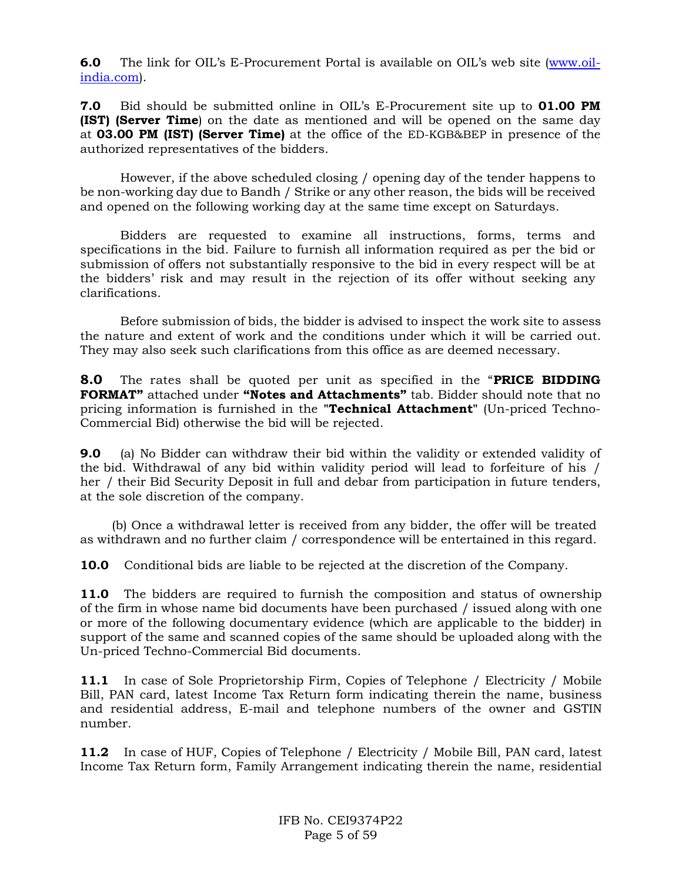**6.0** The link for OIL's E-Procurement Portal is available on OIL's web site [\(www.oil](http://www.oil-india.com/)[india.com\)](http://www.oil-india.com/).

**7.0** Bid should be submitted online in OIL's E-Procurement site up to **01.00 PM (IST) (Server Time**) on the date as mentioned and will be opened on the same day at **03.00 PM (IST) (Server Time)** at the office of the ED-KGB&BEP in presence of the authorized representatives of the bidders.

However, if the above scheduled closing / opening day of the tender happens to be non-working day due to Bandh / Strike or any other reason, the bids will be received and opened on the following working day at the same time except on Saturdays.

Bidders are requested to examine all instructions, forms, terms and specifications in the bid. Failure to furnish all information required as per the bid or submission of offers not substantially responsive to the bid in every respect will be at the bidders' risk and may result in the rejection of its offer without seeking any clarifications.

Before submission of bids, the bidder is advised to inspect the work site to assess the nature and extent of work and the conditions under which it will be carried out. They may also seek such clarifications from this office as are deemed necessary.

**8.0** The rates shall be quoted per unit as specified in the "**PRICE BIDDING FORMAT"** attached under **"Notes and Attachments"** tab. Bidder should note that no pricing information is furnished in the **"Technical Attachment"** (Un-priced Techno-Commercial Bid) otherwise the bid will be rejected.

**9.0** (a) No Bidder can withdraw their bid within the validity or extended validity of the bid. Withdrawal of any bid within validity period will lead to forfeiture of his / her / their Bid Security Deposit in full and debar from participation in future tenders, at the sole discretion of the company.

 (b) Once a withdrawal letter is received from any bidder, the offer will be treated as withdrawn and no further claim / correspondence will be entertained in this regard.

**10.0** Conditional bids are liable to be rejected at the discretion of the Company.

**11.0** The bidders are required to furnish the composition and status of ownership of the firm in whose name bid documents have been purchased / issued along with one or more of the following documentary evidence (which are applicable to the bidder) in support of the same and scanned copies of the same should be uploaded along with the Un-priced Techno-Commercial Bid documents.

**11.1** In case of Sole Proprietorship Firm, Copies of Telephone / Electricity / Mobile Bill, PAN card, latest Income Tax Return form indicating therein the name, business and residential address, E-mail and telephone numbers of the owner and GSTIN number.

**11.2** In case of HUF, Copies of Telephone / Electricity / Mobile Bill, PAN card, latest Income Tax Return form, Family Arrangement indicating therein the name, residential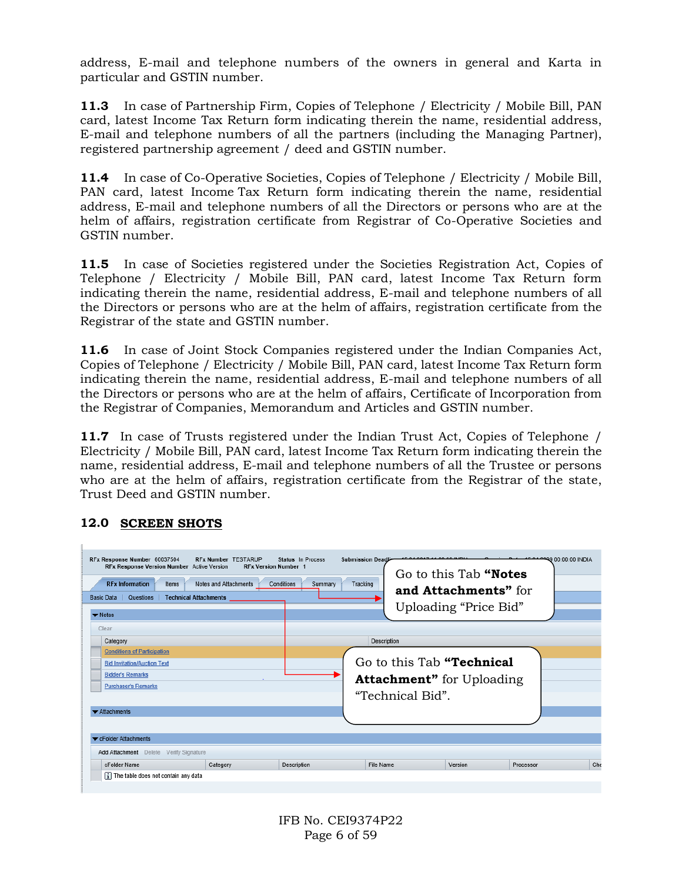address, E-mail and telephone numbers of the owners in general and Karta in particular and GSTIN number.

**11.3** In case of Partnership Firm, Copies of Telephone / Electricity / Mobile Bill, PAN card, latest Income Tax Return form indicating therein the name, residential address, E-mail and telephone numbers of all the partners (including the Managing Partner), registered partnership agreement / deed and GSTIN number.

**11.4** In case of Co-Operative Societies, Copies of Telephone / Electricity / Mobile Bill, PAN card, latest Income Tax Return form indicating therein the name, residential address, E-mail and telephone numbers of all the Directors or persons who are at the helm of affairs, registration certificate from Registrar of Co-Operative Societies and GSTIN number.

**11.5** In case of Societies registered under the Societies Registration Act, Copies of Telephone / Electricity / Mobile Bill, PAN card, latest Income Tax Return form indicating therein the name, residential address, E-mail and telephone numbers of all the Directors or persons who are at the helm of affairs, registration certificate from the Registrar of the state and GSTIN number.

**11.6** In case of Joint Stock Companies registered under the Indian Companies Act, Copies of Telephone / Electricity / Mobile Bill, PAN card, latest Income Tax Return form indicating therein the name, residential address, E-mail and telephone numbers of all the Directors or persons who are at the helm of affairs, Certificate of Incorporation from the Registrar of Companies, Memorandum and Articles and GSTIN number.

**11.7** In case of Trusts registered under the Indian Trust Act, Copies of Telephone / Electricity / Mobile Bill, PAN card, latest Income Tax Return form indicating therein the name, residential address, E-mail and telephone numbers of all the Trustee or persons who are at the helm of affairs, registration certificate from the Registrar of the state, Trust Deed and GSTIN number.

| RFx Response Number 60037504<br>RFx Response Version Number Active Version<br><b>RFx Information</b><br>Items<br>Questions<br><b>Technical Attachments</b><br><b>Basic Data</b><br>$\blacktriangleright$ Notes<br>Clear<br>Category | <b>RFx Number TESTARUP</b><br><b>RFx Version Number 1</b><br>Notes and Attachments<br>Conditions | Status In Process<br>Tracking<br>Summary                                          | LE 04 3047 44-00-00 INDI<br>Submission Deadline<br>Description | Go to this Tab "Notes<br>and Attachments" for<br>Uploading "Price Bid" | Dota 45 04 00:00:00 INDIA |
|-------------------------------------------------------------------------------------------------------------------------------------------------------------------------------------------------------------------------------------|--------------------------------------------------------------------------------------------------|-----------------------------------------------------------------------------------|----------------------------------------------------------------|------------------------------------------------------------------------|---------------------------|
| <b>Conditions of Participation</b><br><b>Bid Invitation/Auction Text</b><br><b>Bidder's Remarks</b><br><b>Purchaser's Remarks</b><br>$\blacktriangleright$ Attachments                                                              |                                                                                                  | Go to this Tab "Technical<br><b>Attachment"</b> for Uploading<br>"Technical Bid". |                                                                |                                                                        |                           |
| ▼ cFolder Attachments<br>Add Attachment Delete Verify Signature<br>cFolder Name                                                                                                                                                     | Category                                                                                         | Description                                                                       | File Name                                                      | Version                                                                | Che<br>Processor          |

## **12.0 SCREEN SHOTS**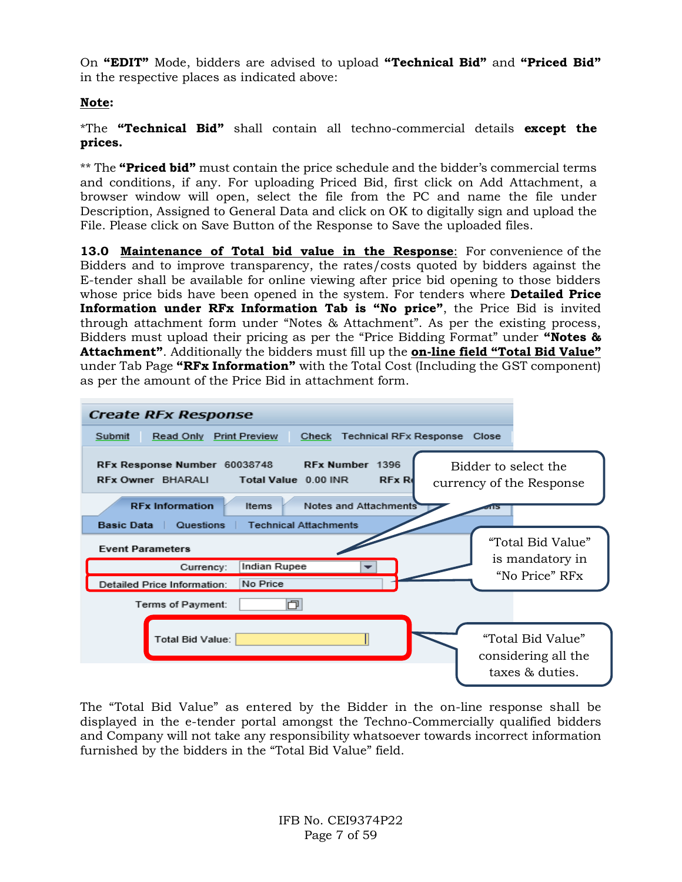On **"EDIT"** Mode, bidders are advised to upload **"Technical Bid"** and **"Priced Bid"** in the respective places as indicated above:

## **Note:**

\*The **"Technical Bid"** shall contain all techno-commercial details **except the prices.**

\*\* The **"Priced bid"** must contain the price schedule and the bidder's commercial terms and conditions, if any. For uploading Priced Bid, first click on Add Attachment, a browser window will open, select the file from the PC and name the file under Description, Assigned to General Data and click on OK to digitally sign and upload the File. Please click on Save Button of the Response to Save the uploaded files.

**13.0 Maintenance of Total bid value in the Response**: For convenience of the Bidders and to improve transparency, the rates/costs quoted by bidders against the E-tender shall be available for online viewing after price bid opening to those bidders whose price bids have been opened in the system. For tenders where **Detailed Price Information under RFx Information Tab is "No price"**, the Price Bid is invited through attachment form under "Notes & Attachment". As per the existing process, Bidders must upload their pricing as per the "Price Bidding Format" under **"Notes & Attachment"**. Additionally the bidders must fill up the **on-line field "Total Bid Value"** under Tab Page **"RFx Information"** with the Total Cost (Including the GST component) as per the amount of the Price Bid in attachment form.



The "Total Bid Value" as entered by the Bidder in the on-line response shall be displayed in the e-tender portal amongst the Techno-Commercially qualified bidders and Company will not take any responsibility whatsoever towards incorrect information furnished by the bidders in the "Total Bid Value" field.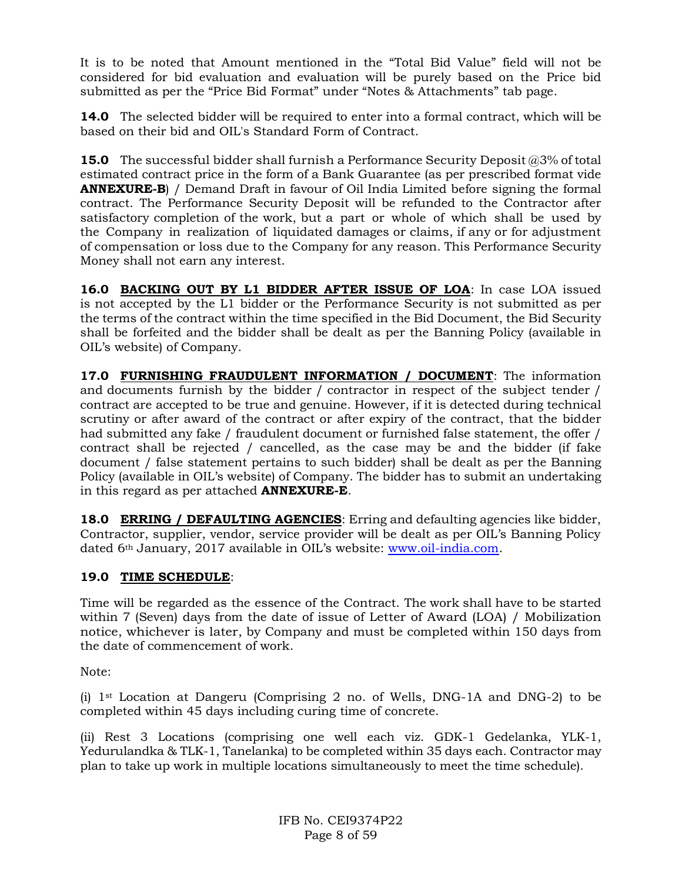It is to be noted that Amount mentioned in the "Total Bid Value" field will not be considered for bid evaluation and evaluation will be purely based on the Price bid submitted as per the "Price Bid Format" under "Notes & Attachments" tab page.

**14.0** The selected bidder will be required to enter into a formal contract, which will be based on their bid and OIL's Standard Form of Contract.

**15.0** The successful bidder shall furnish a Performance Security Deposit @3% of total estimated contract price in the form of a Bank Guarantee (as per prescribed format vide **ANNEXURE-B**) / Demand Draft in favour of Oil India Limited before signing the formal contract. The Performance Security Deposit will be refunded to the Contractor after satisfactory completion of the work, but a part or whole of which shall be used by the Company in realization of liquidated damages or claims, if any or for adjustment of compensation or loss due to the Company for any reason. This Performance Security Money shall not earn any interest.

**16.0 BACKING OUT BY L1 BIDDER AFTER ISSUE OF LOA**: In case LOA issued is not accepted by the L1 bidder or the Performance Security is not submitted as per the terms of the contract within the time specified in the Bid Document, the Bid Security shall be forfeited and the bidder shall be dealt as per the Banning Policy (available in OIL's website) of Company.

**17.0 FURNISHING FRAUDULENT INFORMATION / DOCUMENT**: The information and documents furnish by the bidder / contractor in respect of the subject tender / contract are accepted to be true and genuine. However, if it is detected during technical scrutiny or after award of the contract or after expiry of the contract, that the bidder had submitted any fake / fraudulent document or furnished false statement, the offer / contract shall be rejected / cancelled, as the case may be and the bidder (if fake document / false statement pertains to such bidder) shall be dealt as per the Banning Policy (available in OIL's website) of Company. The bidder has to submit an undertaking in this regard as per attached **ANNEXURE-E**.

**18.0 ERRING / DEFAULTING AGENCIES**: Erring and defaulting agencies like bidder, Contractor, supplier, vendor, service provider will be dealt as per OIL's Banning Policy dated 6th January, 2017 available in OIL's website: [www.oil-india.com.](http://www.oil-india.com/)

## **19.0 TIME SCHEDULE**:

Time will be regarded as the essence of the Contract. The work shall have to be started within 7 (Seven) days from the date of issue of Letter of Award (LOA) / Mobilization notice, whichever is later, by Company and must be completed within 150 days from the date of commencement of work.

Note:

(i)  $1<sup>st</sup> Location at Dangeru (Comparising 2 no. of Wells, DNA-1A and DNA-2) to be$ completed within 45 days including curing time of concrete.

(ii) Rest 3 Locations (comprising one well each viz. GDK-1 Gedelanka, YLK-1, Yedurulandka & TLK-1, Tanelanka) to be completed within 35 days each. Contractor may plan to take up work in multiple locations simultaneously to meet the time schedule).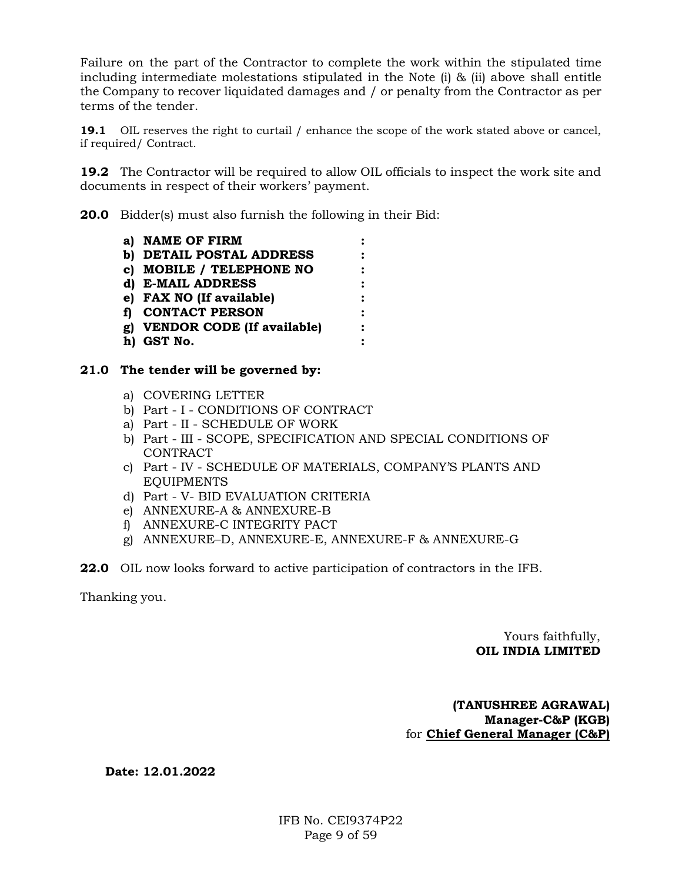Failure on the part of the Contractor to complete the work within the stipulated time including intermediate molestations stipulated in the Note (i) & (ii) above shall entitle the Company to recover liquidated damages and / or penalty from the Contractor as per terms of the tender.

**19.1** OIL reserves the right to curtail / enhance the scope of the work stated above or cancel, if required/ Contract.

**19.2** The Contractor will be required to allow OIL officials to inspect the work site and documents in respect of their workers' payment.

**20.0** Bidder(s) must also furnish the following in their Bid:

- **a) NAME OF FIRM : b) DETAIL POSTAL ADDRESS : c) MOBILE / TELEPHONE NO : d) E-MAIL ADDRESS : e) FAX NO (If available) : f) CONTACT PERSON : g) VENDOR CODE (If available) : h) GST No. :**
- **21.0 The tender will be governed by:**
	- a) COVERING LETTER
	- b) Part I CONDITIONS OF CONTRACT
	- a) Part II SCHEDULE OF WORK
	- b) Part III SCOPE, SPECIFICATION AND SPECIAL CONDITIONS OF CONTRACT
	- c) Part IV SCHEDULE OF MATERIALS, COMPANY'S PLANTS AND EQUIPMENTS
	- d) Part V- BID EVALUATION CRITERIA
	- e) ANNEXURE-A & ANNEXURE-B
	- f) ANNEXURE-C INTEGRITY PACT
	- g) ANNEXURE–D, ANNEXURE-E, ANNEXURE-F & ANNEXURE-G
- **22.0** OIL now looks forward to active participation of contractors in the IFB.

Thanking you.

### Yours faithfully,  **OIL INDIA LIMITED**

### **(TANUSHREE AGRAWAL) Manager-C&P (KGB)** for **Chief General Manager (C&P)**

**Date: 12.01.2022**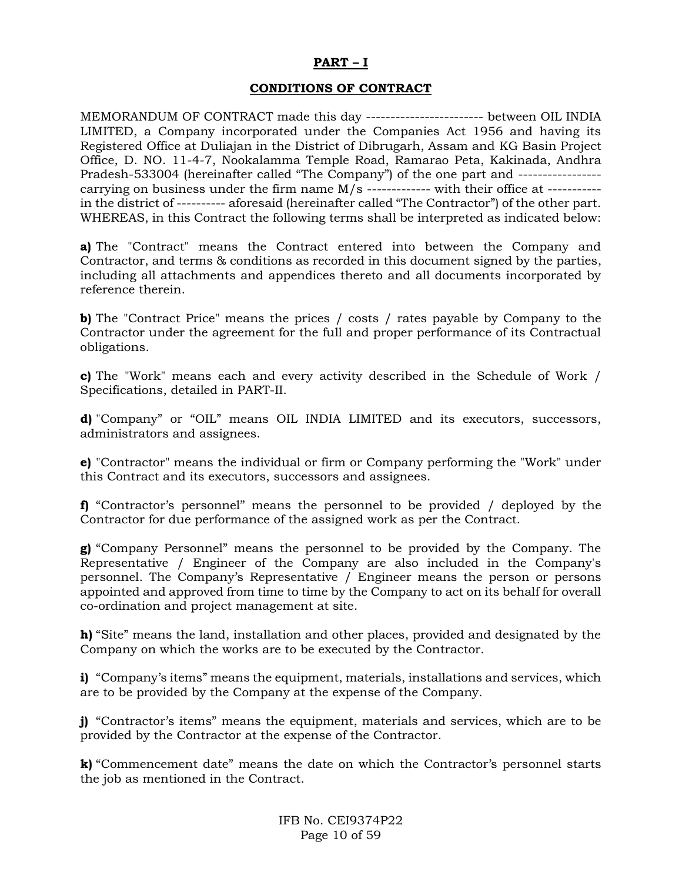#### **PART – I**

### **CONDITIONS OF CONTRACT**

MEMORANDUM OF CONTRACT made this day ------------------------ between OIL INDIA LIMITED, a Company incorporated under the Companies Act 1956 and having its Registered Office at Duliajan in the District of Dibrugarh, Assam and KG Basin Project Office, D. NO. 11-4-7, Nookalamma Temple Road, Ramarao Peta, Kakinada, Andhra Pradesh-533004 (hereinafter called "The Company") of the one part and ---------------- carrying on business under the firm name M/s ------------- with their office at ---------- in the district of ---------- aforesaid (hereinafter called "The Contractor") of the other part. WHEREAS, in this Contract the following terms shall be interpreted as indicated below:

**a)** The "Contract" means the Contract entered into between the Company and Contractor, and terms & conditions as recorded in this document signed by the parties, including all attachments and appendices thereto and all documents incorporated by reference therein.

**b)** The "Contract Price" means the prices / costs / rates payable by Company to the Contractor under the agreement for the full and proper performance of its Contractual obligations.

**c)** The "Work" means each and every activity described in the Schedule of Work / Specifications, detailed in PART-II.

**d)** "Company" or "OIL" means OIL INDIA LIMITED and its executors, successors, administrators and assignees.

**e)** "Contractor" means the individual or firm or Company performing the "Work" under this Contract and its executors, successors and assignees.

**f)** "Contractor's personnel" means the personnel to be provided / deployed by the Contractor for due performance of the assigned work as per the Contract.

**g)** "Company Personnel" means the personnel to be provided by the Company. The Representative / Engineer of the Company are also included in the Company's personnel. The Company's Representative / Engineer means the person or persons appointed and approved from time to time by the Company to act on its behalf for overall co-ordination and project management at site.

**h)** "Site" means the land, installation and other places, provided and designated by the Company on which the works are to be executed by the Contractor.

**i)** "Company's items" means the equipment, materials, installations and services, which are to be provided by the Company at the expense of the Company.

**j)** "Contractor's items" means the equipment, materials and services, which are to be provided by the Contractor at the expense of the Contractor.

**k)** "Commencement date" means the date on which the Contractor's personnel starts the job as mentioned in the Contract.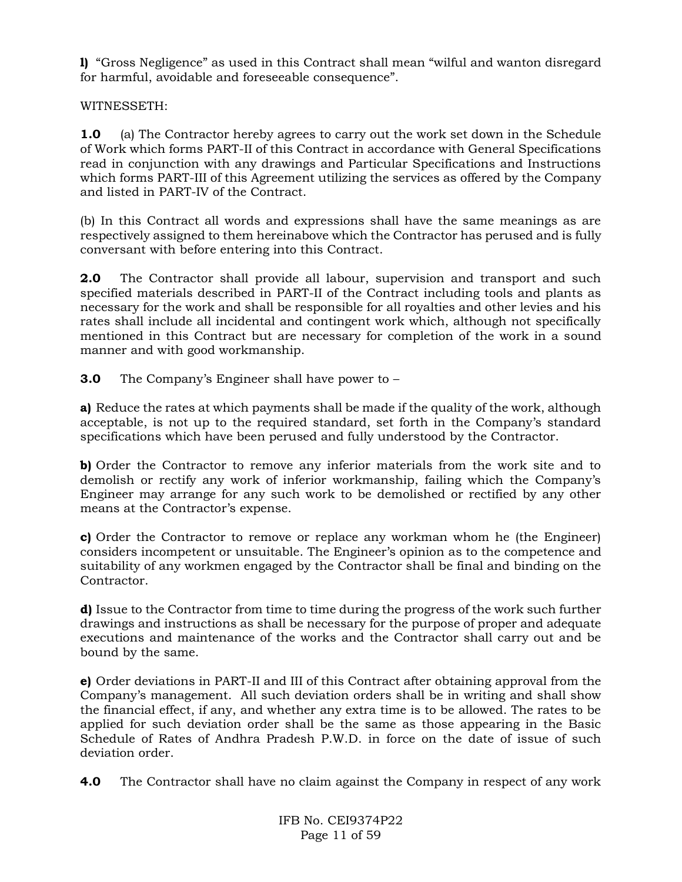**l)** "Gross Negligence" as used in this Contract shall mean "wilful and wanton disregard for harmful, avoidable and foreseeable consequence".

WITNESSETH:

**1.0** (a) The Contractor hereby agrees to carry out the work set down in the Schedule of Work which forms PART-II of this Contract in accordance with General Specifications read in conjunction with any drawings and Particular Specifications and Instructions which forms PART-III of this Agreement utilizing the services as offered by the Company and listed in PART-IV of the Contract.

(b) In this Contract all words and expressions shall have the same meanings as are respectively assigned to them hereinabove which the Contractor has perused and is fully conversant with before entering into this Contract.

**2.0** The Contractor shall provide all labour, supervision and transport and such specified materials described in PART-II of the Contract including tools and plants as necessary for the work and shall be responsible for all royalties and other levies and his rates shall include all incidental and contingent work which, although not specifically mentioned in this Contract but are necessary for completion of the work in a sound manner and with good workmanship.

**3.0** The Company's Engineer shall have power to –

**a)** Reduce the rates at which payments shall be made if the quality of the work, although acceptable, is not up to the required standard, set forth in the Company's standard specifications which have been perused and fully understood by the Contractor.

**b)** Order the Contractor to remove any inferior materials from the work site and to demolish or rectify any work of inferior workmanship, failing which the Company's Engineer may arrange for any such work to be demolished or rectified by any other means at the Contractor's expense.

**c)** Order the Contractor to remove or replace any workman whom he (the Engineer) considers incompetent or unsuitable. The Engineer's opinion as to the competence and suitability of any workmen engaged by the Contractor shall be final and binding on the Contractor.

**d)** Issue to the Contractor from time to time during the progress of the work such further drawings and instructions as shall be necessary for the purpose of proper and adequate executions and maintenance of the works and the Contractor shall carry out and be bound by the same.

**e)** Order deviations in PART-II and III of this Contract after obtaining approval from the Company's management. All such deviation orders shall be in writing and shall show the financial effect, if any, and whether any extra time is to be allowed. The rates to be applied for such deviation order shall be the same as those appearing in the Basic Schedule of Rates of Andhra Pradesh P.W.D. in force on the date of issue of such deviation order.

**4.0** The Contractor shall have no claim against the Company in respect of any work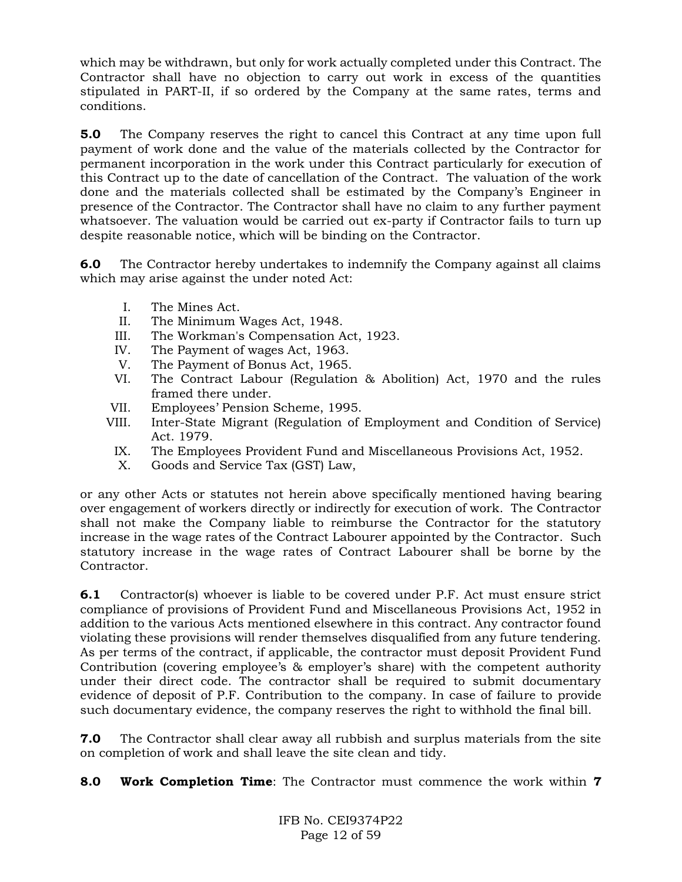which may be withdrawn, but only for work actually completed under this Contract. The Contractor shall have no objection to carry out work in excess of the quantities stipulated in PART-II, if so ordered by the Company at the same rates, terms and conditions.

**5.0** The Company reserves the right to cancel this Contract at any time upon full payment of work done and the value of the materials collected by the Contractor for permanent incorporation in the work under this Contract particularly for execution of this Contract up to the date of cancellation of the Contract. The valuation of the work done and the materials collected shall be estimated by the Company's Engineer in presence of the Contractor. The Contractor shall have no claim to any further payment whatsoever. The valuation would be carried out ex-party if Contractor fails to turn up despite reasonable notice, which will be binding on the Contractor.

**6.0** The Contractor hereby undertakes to indemnify the Company against all claims which may arise against the under noted Act:

- I. The Mines Act.
- II. The Minimum Wages Act, 1948.
- III. The Workman's Compensation Act, 1923.
- IV. The Payment of wages Act, 1963.
- V. The Payment of Bonus Act, 1965.
- VI. The Contract Labour (Regulation & Abolition) Act, 1970 and the rules framed there under.
- VII. Employees' Pension Scheme, 1995.
- VIII. Inter-State Migrant (Regulation of Employment and Condition of Service) Act. 1979.
	- IX. The Employees Provident Fund and Miscellaneous Provisions Act, 1952.
	- X. Goods and Service Tax (GST) Law,

or any other Acts or statutes not herein above specifically mentioned having bearing over engagement of workers directly or indirectly for execution of work. The Contractor shall not make the Company liable to reimburse the Contractor for the statutory increase in the wage rates of the Contract Labourer appointed by the Contractor. Such statutory increase in the wage rates of Contract Labourer shall be borne by the Contractor.

**6.1** Contractor(s) whoever is liable to be covered under P.F. Act must ensure strict compliance of provisions of Provident Fund and Miscellaneous Provisions Act, 1952 in addition to the various Acts mentioned elsewhere in this contract. Any contractor found violating these provisions will render themselves disqualified from any future tendering. As per terms of the contract, if applicable, the contractor must deposit Provident Fund Contribution (covering employee's & employer's share) with the competent authority under their direct code. The contractor shall be required to submit documentary evidence of deposit of P.F. Contribution to the company. In case of failure to provide such documentary evidence, the company reserves the right to withhold the final bill.

**7.0** The Contractor shall clear away all rubbish and surplus materials from the site on completion of work and shall leave the site clean and tidy.

**8.0 Work Completion Time**: The Contractor must commence the work within **7**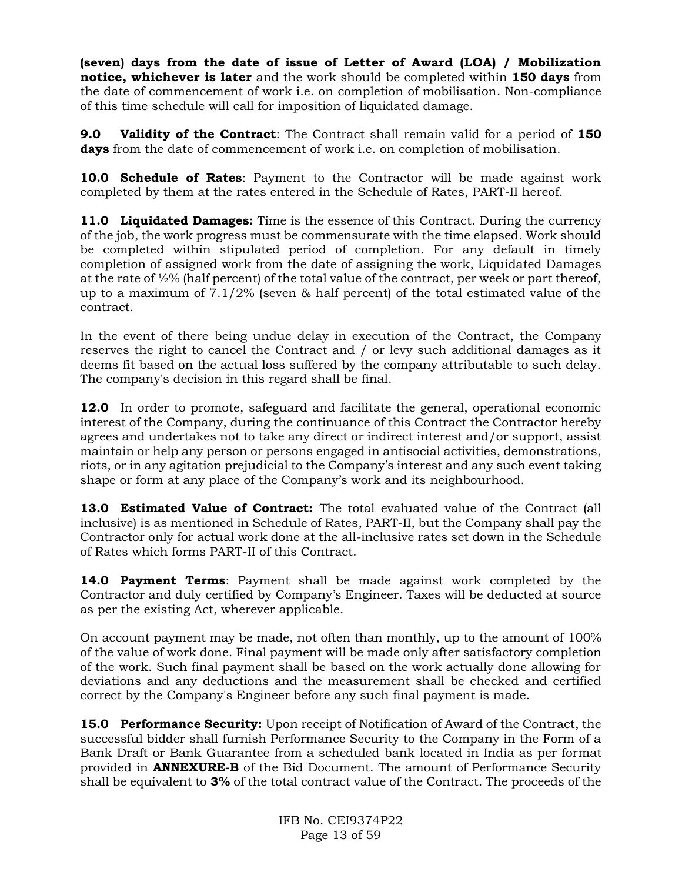**(seven) days from the date of issue of Letter of Award (LOA) / Mobilization notice, whichever is later** and the work should be completed within **150 days** from the date of commencement of work i.e. on completion of mobilisation. Non-compliance of this time schedule will call for imposition of liquidated damage.

**9.0 Validity of the Contract**: The Contract shall remain valid for a period of **150 days** from the date of commencement of work i.e. on completion of mobilisation.

**10.0 Schedule of Rates**: Payment to the Contractor will be made against work completed by them at the rates entered in the Schedule of Rates, PART-II hereof.

**11.0 Liquidated Damages:** Time is the essence of this Contract. During the currency of the job, the work progress must be commensurate with the time elapsed. Work should be completed within stipulated period of completion. For any default in timely completion of assigned work from the date of assigning the work, Liquidated Damages at the rate of  $\frac{1}{2}\%$  (half percent) of the total value of the contract, per week or part thereof, up to a maximum of  $7.1/2\%$  (seven  $\&$  half percent) of the total estimated value of the contract.

In the event of there being undue delay in execution of the Contract, the Company reserves the right to cancel the Contract and / or levy such additional damages as it deems fit based on the actual loss suffered by the company attributable to such delay. The company's decision in this regard shall be final.

**12.0** In order to promote, safeguard and facilitate the general, operational economic interest of the Company, during the continuance of this Contract the Contractor hereby agrees and undertakes not to take any direct or indirect interest and/or support, assist maintain or help any person or persons engaged in antisocial activities, demonstrations, riots, or in any agitation prejudicial to the Company's interest and any such event taking shape or form at any place of the Company's work and its neighbourhood.

**13.0 Estimated Value of Contract:** The total evaluated value of the Contract (all inclusive) is as mentioned in Schedule of Rates, PART-II, but the Company shall pay the Contractor only for actual work done at the all-inclusive rates set down in the Schedule of Rates which forms PART-II of this Contract.

**14.0 Payment Terms**: Payment shall be made against work completed by the Contractor and duly certified by Company's Engineer. Taxes will be deducted at source as per the existing Act, wherever applicable.

On account payment may be made, not often than monthly, up to the amount of 100% of the value of work done. Final payment will be made only after satisfactory completion of the work. Such final payment shall be based on the work actually done allowing for deviations and any deductions and the measurement shall be checked and certified correct by the Company's Engineer before any such final payment is made.

**15.0 Performance Security:** Upon receipt of Notification of Award of the Contract, the successful bidder shall furnish Performance Security to the Company in the Form of a Bank Draft or Bank Guarantee from a scheduled bank located in India as per format provided in **ANNEXURE-B** of the Bid Document. The amount of Performance Security shall be equivalent to **3%** of the total contract value of the Contract. The proceeds of the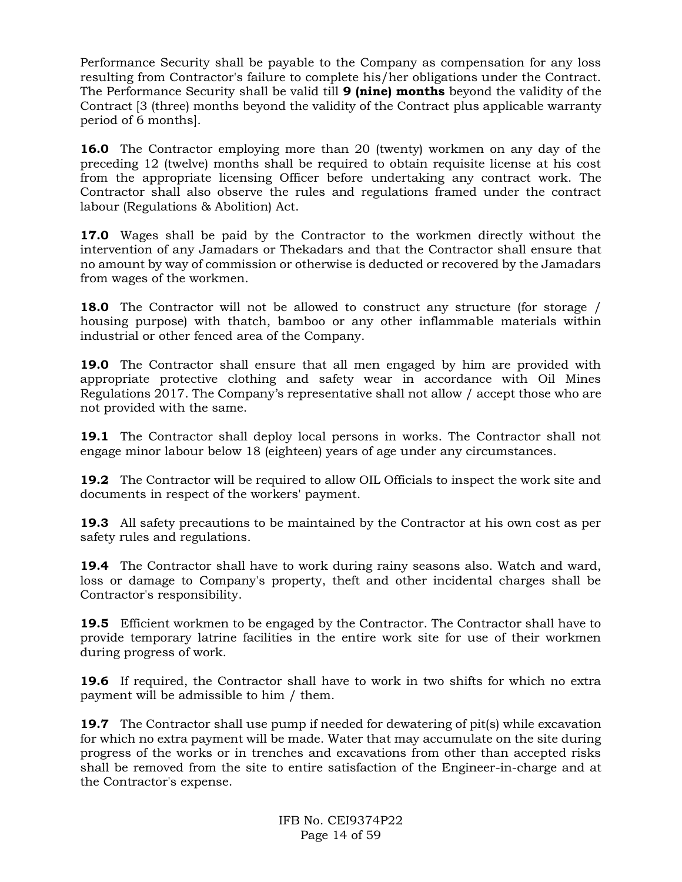Performance Security shall be payable to the Company as compensation for any loss resulting from Contractor's failure to complete his/her obligations under the Contract. The Performance Security shall be valid till **9 (nine) months** beyond the validity of the Contract [3 (three) months beyond the validity of the Contract plus applicable warranty period of 6 months].

**16.0** The Contractor employing more than 20 (twenty) workmen on any day of the preceding 12 (twelve) months shall be required to obtain requisite license at his cost from the appropriate licensing Officer before undertaking any contract work. The Contractor shall also observe the rules and regulations framed under the contract labour (Regulations & Abolition) Act.

**17.0** Wages shall be paid by the Contractor to the workmen directly without the intervention of any Jamadars or Thekadars and that the Contractor shall ensure that no amount by way of commission or otherwise is deducted or recovered by the Jamadars from wages of the workmen.

**18.0** The Contractor will not be allowed to construct any structure (for storage / housing purpose) with thatch, bamboo or any other inflammable materials within industrial or other fenced area of the Company.

**19.0** The Contractor shall ensure that all men engaged by him are provided with appropriate protective clothing and safety wear in accordance with Oil Mines Regulations 2017. The Company's representative shall not allow / accept those who are not provided with the same.

**19.1** The Contractor shall deploy local persons in works. The Contractor shall not engage minor labour below 18 (eighteen) years of age under any circumstances.

**19.2** The Contractor will be required to allow OIL Officials to inspect the work site and documents in respect of the workers' payment.

**19.3** All safety precautions to be maintained by the Contractor at his own cost as per safety rules and regulations.

**19.4** The Contractor shall have to work during rainy seasons also. Watch and ward, loss or damage to Company's property, theft and other incidental charges shall be Contractor's responsibility.

**19.5** Efficient workmen to be engaged by the Contractor. The Contractor shall have to provide temporary latrine facilities in the entire work site for use of their workmen during progress of work.

**19.6** If required, the Contractor shall have to work in two shifts for which no extra payment will be admissible to him / them.

**19.7** The Contractor shall use pump if needed for dewatering of pit(s) while excavation for which no extra payment will be made. Water that may accumulate on the site during progress of the works or in trenches and excavations from other than accepted risks shall be removed from the site to entire satisfaction of the Engineer-in-charge and at the Contractor's expense.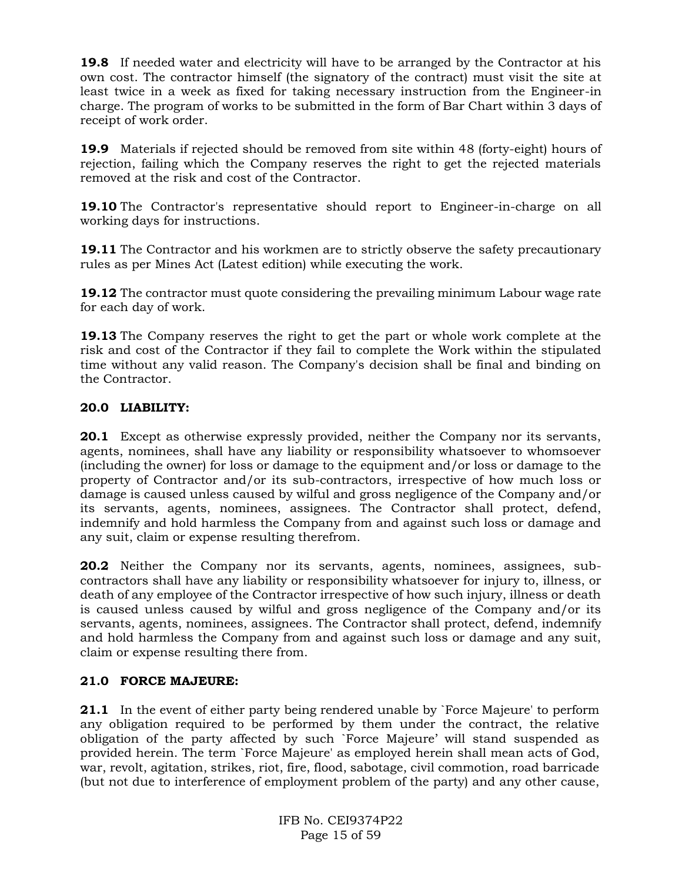**19.8** If needed water and electricity will have to be arranged by the Contractor at his own cost. The contractor himself (the signatory of the contract) must visit the site at least twice in a week as fixed for taking necessary instruction from the Engineer-in charge. The program of works to be submitted in the form of Bar Chart within 3 days of receipt of work order.

**19.9** Materials if rejected should be removed from site within 48 (forty-eight) hours of rejection, failing which the Company reserves the right to get the rejected materials removed at the risk and cost of the Contractor.

**19.10** The Contractor's representative should report to Engineer-in-charge on all working days for instructions.

**19.11** The Contractor and his workmen are to strictly observe the safety precautionary rules as per Mines Act (Latest edition) while executing the work.

**19.12** The contractor must quote considering the prevailing minimum Labour wage rate for each day of work.

**19.13** The Company reserves the right to get the part or whole work complete at the risk and cost of the Contractor if they fail to complete the Work within the stipulated time without any valid reason. The Company's decision shall be final and binding on the Contractor.

## **20.0 LIABILITY:**

**20.1** Except as otherwise expressly provided, neither the Company nor its servants, agents, nominees, shall have any liability or responsibility whatsoever to whomsoever (including the owner) for loss or damage to the equipment and/or loss or damage to the property of Contractor and/or its sub-contractors, irrespective of how much loss or damage is caused unless caused by wilful and gross negligence of the Company and/or its servants, agents, nominees, assignees. The Contractor shall protect, defend, indemnify and hold harmless the Company from and against such loss or damage and any suit, claim or expense resulting therefrom.

**20.2** Neither the Company nor its servants, agents, nominees, assignees, subcontractors shall have any liability or responsibility whatsoever for injury to, illness, or death of any employee of the Contractor irrespective of how such injury, illness or death is caused unless caused by wilful and gross negligence of the Company and/or its servants, agents, nominees, assignees. The Contractor shall protect, defend, indemnify and hold harmless the Company from and against such loss or damage and any suit, claim or expense resulting there from.

## **21.0 FORCE MAJEURE:**

**21.1** In the event of either party being rendered unable by `Force Majeure' to perform any obligation required to be performed by them under the contract, the relative obligation of the party affected by such `Force Majeure' will stand suspended as provided herein. The term `Force Majeure' as employed herein shall mean acts of God, war, revolt, agitation, strikes, riot, fire, flood, sabotage, civil commotion, road barricade (but not due to interference of employment problem of the party) and any other cause,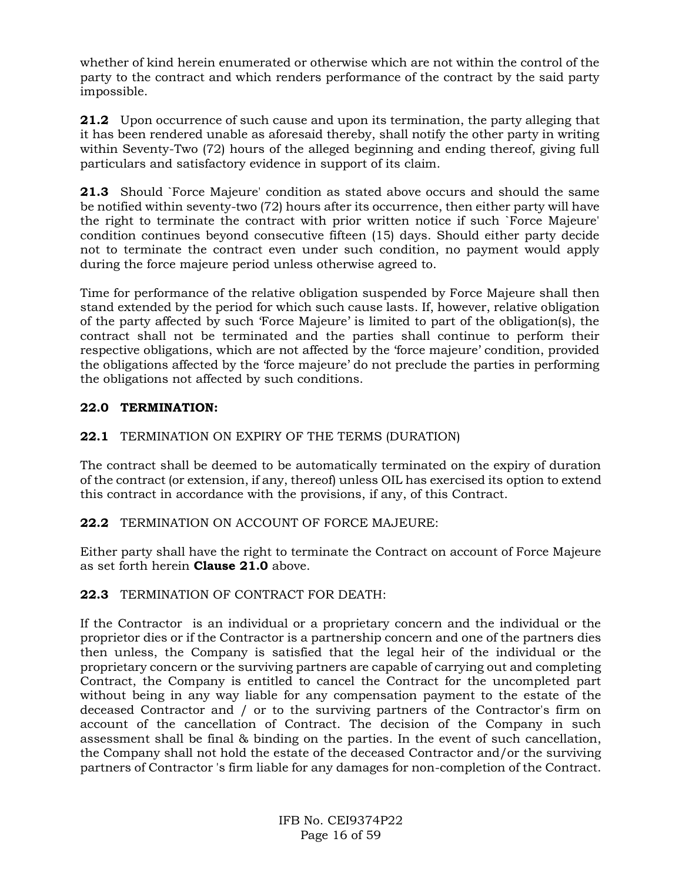whether of kind herein enumerated or otherwise which are not within the control of the party to the contract and which renders performance of the contract by the said party impossible.

**21.2** Upon occurrence of such cause and upon its termination, the party alleging that it has been rendered unable as aforesaid thereby, shall notify the other party in writing within Seventy-Two (72) hours of the alleged beginning and ending thereof, giving full particulars and satisfactory evidence in support of its claim.

**21.3** Should `Force Majeure' condition as stated above occurs and should the same be notified within seventy-two (72) hours after its occurrence, then either party will have the right to terminate the contract with prior written notice if such `Force Majeure' condition continues beyond consecutive fifteen (15) days. Should either party decide not to terminate the contract even under such condition, no payment would apply during the force majeure period unless otherwise agreed to.

Time for performance of the relative obligation suspended by Force Majeure shall then stand extended by the period for which such cause lasts. If, however, relative obligation of the party affected by such 'Force Majeure' is limited to part of the obligation(s), the contract shall not be terminated and the parties shall continue to perform their respective obligations, which are not affected by the 'force majeure' condition, provided the obligations affected by the 'force majeure' do not preclude the parties in performing the obligations not affected by such conditions.

## **22.0 TERMINATION:**

## **22.1** TERMINATION ON EXPIRY OF THE TERMS (DURATION)

The contract shall be deemed to be automatically terminated on the expiry of duration of the contract (or extension, if any, thereof) unless OIL has exercised its option to extend this contract in accordance with the provisions, if any, of this Contract.

### **22.2** TERMINATION ON ACCOUNT OF FORCE MAJEURE:

Either party shall have the right to terminate the Contract on account of Force Majeure as set forth herein **Clause 21.0** above.

### **22.3** TERMINATION OF CONTRACT FOR DEATH:

If the Contractor is an individual or a proprietary concern and the individual or the proprietor dies or if the Contractor is a partnership concern and one of the partners dies then unless, the Company is satisfied that the legal heir of the individual or the proprietary concern or the surviving partners are capable of carrying out and completing Contract, the Company is entitled to cancel the Contract for the uncompleted part without being in any way liable for any compensation payment to the estate of the deceased Contractor and / or to the surviving partners of the Contractor's firm on account of the cancellation of Contract. The decision of the Company in such assessment shall be final & binding on the parties. In the event of such cancellation, the Company shall not hold the estate of the deceased Contractor and/or the surviving partners of Contractor 's firm liable for any damages for non-completion of the Contract.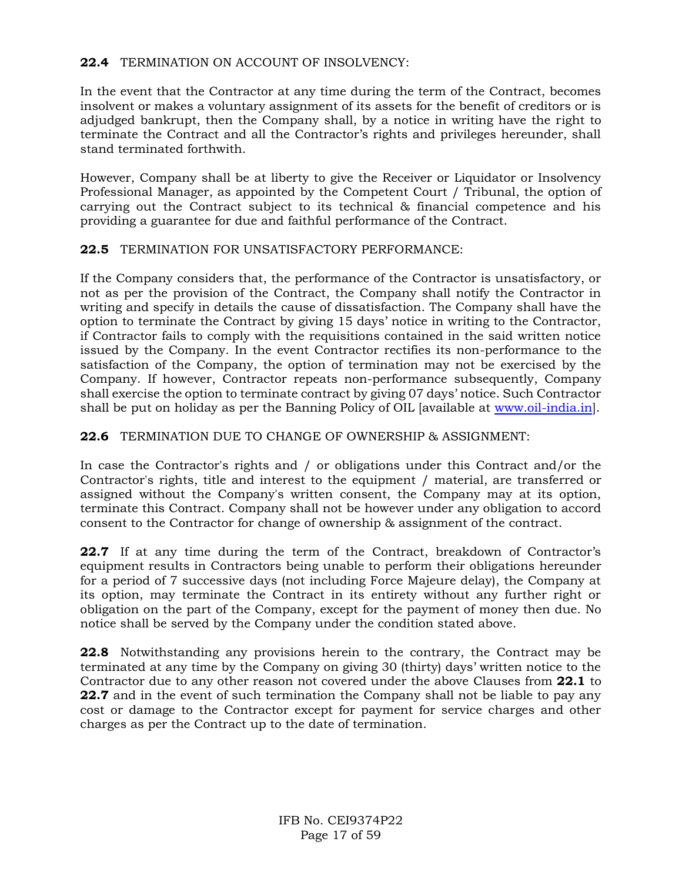## **22.4** TERMINATION ON ACCOUNT OF INSOLVENCY:

In the event that the Contractor at any time during the term of the Contract, becomes insolvent or makes a voluntary assignment of its assets for the benefit of creditors or is adjudged bankrupt, then the Company shall, by a notice in writing have the right to terminate the Contract and all the Contractor's rights and privileges hereunder, shall stand terminated forthwith.

However, Company shall be at liberty to give the Receiver or Liquidator or Insolvency Professional Manager, as appointed by the Competent Court / Tribunal, the option of carrying out the Contract subject to its technical & financial competence and his providing a guarantee for due and faithful performance of the Contract.

### **22.5** TERMINATION FOR UNSATISFACTORY PERFORMANCE:

If the Company considers that, the performance of the Contractor is unsatisfactory, or not as per the provision of the Contract, the Company shall notify the Contractor in writing and specify in details the cause of dissatisfaction. The Company shall have the option to terminate the Contract by giving 15 days' notice in writing to the Contractor, if Contractor fails to comply with the requisitions contained in the said written notice issued by the Company. In the event Contractor rectifies its non-performance to the satisfaction of the Company, the option of termination may not be exercised by the Company. If however, Contractor repeats non-performance subsequently, Company shall exercise the option to terminate contract by giving 07 days' notice. Such Contractor shall be put on holiday as per the Banning Policy of OIL [available at [www.oil-india.in\]](http://www.oil-india.in/).

### **22.6** TERMINATION DUE TO CHANGE OF OWNERSHIP & ASSIGNMENT:

In case the Contractor's rights and / or obligations under this Contract and/or the Contractor's rights, title and interest to the equipment / material, are transferred or assigned without the Company's written consent, the Company may at its option, terminate this Contract. Company shall not be however under any obligation to accord consent to the Contractor for change of ownership & assignment of the contract.

**22.7** If at any time during the term of the Contract, breakdown of Contractor's equipment results in Contractors being unable to perform their obligations hereunder for a period of 7 successive days (not including Force Majeure delay), the Company at its option, may terminate the Contract in its entirety without any further right or obligation on the part of the Company, except for the payment of money then due. No notice shall be served by the Company under the condition stated above.

**22.8** Notwithstanding any provisions herein to the contrary, the Contract may be terminated at any time by the Company on giving 30 (thirty) days' written notice to the Contractor due to any other reason not covered under the above Clauses from **22.1** to **22.7** and in the event of such termination the Company shall not be liable to pay any cost or damage to the Contractor except for payment for service charges and other charges as per the Contract up to the date of termination.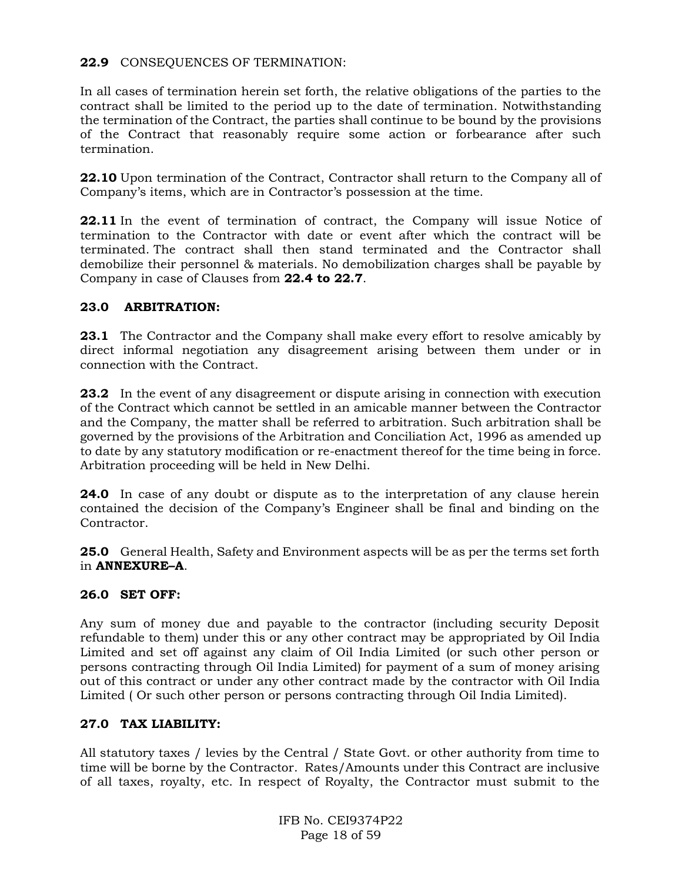## **22.9** CONSEQUENCES OF TERMINATION:

In all cases of termination herein set forth, the relative obligations of the parties to the contract shall be limited to the period up to the date of termination. Notwithstanding the termination of the Contract, the parties shall continue to be bound by the provisions of the Contract that reasonably require some action or forbearance after such termination.

22.10 Upon termination of the Contract, Contractor shall return to the Company all of Company's items, which are in Contractor's possession at the time.

**22.11** In the event of termination of contract, the Company will issue Notice of termination to the Contractor with date or event after which the contract will be terminated. The contract shall then stand terminated and the Contractor shall demobilize their personnel & materials. No demobilization charges shall be payable by Company in case of Clauses from **22.4 to 22.7**.

## **23.0 ARBITRATION:**

**23.1** The Contractor and the Company shall make every effort to resolve amicably by direct informal negotiation any disagreement arising between them under or in connection with the Contract.

**23.2** In the event of any disagreement or dispute arising in connection with execution of the Contract which cannot be settled in an amicable manner between the Contractor and the Company, the matter shall be referred to arbitration. Such arbitration shall be governed by the provisions of the Arbitration and Conciliation Act, 1996 as amended up to date by any statutory modification or re-enactment thereof for the time being in force. Arbitration proceeding will be held in New Delhi.

**24.0** In case of any doubt or dispute as to the interpretation of any clause herein contained the decision of the Company's Engineer shall be final and binding on the Contractor.

**25.0** General Health, Safety and Environment aspects will be as per the terms set forth in **ANNEXURE–A**.

### **26.0 SET OFF:**

Any sum of money due and payable to the contractor (including security Deposit refundable to them) under this or any other contract may be appropriated by Oil India Limited and set off against any claim of Oil India Limited (or such other person or persons contracting through Oil India Limited) for payment of a sum of money arising out of this contract or under any other contract made by the contractor with Oil India Limited ( Or such other person or persons contracting through Oil India Limited).

### **27.0 TAX LIABILITY:**

All statutory taxes / levies by the Central / State Govt. or other authority from time to time will be borne by the Contractor. Rates/Amounts under this Contract are inclusive of all taxes, royalty, etc. In respect of Royalty, the Contractor must submit to the

> IFB No. CEI9374P22 Page 18 of 59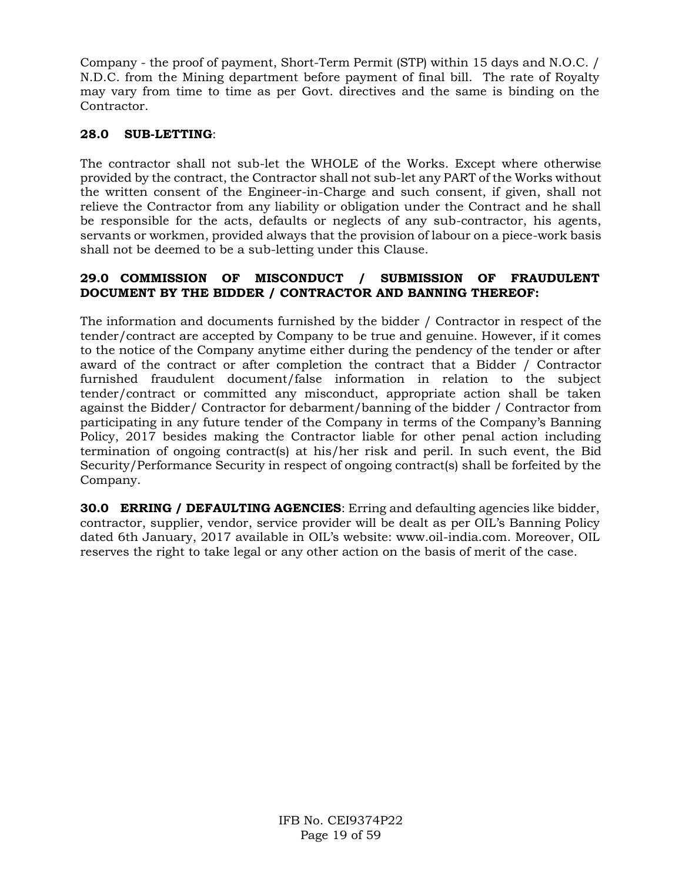Company - the proof of payment, Short-Term Permit (STP) within 15 days and N.O.C. / N.D.C. from the Mining department before payment of final bill. The rate of Royalty may vary from time to time as per Govt. directives and the same is binding on the Contractor.

## **28.0 SUB-LETTING**:

The contractor shall not sub-let the WHOLE of the Works. Except where otherwise provided by the contract, the Contractor shall not sub-let any PART of the Works without the written consent of the Engineer-in-Charge and such consent, if given, shall not relieve the Contractor from any liability or obligation under the Contract and he shall be responsible for the acts, defaults or neglects of any sub-contractor, his agents, servants or workmen, provided always that the provision of labour on a piece-work basis shall not be deemed to be a sub-letting under this Clause.

## **29.0 COMMISSION OF MISCONDUCT / SUBMISSION OF FRAUDULENT DOCUMENT BY THE BIDDER / CONTRACTOR AND BANNING THEREOF:**

The information and documents furnished by the bidder / Contractor in respect of the tender/contract are accepted by Company to be true and genuine. However, if it comes to the notice of the Company anytime either during the pendency of the tender or after award of the contract or after completion the contract that a Bidder / Contractor furnished fraudulent document/false information in relation to the subject tender/contract or committed any misconduct, appropriate action shall be taken against the Bidder/ Contractor for debarment/banning of the bidder / Contractor from participating in any future tender of the Company in terms of the Company's Banning Policy, 2017 besides making the Contractor liable for other penal action including termination of ongoing contract(s) at his/her risk and peril. In such event, the Bid Security/Performance Security in respect of ongoing contract(s) shall be forfeited by the Company.

**30.0 ERRING / DEFAULTING AGENCIES**: Erring and defaulting agencies like bidder, contractor, supplier, vendor, service provider will be dealt as per OIL's Banning Policy dated 6th January, 2017 available in OIL's website: www.oil-india.com. Moreover, OIL reserves the right to take legal or any other action on the basis of merit of the case.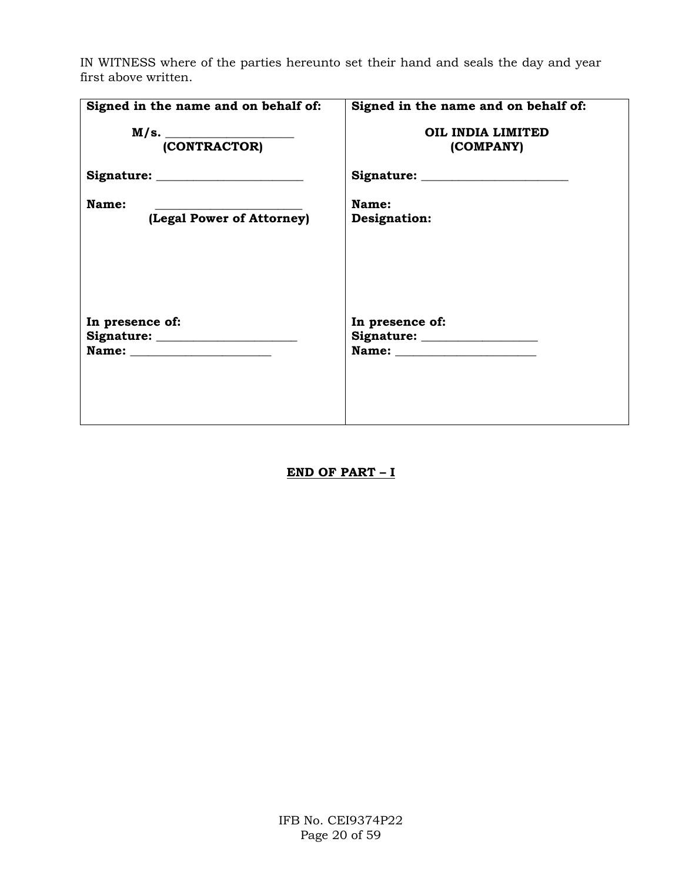IN WITNESS where of the parties hereunto set their hand and seals the day and year first above written.

| Signed in the name and on behalf of:      | Signed in the name and on behalf of:            |
|-------------------------------------------|-------------------------------------------------|
| M/s. (CONTRACTOR)                         | OIL INDIA LIMITED<br>(COMPANY)                  |
|                                           |                                                 |
| <b>Name:</b><br>(Legal Power of Attorney) | Name:<br>Designation:                           |
| In presence of:                           | In presence of:<br>Signature: _________________ |

**END OF PART – I**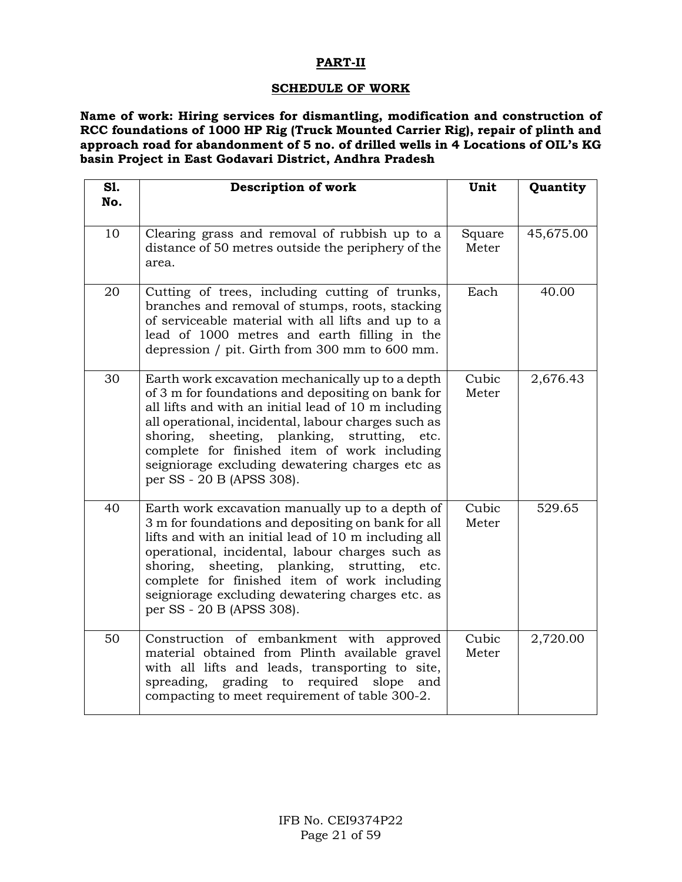## **PART-II**

### **SCHEDULE OF WORK**

**Name of work: Hiring services for dismantling, modification and construction of RCC foundations of 1000 HP Rig (Truck Mounted Carrier Rig), repair of plinth and approach road for abandonment of 5 no. of drilled wells in 4 Locations of OIL's KG basin Project in East Godavari District, Andhra Pradesh**

| S1. | Description of work                                                                                                                                                                                                                                                                                                                                                                                        | Unit            | Quantity  |
|-----|------------------------------------------------------------------------------------------------------------------------------------------------------------------------------------------------------------------------------------------------------------------------------------------------------------------------------------------------------------------------------------------------------------|-----------------|-----------|
| No. |                                                                                                                                                                                                                                                                                                                                                                                                            |                 |           |
| 10  | Clearing grass and removal of rubbish up to a<br>distance of 50 metres outside the periphery of the<br>area.                                                                                                                                                                                                                                                                                               | Square<br>Meter | 45,675.00 |
| 20  | Cutting of trees, including cutting of trunks,<br>branches and removal of stumps, roots, stacking<br>of serviceable material with all lifts and up to a<br>lead of 1000 metres and earth filling in the<br>depression / pit. Girth from 300 mm to 600 mm.                                                                                                                                                  | Each            | 40.00     |
| 30  | Earth work excavation mechanically up to a depth<br>of 3 m for foundations and depositing on bank for<br>all lifts and with an initial lead of 10 m including<br>all operational, incidental, labour charges such as<br>sheeting, planking, strutting,<br>shoring,<br>etc.<br>complete for finished item of work including<br>seigniorage excluding dewatering charges etc as<br>per SS - 20 B (APSS 308). | Cubic<br>Meter  | 2,676.43  |
| 40  | Earth work excavation manually up to a depth of<br>3 m for foundations and depositing on bank for all<br>lifts and with an initial lead of 10 m including all<br>operational, incidental, labour charges such as<br>shoring,<br>sheeting, planking, strutting,<br>etc.<br>complete for finished item of work including<br>seigniorage excluding dewatering charges etc. as<br>per SS - 20 B (APSS 308).    | Cubic<br>Meter  | 529.65    |
| 50  | Construction of embankment with approved<br>material obtained from Plinth available gravel<br>with all lifts and leads, transporting to site,<br>required<br>spreading,<br>grading to<br>slope<br>and<br>compacting to meet requirement of table 300-2.                                                                                                                                                    | Cubic<br>Meter  | 2,720.00  |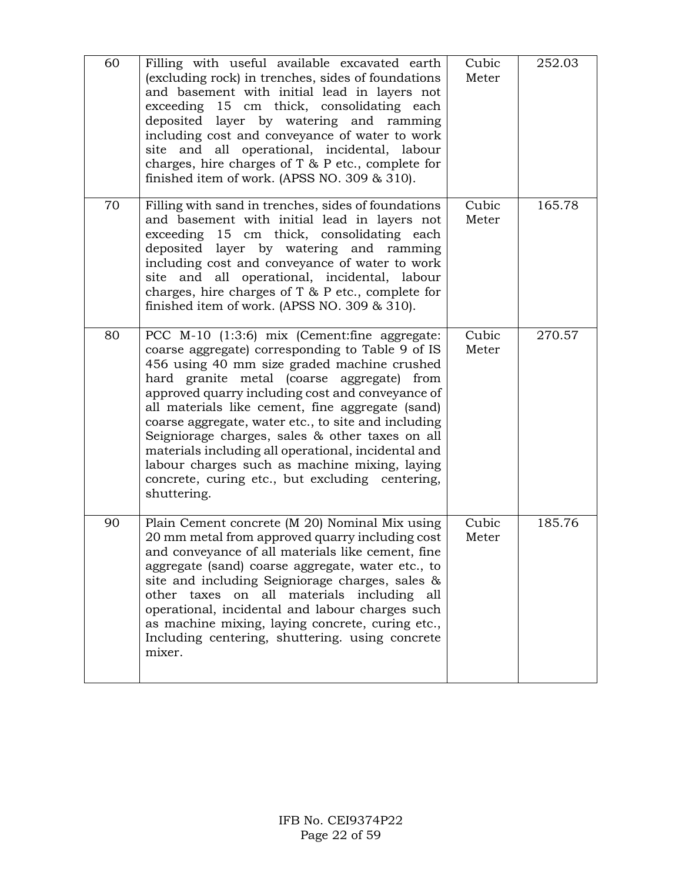| 60 | Filling with useful available excavated earth<br>(excluding rock) in trenches, sides of foundations<br>and basement with initial lead in layers not<br>exceeding 15 cm thick, consolidating each<br>deposited layer by watering and ramming<br>including cost and conveyance of water to work<br>site and all operational, incidental, labour<br>charges, hire charges of $T$ & $P$ etc., complete for<br>finished item of work. (APSS NO. 309 & 310).                                                                                                                                     | Cubic<br>Meter | 252.03 |
|----|--------------------------------------------------------------------------------------------------------------------------------------------------------------------------------------------------------------------------------------------------------------------------------------------------------------------------------------------------------------------------------------------------------------------------------------------------------------------------------------------------------------------------------------------------------------------------------------------|----------------|--------|
| 70 | Filling with sand in trenches, sides of foundations<br>and basement with initial lead in layers not<br>exceeding 15 cm thick, consolidating each<br>deposited layer by watering and ramming<br>including cost and conveyance of water to work<br>site and all operational, incidental, labour<br>charges, hire charges of $T$ & $P$ etc., complete for<br>finished item of work. (APSS NO. 309 & 310).                                                                                                                                                                                     | Cubic<br>Meter | 165.78 |
| 80 | PCC M-10 (1:3:6) mix (Cement: fine aggregate:<br>coarse aggregate) corresponding to Table 9 of IS<br>456 using 40 mm size graded machine crushed<br>hard granite metal (coarse aggregate) from<br>approved quarry including cost and conveyance of<br>all materials like cement, fine aggregate (sand)<br>coarse aggregate, water etc., to site and including<br>Seigniorage charges, sales & other taxes on all<br>materials including all operational, incidental and<br>labour charges such as machine mixing, laying<br>concrete, curing etc., but excluding centering,<br>shuttering. | Cubic<br>Meter | 270.57 |
| 90 | Plain Cement concrete (M 20) Nominal Mix using<br>20 mm metal from approved quarry including cost<br>and conveyance of all materials like cement, fine<br>aggregate (sand) coarse aggregate, water etc., to<br>site and including Seigniorage charges, sales &<br>on all materials including<br>other taxes<br>all<br>operational, incidental and labour charges such<br>as machine mixing, laying concrete, curing etc.,<br>Including centering, shuttering, using concrete<br>mixer.                                                                                                     | Cubic<br>Meter | 185.76 |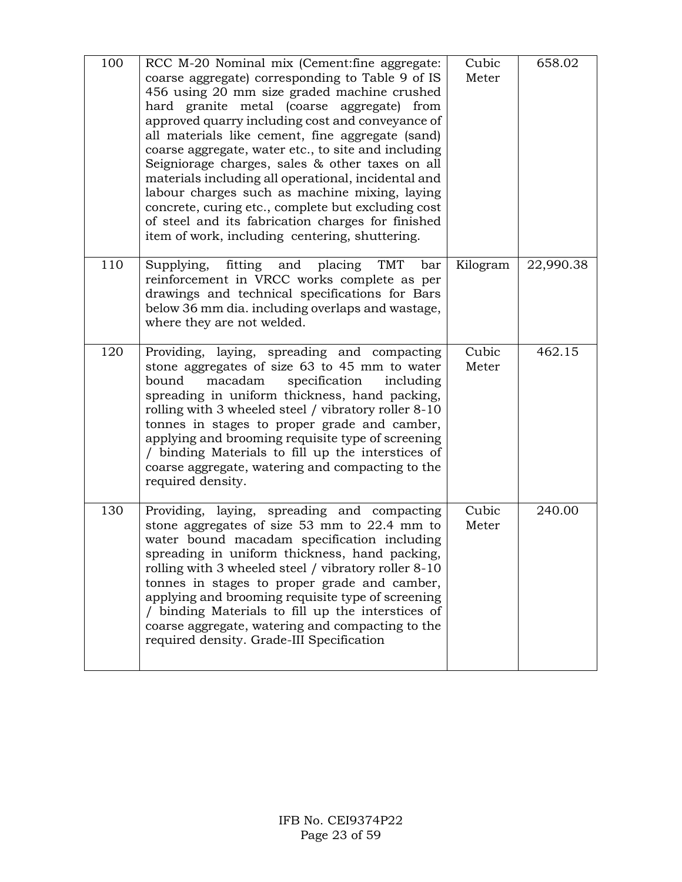| 100 | RCC M-20 Nominal mix (Cement:fine aggregate:<br>coarse aggregate) corresponding to Table 9 of IS<br>456 using 20 mm size graded machine crushed<br>hard granite metal (coarse aggregate)<br>from<br>approved quarry including cost and conveyance of<br>all materials like cement, fine aggregate (sand)<br>coarse aggregate, water etc., to site and including<br>Seigniorage charges, sales & other taxes on all<br>materials including all operational, incidental and<br>labour charges such as machine mixing, laying<br>concrete, curing etc., complete but excluding cost<br>of steel and its fabrication charges for finished<br>item of work, including centering, shuttering. | Cubic<br>Meter | 658.02    |
|-----|-----------------------------------------------------------------------------------------------------------------------------------------------------------------------------------------------------------------------------------------------------------------------------------------------------------------------------------------------------------------------------------------------------------------------------------------------------------------------------------------------------------------------------------------------------------------------------------------------------------------------------------------------------------------------------------------|----------------|-----------|
| 110 | Supplying,<br>fitting<br>TMT<br>and<br>placing<br>bar<br>reinforcement in VRCC works complete as per<br>drawings and technical specifications for Bars<br>below 36 mm dia. including overlaps and wastage,<br>where they are not welded.                                                                                                                                                                                                                                                                                                                                                                                                                                                | Kilogram       | 22,990.38 |
| 120 | Providing, laying, spreading and compacting<br>stone aggregates of size 63 to 45 mm to water<br>specification<br>bound<br>macadam<br>including<br>spreading in uniform thickness, hand packing,<br>rolling with 3 wheeled steel / vibratory roller 8-10<br>tonnes in stages to proper grade and camber,<br>applying and brooming requisite type of screening<br>/ binding Materials to fill up the interstices of<br>coarse aggregate, watering and compacting to the<br>required density.                                                                                                                                                                                              | Cubic<br>Meter | 462.15    |
| 130 | Providing, laying, spreading and compacting<br>stone aggregates of size 53 mm to 22.4 mm to<br>water bound macadam specification including<br>spreading in uniform thickness, hand packing,<br>rolling with 3 wheeled steel / vibratory roller 8-10<br>tonnes in stages to proper grade and camber,<br>applying and brooming requisite type of screening<br>/ binding Materials to fill up the interstices of<br>coarse aggregate, watering and compacting to the<br>required density. Grade-III Specification                                                                                                                                                                          | Cubic<br>Meter | 240.00    |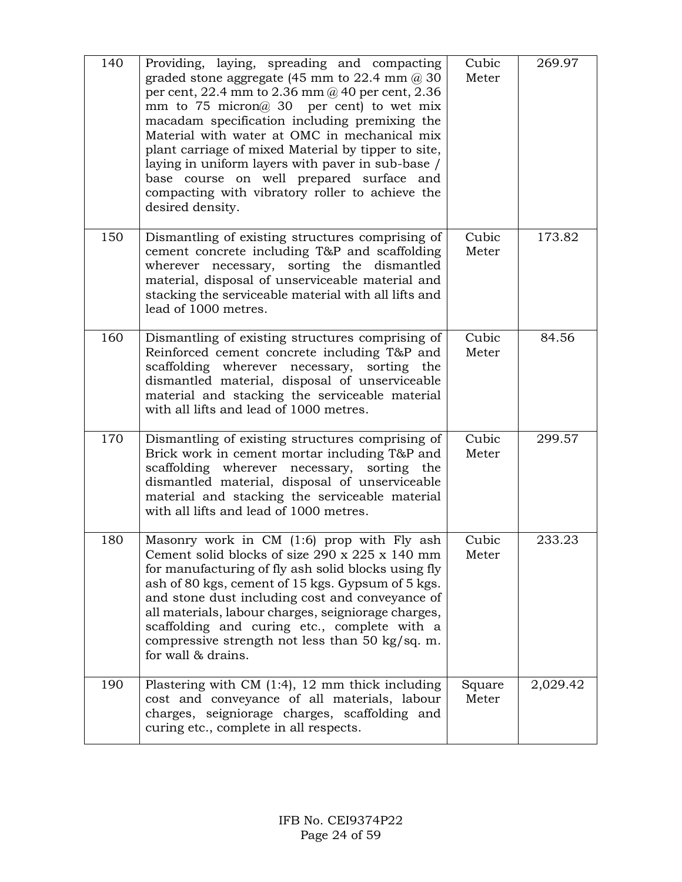| 140 | Providing, laying, spreading and compacting<br>graded stone aggregate (45 mm to $22.4$ mm $\omega$ 30<br>per cent, 22.4 mm to 2.36 mm $@$ 40 per cent, 2.36<br>mm to 75 micron $\omega$ 30 per cent) to wet mix<br>macadam specification including premixing the<br>Material with water at OMC in mechanical mix<br>plant carriage of mixed Material by tipper to site,<br>laying in uniform layers with paver in sub-base /<br>base course on well prepared surface and<br>compacting with vibratory roller to achieve the<br>desired density. | Cubic<br>Meter  | 269.97   |
|-----|-------------------------------------------------------------------------------------------------------------------------------------------------------------------------------------------------------------------------------------------------------------------------------------------------------------------------------------------------------------------------------------------------------------------------------------------------------------------------------------------------------------------------------------------------|-----------------|----------|
| 150 | Dismantling of existing structures comprising of<br>cement concrete including T&P and scaffolding<br>necessary, sorting the dismantled<br>wherever<br>material, disposal of unserviceable material and<br>stacking the serviceable material with all lifts and<br>lead of 1000 metres.                                                                                                                                                                                                                                                          | Cubic<br>Meter  | 173.82   |
| 160 | Dismantling of existing structures comprising of<br>Reinforced cement concrete including T&P and<br>scaffolding wherever necessary, sorting the<br>dismantled material, disposal of unserviceable<br>material and stacking the serviceable material<br>with all lifts and lead of 1000 metres.                                                                                                                                                                                                                                                  | Cubic<br>Meter  | 84.56    |
| 170 | Dismantling of existing structures comprising of<br>Brick work in cement mortar including T&P and<br>scaffolding wherever<br>necessary, sorting the<br>dismantled material, disposal of unserviceable<br>material and stacking the serviceable material<br>with all lifts and lead of 1000 metres.                                                                                                                                                                                                                                              | Cubic<br>Meter  | 299.57   |
| 180 | Masonry work in CM (1:6) prop with Fly ash<br>Cement solid blocks of size $290 \times 225 \times 140$ mm<br>for manufacturing of fly ash solid blocks using fly<br>ash of 80 kgs, cement of 15 kgs. Gypsum of 5 kgs.<br>and stone dust including cost and conveyance of<br>all materials, labour charges, seigniorage charges,<br>scaffolding and curing etc., complete with a<br>compressive strength not less than 50 kg/sq. m.<br>for wall & drains.                                                                                         | Cubic<br>Meter  | 233.23   |
| 190 | Plastering with CM $(1:4)$ , 12 mm thick including<br>cost and conveyance of all materials, labour<br>charges, seigniorage charges, scaffolding and<br>curing etc., complete in all respects.                                                                                                                                                                                                                                                                                                                                                   | Square<br>Meter | 2,029.42 |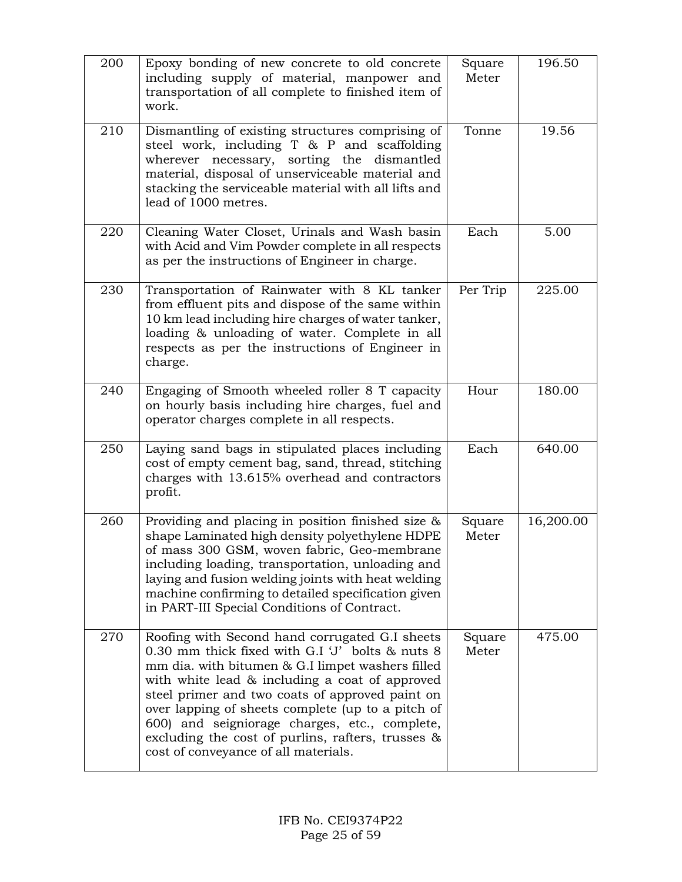| 200 | Epoxy bonding of new concrete to old concrete<br>including supply of material, manpower and<br>transportation of all complete to finished item of<br>work.                                                                                                                                                                                                                                                                                                    | Square<br>Meter | 196.50    |
|-----|---------------------------------------------------------------------------------------------------------------------------------------------------------------------------------------------------------------------------------------------------------------------------------------------------------------------------------------------------------------------------------------------------------------------------------------------------------------|-----------------|-----------|
| 210 | Dismantling of existing structures comprising of<br>steel work, including T & P and scaffolding<br>necessary, sorting the dismantled<br>wherever<br>material, disposal of unserviceable material and<br>stacking the serviceable material with all lifts and<br>lead of 1000 metres.                                                                                                                                                                          | Tonne           | 19.56     |
| 220 | Cleaning Water Closet, Urinals and Wash basin<br>with Acid and Vim Powder complete in all respects<br>as per the instructions of Engineer in charge.                                                                                                                                                                                                                                                                                                          | Each            | 5.00      |
| 230 | Transportation of Rainwater with 8 KL tanker<br>from effluent pits and dispose of the same within<br>10 km lead including hire charges of water tanker,<br>loading & unloading of water. Complete in all<br>respects as per the instructions of Engineer in<br>charge.                                                                                                                                                                                        | Per Trip        | 225.00    |
| 240 | Engaging of Smooth wheeled roller 8 T capacity<br>on hourly basis including hire charges, fuel and<br>operator charges complete in all respects.                                                                                                                                                                                                                                                                                                              | Hour            | 180.00    |
| 250 | Laying sand bags in stipulated places including<br>cost of empty cement bag, sand, thread, stitching<br>charges with 13.615% overhead and contractors<br>profit.                                                                                                                                                                                                                                                                                              | Each            | 640.00    |
| 260 | Providing and placing in position finished size &<br>shape Laminated high density polyethylene HDPE<br>of mass 300 GSM, woven fabric, Geo-membrane<br>including loading, transportation, unloading and<br>laying and fusion welding joints with heat welding<br>machine confirming to detailed specification given<br>in PART-III Special Conditions of Contract.                                                                                             | Square<br>Meter | 16,200.00 |
| 270 | Roofing with Second hand corrugated G.I sheets<br>0.30 mm thick fixed with G.I 'J' bolts & nuts 8<br>mm dia. with bitumen & G.I limpet washers filled<br>with white lead & including a coat of approved<br>steel primer and two coats of approved paint on<br>over lapping of sheets complete (up to a pitch of<br>600) and seigniorage charges, etc., complete,<br>excluding the cost of purlins, rafters, trusses &<br>cost of conveyance of all materials. | Square<br>Meter | 475.00    |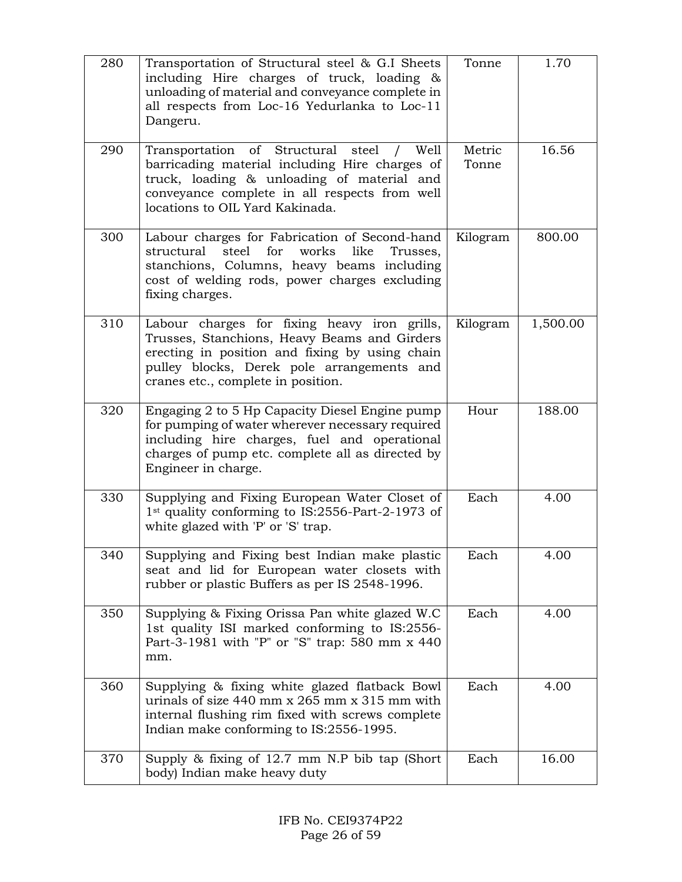| 280 | Transportation of Structural steel & G.I Sheets<br>including Hire charges of truck, loading &<br>unloading of material and conveyance complete in<br>all respects from Loc-16 Yedurlanka to Loc-11<br>Dangeru.                       | Tonne           | 1.70     |
|-----|--------------------------------------------------------------------------------------------------------------------------------------------------------------------------------------------------------------------------------------|-----------------|----------|
| 290 | of Structural<br>Transportation<br>steel<br>Well<br>barricading material including Hire charges of<br>truck, loading & unloading of material and<br>conveyance complete in all respects from well<br>locations to OIL Yard Kakinada. | Metric<br>Tonne | 16.56    |
| 300 | Labour charges for Fabrication of Second-hand<br>steel<br>for<br>works<br>structural<br>like<br>Trusses,<br>stanchions, Columns, heavy beams including<br>cost of welding rods, power charges excluding<br>fixing charges.           | Kilogram        | 800.00   |
| 310 | Labour charges for fixing heavy iron grills,<br>Trusses, Stanchions, Heavy Beams and Girders<br>erecting in position and fixing by using chain<br>pulley blocks, Derek pole arrangements and<br>cranes etc., complete in position.   | Kilogram        | 1,500.00 |
| 320 | Engaging 2 to 5 Hp Capacity Diesel Engine pump<br>for pumping of water wherever necessary required<br>including hire charges, fuel and operational<br>charges of pump etc. complete all as directed by<br>Engineer in charge.        | Hour            | 188.00   |
| 330 | Supplying and Fixing European Water Closet of<br>1 <sup>st</sup> quality conforming to IS:2556-Part-2-1973 of<br>white glazed with 'P' or 'S' trap.                                                                                  | Each            | 4.00     |
| 340 | Supplying and Fixing best Indian make plastic<br>seat and lid for European water closets with<br>rubber or plastic Buffers as per IS 2548-1996.                                                                                      | Each            | 4.00     |
| 350 | Supplying & Fixing Orissa Pan white glazed W.C<br>1st quality ISI marked conforming to IS:2556-<br>Part-3-1981 with "P" or "S" trap: 580 mm x 440<br>mm.                                                                             | Each            | 4.00     |
| 360 | Supplying & fixing white glazed flatback Bowl<br>urinals of size $440$ mm x $265$ mm x $315$ mm with<br>internal flushing rim fixed with screws complete<br>Indian make conforming to IS:2556-1995.                                  | Each            | 4.00     |
| 370 | Supply $\&$ fixing of 12.7 mm N.P bib tap (Short<br>body) Indian make heavy duty                                                                                                                                                     | Each            | 16.00    |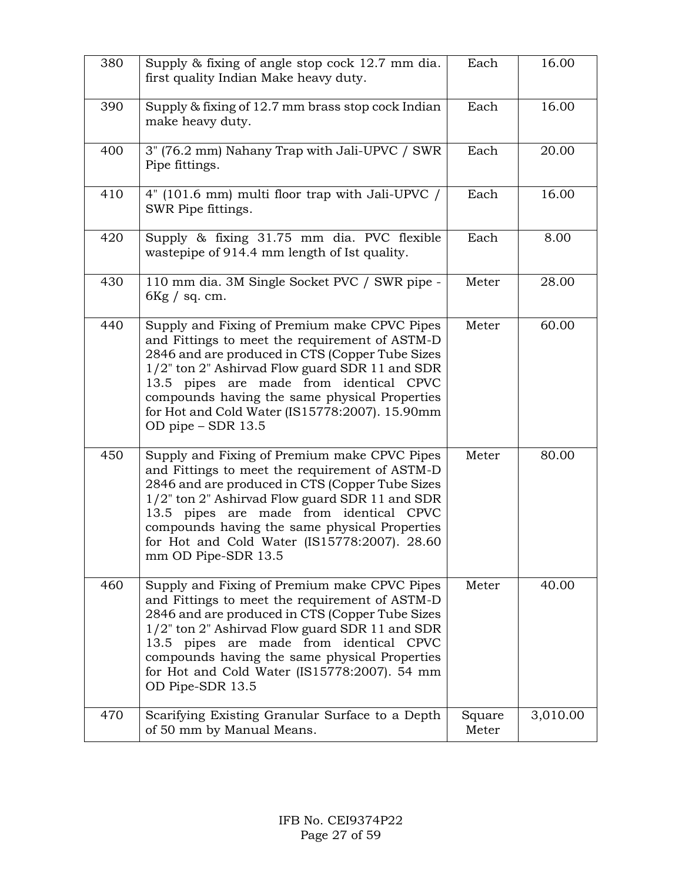| 380 | Supply & fixing of angle stop cock 12.7 mm dia.<br>first quality Indian Make heavy duty.                                                                                                                                                                                                                                                                                | Each            | 16.00    |
|-----|-------------------------------------------------------------------------------------------------------------------------------------------------------------------------------------------------------------------------------------------------------------------------------------------------------------------------------------------------------------------------|-----------------|----------|
| 390 | Supply & fixing of 12.7 mm brass stop cock Indian<br>make heavy duty.                                                                                                                                                                                                                                                                                                   | Each            | 16.00    |
| 400 | 3" (76.2 mm) Nahany Trap with Jali-UPVC / SWR<br>Pipe fittings.                                                                                                                                                                                                                                                                                                         | Each            | 20.00    |
| 410 | 4" (101.6 mm) multi floor trap with Jali-UPVC /<br>SWR Pipe fittings.                                                                                                                                                                                                                                                                                                   | Each            | 16.00    |
| 420 | Supply & fixing 31.75 mm dia. PVC flexible<br>wastepipe of 914.4 mm length of Ist quality.                                                                                                                                                                                                                                                                              | Each            | 8.00     |
| 430 | 110 mm dia. 3M Single Socket PVC / SWR pipe -<br>$6$ Kg / sq. cm.                                                                                                                                                                                                                                                                                                       | Meter           | 28.00    |
| 440 | Supply and Fixing of Premium make CPVC Pipes<br>and Fittings to meet the requirement of ASTM-D<br>2846 and are produced in CTS (Copper Tube Sizes<br>1/2" ton 2" Ashirvad Flow guard SDR 11 and SDR<br>13.5 pipes are made from identical CPVC<br>compounds having the same physical Properties<br>for Hot and Cold Water (IS15778:2007). 15.90mm<br>OD pipe - SDR 13.5 | Meter           | 60.00    |
| 450 | Supply and Fixing of Premium make CPVC Pipes<br>and Fittings to meet the requirement of ASTM-D<br>2846 and are produced in CTS (Copper Tube Sizes<br>1/2" ton 2" Ashirvad Flow guard SDR 11 and SDR<br>13.5 pipes are made from identical CPVC<br>compounds having the same physical Properties<br>for Hot and Cold Water (IS15778:2007). 28.60<br>mm OD Pipe-SDR 13.5  | Meter           | 80.00    |
| 460 | Supply and Fixing of Premium make CPVC Pipes<br>and Fittings to meet the requirement of ASTM-D<br>2846 and are produced in CTS (Copper Tube Sizes<br>1/2" ton 2" Ashirvad Flow guard SDR 11 and SDR<br>13.5 pipes are made from identical CPVC<br>compounds having the same physical Properties<br>for Hot and Cold Water (IS15778:2007). 54 mm<br>OD Pipe-SDR 13.5     | Meter           | 40.00    |
| 470 | Scarifying Existing Granular Surface to a Depth<br>of 50 mm by Manual Means.                                                                                                                                                                                                                                                                                            | Square<br>Meter | 3,010.00 |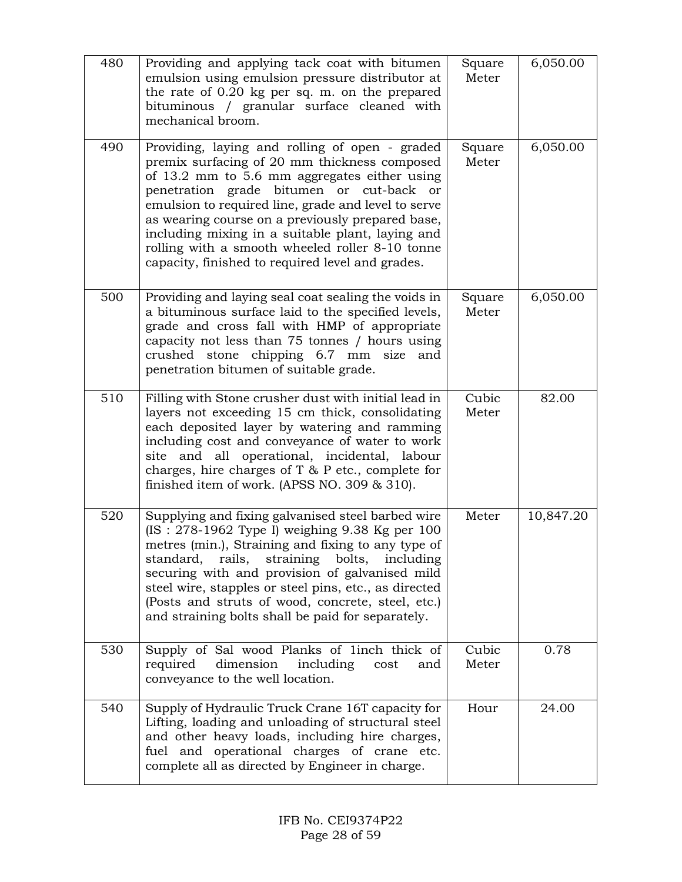| 480 | Providing and applying tack coat with bitumen<br>emulsion using emulsion pressure distributor at<br>the rate of 0.20 kg per sq. m. on the prepared<br>bituminous / granular surface cleaned with<br>mechanical broom.                                                                                                                                                                                                                                            | Square<br>Meter | 6,050.00  |
|-----|------------------------------------------------------------------------------------------------------------------------------------------------------------------------------------------------------------------------------------------------------------------------------------------------------------------------------------------------------------------------------------------------------------------------------------------------------------------|-----------------|-----------|
| 490 | Providing, laying and rolling of open - graded<br>premix surfacing of 20 mm thickness composed<br>of 13.2 mm to 5.6 mm aggregates either using<br>penetration grade bitumen or cut-back or<br>emulsion to required line, grade and level to serve<br>as wearing course on a previously prepared base,<br>including mixing in a suitable plant, laying and<br>rolling with a smooth wheeled roller 8-10 tonne<br>capacity, finished to required level and grades. | Square<br>Meter | 6,050.00  |
| 500 | Providing and laying seal coat sealing the voids in<br>a bituminous surface laid to the specified levels,<br>grade and cross fall with HMP of appropriate<br>capacity not less than 75 tonnes / hours using<br>crushed stone chipping 6.7 mm size<br>and<br>penetration bitumen of suitable grade.                                                                                                                                                               | Square<br>Meter | 6,050.00  |
| 510 | Filling with Stone crusher dust with initial lead in<br>layers not exceeding 15 cm thick, consolidating<br>each deposited layer by watering and ramming<br>including cost and conveyance of water to work<br>site and all operational, incidental, labour<br>charges, hire charges of $T$ & $P$ etc., complete for<br>finished item of work. (APSS NO. 309 & 310).                                                                                               | Cubic<br>Meter  | 82.00     |
| 520 | Supplying and fixing galvanised steel barbed wire<br>(IS: $278-1962$ Type I) weighing 9.38 Kg per 100<br>metres (min.), Straining and fixing to any type of<br>standard,<br>rails, straining bolts,<br>including<br>securing with and provision of galvanised mild<br>steel wire, stapples or steel pins, etc., as directed<br>(Posts and struts of wood, concrete, steel, etc.)<br>and straining bolts shall be paid for separately.                            | Meter           | 10,847.20 |
| 530 | Supply of Sal wood Planks of linch thick of<br>required<br>dimension<br>including<br>cost<br>and<br>conveyance to the well location.                                                                                                                                                                                                                                                                                                                             | Cubic<br>Meter  | 0.78      |
| 540 | Supply of Hydraulic Truck Crane 16T capacity for<br>Lifting, loading and unloading of structural steel<br>and other heavy loads, including hire charges,<br>fuel and operational charges of crane etc.<br>complete all as directed by Engineer in charge.                                                                                                                                                                                                        | Hour            | 24.00     |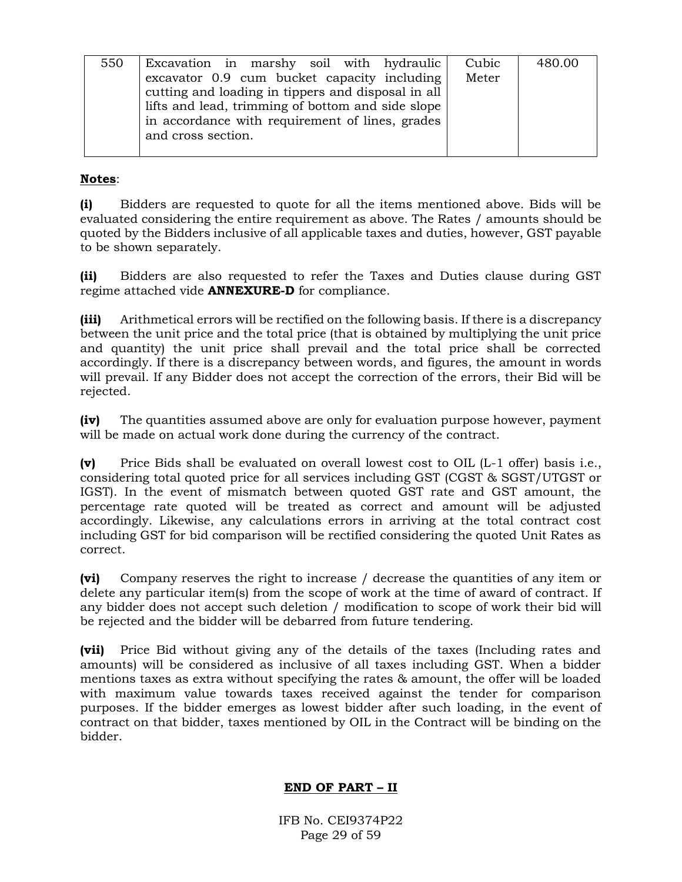| 550 | Excavation in marshy soil with hydraulic           | Cubic | 480.00 |  |
|-----|----------------------------------------------------|-------|--------|--|
|     | excavator 0.9 cum bucket capacity including        | Meter |        |  |
|     | cutting and loading in tippers and disposal in all |       |        |  |
|     | lifts and lead, trimming of bottom and side slope  |       |        |  |
|     | in accordance with requirement of lines, grades    |       |        |  |
|     | and cross section.                                 |       |        |  |
|     |                                                    |       |        |  |

## **Notes**:

**(i)** Bidders are requested to quote for all the items mentioned above. Bids will be evaluated considering the entire requirement as above. The Rates / amounts should be quoted by the Bidders inclusive of all applicable taxes and duties, however, GST payable to be shown separately.

**(ii)** Bidders are also requested to refer the Taxes and Duties clause during GST regime attached vide **ANNEXURE-D** for compliance.

**(iii)** Arithmetical errors will be rectified on the following basis. If there is a discrepancy between the unit price and the total price (that is obtained by multiplying the unit price and quantity) the unit price shall prevail and the total price shall be corrected accordingly. If there is a discrepancy between words, and figures, the amount in words will prevail. If any Bidder does not accept the correction of the errors, their Bid will be rejected.

**(iv)** The quantities assumed above are only for evaluation purpose however, payment will be made on actual work done during the currency of the contract.

**(v)** Price Bids shall be evaluated on overall lowest cost to OIL (L-1 offer) basis i.e., considering total quoted price for all services including GST (CGST & SGST/UTGST or IGST). In the event of mismatch between quoted GST rate and GST amount, the percentage rate quoted will be treated as correct and amount will be adjusted accordingly. Likewise, any calculations errors in arriving at the total contract cost including GST for bid comparison will be rectified considering the quoted Unit Rates as correct.

**(vi)** Company reserves the right to increase / decrease the quantities of any item or delete any particular item(s) from the scope of work at the time of award of contract. If any bidder does not accept such deletion / modification to scope of work their bid will be rejected and the bidder will be debarred from future tendering.

**(vii)** Price Bid without giving any of the details of the taxes (Including rates and amounts) will be considered as inclusive of all taxes including GST. When a bidder mentions taxes as extra without specifying the rates & amount, the offer will be loaded with maximum value towards taxes received against the tender for comparison purposes. If the bidder emerges as lowest bidder after such loading, in the event of contract on that bidder, taxes mentioned by OIL in the Contract will be binding on the bidder.

## **END OF PART – II**

IFB No. CEI9374P22 Page 29 of 59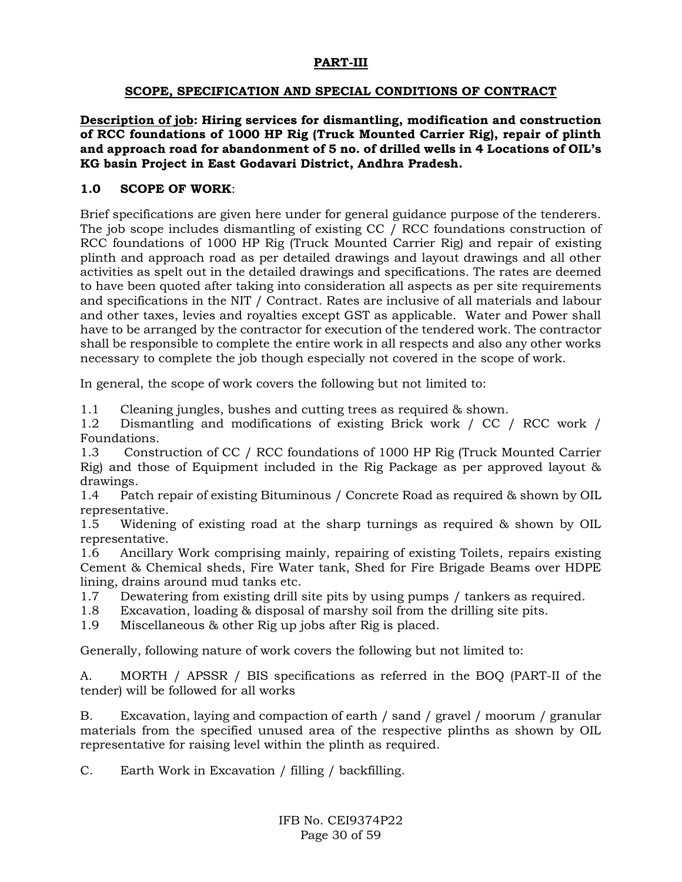### **PART-III**

### **SCOPE, SPECIFICATION AND SPECIAL CONDITIONS OF CONTRACT**

**Description of job: Hiring services for dismantling, modification and construction of RCC foundations of 1000 HP Rig (Truck Mounted Carrier Rig), repair of plinth and approach road for abandonment of 5 no. of drilled wells in 4 Locations of OIL's KG basin Project in East Godavari District, Andhra Pradesh.**

### **1.0 SCOPE OF WORK**:

Brief specifications are given here under for general guidance purpose of the tenderers. The job scope includes dismantling of existing CC / RCC foundations construction of RCC foundations of 1000 HP Rig (Truck Mounted Carrier Rig) and repair of existing plinth and approach road as per detailed drawings and layout drawings and all other activities as spelt out in the detailed drawings and specifications. The rates are deemed to have been quoted after taking into consideration all aspects as per site requirements and specifications in the NIT / Contract. Rates are inclusive of all materials and labour and other taxes, levies and royalties except GST as applicable. Water and Power shall have to be arranged by the contractor for execution of the tendered work. The contractor shall be responsible to complete the entire work in all respects and also any other works necessary to complete the job though especially not covered in the scope of work.

In general, the scope of work covers the following but not limited to:

1.1 Cleaning jungles, bushes and cutting trees as required & shown.

1.2 Dismantling and modifications of existing Brick work / CC / RCC work / Foundations.

1.3 Construction of CC / RCC foundations of 1000 HP Rig (Truck Mounted Carrier Rig) and those of Equipment included in the Rig Package as per approved layout & drawings.

1.4 Patch repair of existing Bituminous / Concrete Road as required & shown by OIL representative.

1.5 Widening of existing road at the sharp turnings as required & shown by OIL representative.

1.6 Ancillary Work comprising mainly, repairing of existing Toilets, repairs existing Cement & Chemical sheds, Fire Water tank, Shed for Fire Brigade Beams over HDPE lining, drains around mud tanks etc.

- 1.7 Dewatering from existing drill site pits by using pumps / tankers as required.
- 1.8 Excavation, loading & disposal of marshy soil from the drilling site pits.
- 1.9 Miscellaneous & other Rig up jobs after Rig is placed.

Generally, following nature of work covers the following but not limited to:

A. MORTH / APSSR / BIS specifications as referred in the BOQ (PART-II of the tender) will be followed for all works

B. Excavation, laying and compaction of earth / sand / gravel / moorum / granular materials from the specified unused area of the respective plinths as shown by OIL representative for raising level within the plinth as required.

C. Earth Work in Excavation / filling / backfilling.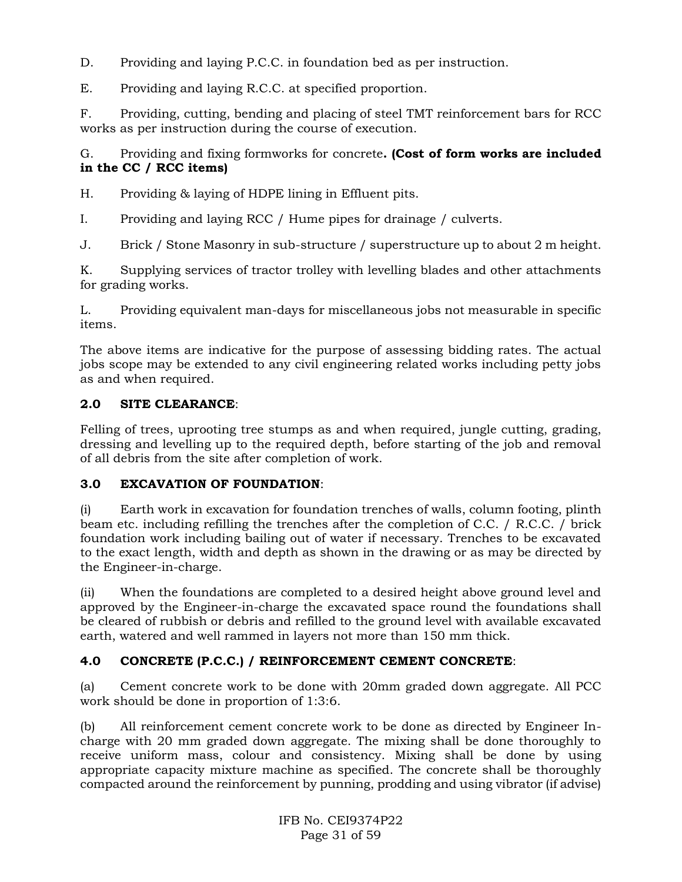D. Providing and laying P.C.C. in foundation bed as per instruction.

E. Providing and laying R.C.C. at specified proportion.

F. Providing, cutting, bending and placing of steel TMT reinforcement bars for RCC works as per instruction during the course of execution.

G. Providing and fixing formworks for concrete**. (Cost of form works are included in the CC / RCC items)** 

H. Providing & laying of HDPE lining in Effluent pits.

I. Providing and laying RCC / Hume pipes for drainage / culverts.

J. Brick / Stone Masonry in sub-structure / superstructure up to about 2 m height.

K. Supplying services of tractor trolley with levelling blades and other attachments for grading works.

L. Providing equivalent man-days for miscellaneous jobs not measurable in specific items.

The above items are indicative for the purpose of assessing bidding rates. The actual jobs scope may be extended to any civil engineering related works including petty jobs as and when required.

## **2.0 SITE CLEARANCE**:

Felling of trees, uprooting tree stumps as and when required, jungle cutting, grading, dressing and levelling up to the required depth, before starting of the job and removal of all debris from the site after completion of work.

## **3.0 EXCAVATION OF FOUNDATION**:

(i) Earth work in excavation for foundation trenches of walls, column footing, plinth beam etc. including refilling the trenches after the completion of C.C. / R.C.C. / brick foundation work including bailing out of water if necessary. Trenches to be excavated to the exact length, width and depth as shown in the drawing or as may be directed by the Engineer-in-charge.

(ii) When the foundations are completed to a desired height above ground level and approved by the Engineer-in-charge the excavated space round the foundations shall be cleared of rubbish or debris and refilled to the ground level with available excavated earth, watered and well rammed in layers not more than 150 mm thick.

## **4.0 CONCRETE (P.C.C.) / REINFORCEMENT CEMENT CONCRETE**:

(a) Cement concrete work to be done with 20mm graded down aggregate. All PCC work should be done in proportion of 1:3:6.

(b) All reinforcement cement concrete work to be done as directed by Engineer Incharge with 20 mm graded down aggregate. The mixing shall be done thoroughly to receive uniform mass, colour and consistency. Mixing shall be done by using appropriate capacity mixture machine as specified. The concrete shall be thoroughly compacted around the reinforcement by punning, prodding and using vibrator (if advise)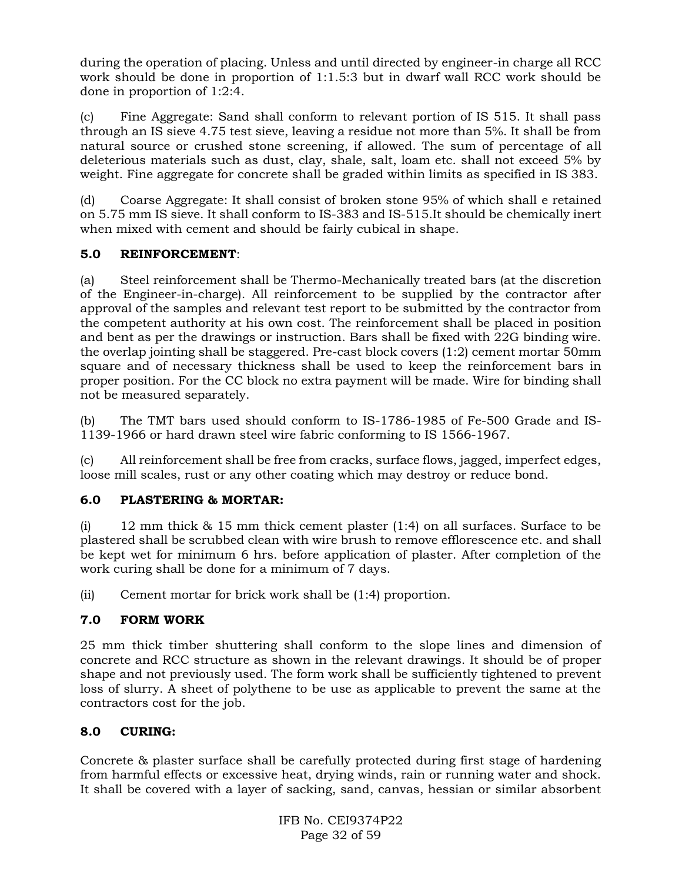during the operation of placing. Unless and until directed by engineer-in charge all RCC work should be done in proportion of 1:1.5:3 but in dwarf wall RCC work should be done in proportion of 1:2:4.

(c) Fine Aggregate: Sand shall conform to relevant portion of IS 515. It shall pass through an IS sieve 4.75 test sieve, leaving a residue not more than 5%. It shall be from natural source or crushed stone screening, if allowed. The sum of percentage of all deleterious materials such as dust, clay, shale, salt, loam etc. shall not exceed 5% by weight. Fine aggregate for concrete shall be graded within limits as specified in IS 383.

(d) Coarse Aggregate: It shall consist of broken stone 95% of which shall e retained on 5.75 mm IS sieve. It shall conform to IS-383 and IS-515.It should be chemically inert when mixed with cement and should be fairly cubical in shape.

## **5.0 REINFORCEMENT**:

(a) Steel reinforcement shall be Thermo-Mechanically treated bars (at the discretion of the Engineer-in-charge). All reinforcement to be supplied by the contractor after approval of the samples and relevant test report to be submitted by the contractor from the competent authority at his own cost. The reinforcement shall be placed in position and bent as per the drawings or instruction. Bars shall be fixed with 22G binding wire. the overlap jointing shall be staggered. Pre-cast block covers (1:2) cement mortar 50mm square and of necessary thickness shall be used to keep the reinforcement bars in proper position. For the CC block no extra payment will be made. Wire for binding shall not be measured separately.

(b) The TMT bars used should conform to IS-1786-1985 of Fe-500 Grade and IS-1139-1966 or hard drawn steel wire fabric conforming to IS 1566-1967.

(c) All reinforcement shall be free from cracks, surface flows, jagged, imperfect edges, loose mill scales, rust or any other coating which may destroy or reduce bond.

## **6.0 PLASTERING & MORTAR:**

(i) 12 mm thick & 15 mm thick cement plaster (1:4) on all surfaces. Surface to be plastered shall be scrubbed clean with wire brush to remove efflorescence etc. and shall be kept wet for minimum 6 hrs. before application of plaster. After completion of the work curing shall be done for a minimum of 7 days.

(ii) Cement mortar for brick work shall be (1:4) proportion.

## **7.0 FORM WORK**

25 mm thick timber shuttering shall conform to the slope lines and dimension of concrete and RCC structure as shown in the relevant drawings. It should be of proper shape and not previously used. The form work shall be sufficiently tightened to prevent loss of slurry. A sheet of polythene to be use as applicable to prevent the same at the contractors cost for the job.

## **8.0 CURING:**

Concrete & plaster surface shall be carefully protected during first stage of hardening from harmful effects or excessive heat, drying winds, rain or running water and shock. It shall be covered with a layer of sacking, sand, canvas, hessian or similar absorbent

> IFB No. CEI9374P22 Page 32 of 59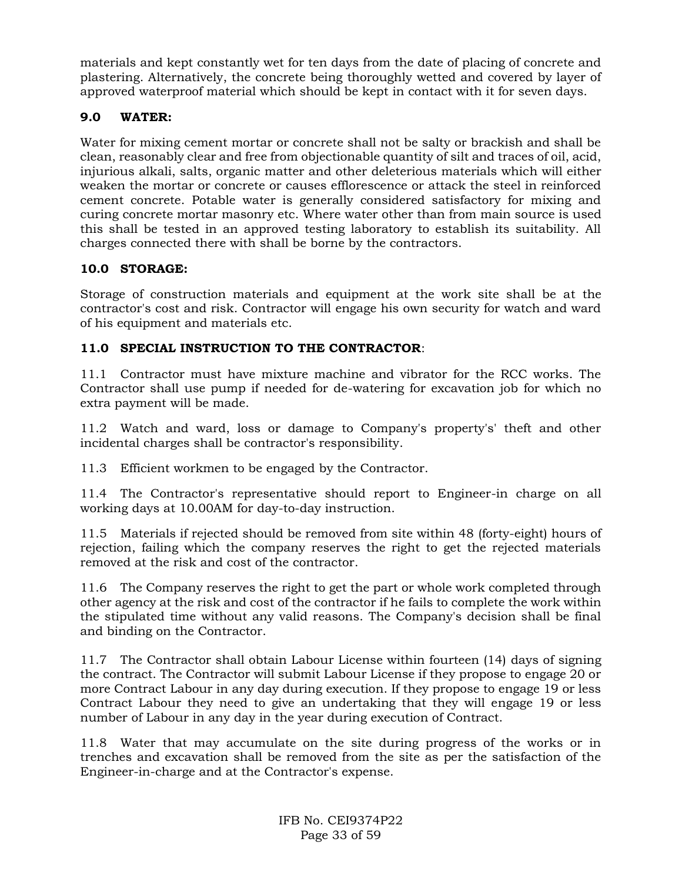materials and kept constantly wet for ten days from the date of placing of concrete and plastering. Alternatively, the concrete being thoroughly wetted and covered by layer of approved waterproof material which should be kept in contact with it for seven days.

## **9.0 WATER:**

Water for mixing cement mortar or concrete shall not be salty or brackish and shall be clean, reasonably clear and free from objectionable quantity of silt and traces of oil, acid, injurious alkali, salts, organic matter and other deleterious materials which will either weaken the mortar or concrete or causes efflorescence or attack the steel in reinforced cement concrete. Potable water is generally considered satisfactory for mixing and curing concrete mortar masonry etc. Where water other than from main source is used this shall be tested in an approved testing laboratory to establish its suitability. All charges connected there with shall be borne by the contractors.

## **10.0 STORAGE:**

Storage of construction materials and equipment at the work site shall be at the contractor's cost and risk. Contractor will engage his own security for watch and ward of his equipment and materials etc.

## **11.0 SPECIAL INSTRUCTION TO THE CONTRACTOR**:

11.1 Contractor must have mixture machine and vibrator for the RCC works. The Contractor shall use pump if needed for de-watering for excavation job for which no extra payment will be made.

11.2 Watch and ward, loss or damage to Company's property's' theft and other incidental charges shall be contractor's responsibility.

11.3 Efficient workmen to be engaged by the Contractor.

11.4 The Contractor's representative should report to Engineer-in charge on all working days at 10.00AM for day-to-day instruction.

11.5 Materials if rejected should be removed from site within 48 (forty-eight) hours of rejection, failing which the company reserves the right to get the rejected materials removed at the risk and cost of the contractor.

11.6 The Company reserves the right to get the part or whole work completed through other agency at the risk and cost of the contractor if he fails to complete the work within the stipulated time without any valid reasons. The Company's decision shall be final and binding on the Contractor.

11.7 The Contractor shall obtain Labour License within fourteen (14) days of signing the contract. The Contractor will submit Labour License if they propose to engage 20 or more Contract Labour in any day during execution. If they propose to engage 19 or less Contract Labour they need to give an undertaking that they will engage 19 or less number of Labour in any day in the year during execution of Contract.

11.8 Water that may accumulate on the site during progress of the works or in trenches and excavation shall be removed from the site as per the satisfaction of the Engineer-in-charge and at the Contractor's expense.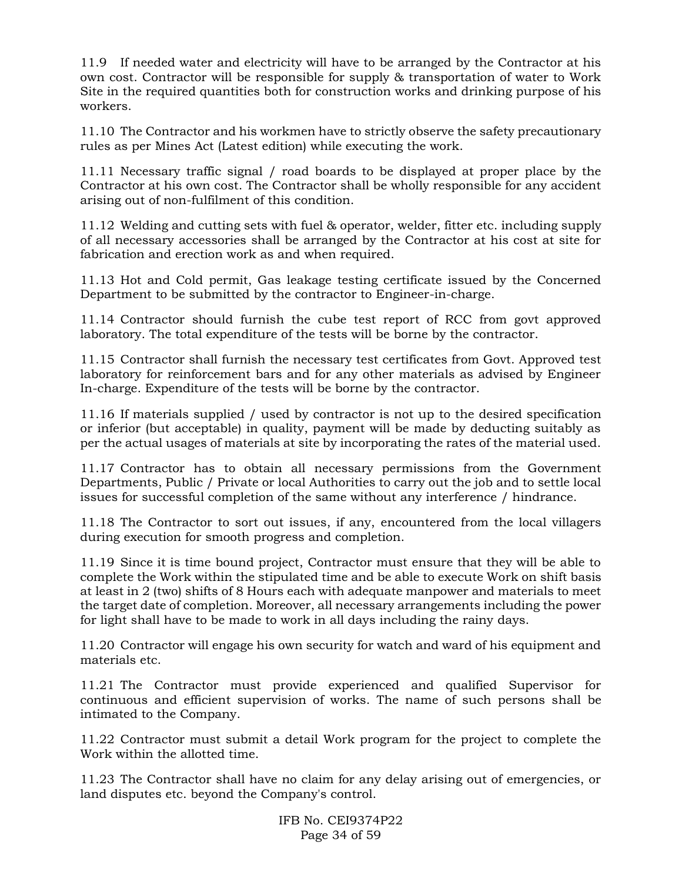11.9 If needed water and electricity will have to be arranged by the Contractor at his own cost. Contractor will be responsible for supply & transportation of water to Work Site in the required quantities both for construction works and drinking purpose of his workers.

11.10 The Contractor and his workmen have to strictly observe the safety precautionary rules as per Mines Act (Latest edition) while executing the work.

11.11 Necessary traffic signal / road boards to be displayed at proper place by the Contractor at his own cost. The Contractor shall be wholly responsible for any accident arising out of non-fulfilment of this condition.

11.12 Welding and cutting sets with fuel & operator, welder, fitter etc. including supply of all necessary accessories shall be arranged by the Contractor at his cost at site for fabrication and erection work as and when required.

11.13 Hot and Cold permit, Gas leakage testing certificate issued by the Concerned Department to be submitted by the contractor to Engineer-in-charge.

11.14 Contractor should furnish the cube test report of RCC from govt approved laboratory. The total expenditure of the tests will be borne by the contractor.

11.15 Contractor shall furnish the necessary test certificates from Govt. Approved test laboratory for reinforcement bars and for any other materials as advised by Engineer In-charge. Expenditure of the tests will be borne by the contractor.

11.16 If materials supplied / used by contractor is not up to the desired specification or inferior (but acceptable) in quality, payment will be made by deducting suitably as per the actual usages of materials at site by incorporating the rates of the material used.

11.17 Contractor has to obtain all necessary permissions from the Government Departments, Public / Private or local Authorities to carry out the job and to settle local issues for successful completion of the same without any interference / hindrance.

11.18 The Contractor to sort out issues, if any, encountered from the local villagers during execution for smooth progress and completion.

11.19 Since it is time bound project, Contractor must ensure that they will be able to complete the Work within the stipulated time and be able to execute Work on shift basis at least in 2 (two) shifts of 8 Hours each with adequate manpower and materials to meet the target date of completion. Moreover, all necessary arrangements including the power for light shall have to be made to work in all days including the rainy days.

11.20 Contractor will engage his own security for watch and ward of his equipment and materials etc.

11.21 The Contractor must provide experienced and qualified Supervisor for continuous and efficient supervision of works. The name of such persons shall be intimated to the Company.

11.22 Contractor must submit a detail Work program for the project to complete the Work within the allotted time.

11.23 The Contractor shall have no claim for any delay arising out of emergencies, or land disputes etc. beyond the Company's control.

> IFB No. CEI9374P22 Page 34 of 59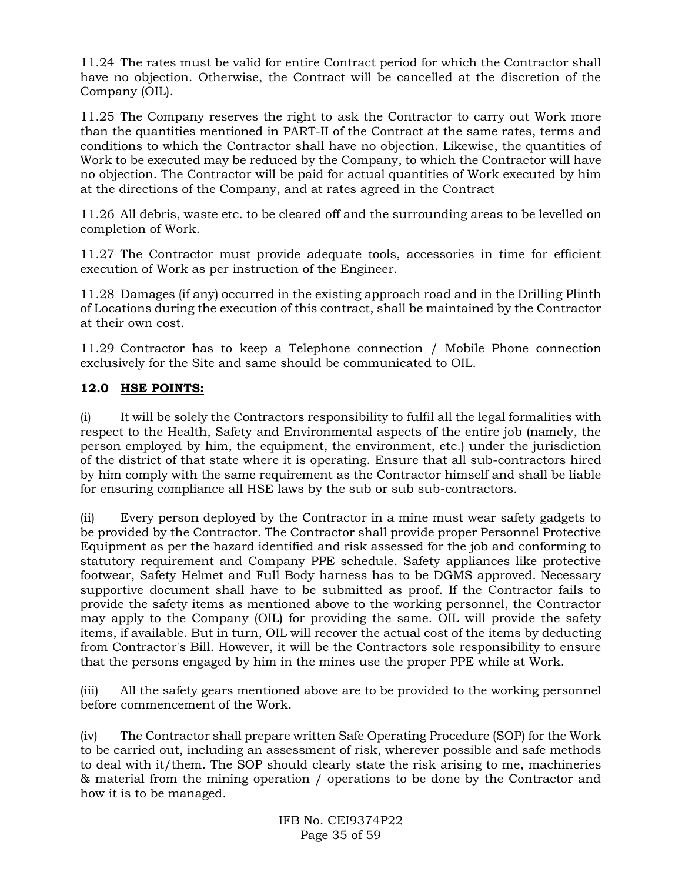11.24 The rates must be valid for entire Contract period for which the Contractor shall have no objection. Otherwise, the Contract will be cancelled at the discretion of the Company (OIL).

11.25 The Company reserves the right to ask the Contractor to carry out Work more than the quantities mentioned in PART-II of the Contract at the same rates, terms and conditions to which the Contractor shall have no objection. Likewise, the quantities of Work to be executed may be reduced by the Company, to which the Contractor will have no objection. The Contractor will be paid for actual quantities of Work executed by him at the directions of the Company, and at rates agreed in the Contract

11.26 All debris, waste etc. to be cleared off and the surrounding areas to be levelled on completion of Work.

11.27 The Contractor must provide adequate tools, accessories in time for efficient execution of Work as per instruction of the Engineer.

11.28 Damages (if any) occurred in the existing approach road and in the Drilling Plinth of Locations during the execution of this contract, shall be maintained by the Contractor at their own cost.

11.29 Contractor has to keep a Telephone connection / Mobile Phone connection exclusively for the Site and same should be communicated to OIL.

## **12.0 HSE POINTS:**

(i) It will be solely the Contractors responsibility to fulfil all the legal formalities with respect to the Health, Safety and Environmental aspects of the entire job (namely, the person employed by him, the equipment, the environment, etc.) under the jurisdiction of the district of that state where it is operating. Ensure that all sub-contractors hired by him comply with the same requirement as the Contractor himself and shall be liable for ensuring compliance all HSE laws by the sub or sub sub-contractors.

(ii) Every person deployed by the Contractor in a mine must wear safety gadgets to be provided by the Contractor. The Contractor shall provide proper Personnel Protective Equipment as per the hazard identified and risk assessed for the job and conforming to statutory requirement and Company PPE schedule. Safety appliances like protective footwear, Safety Helmet and Full Body harness has to be DGMS approved. Necessary supportive document shall have to be submitted as proof. If the Contractor fails to provide the safety items as mentioned above to the working personnel, the Contractor may apply to the Company (OIL) for providing the same. OIL will provide the safety items, if available. But in turn, OIL will recover the actual cost of the items by deducting from Contractor's Bill. However, it will be the Contractors sole responsibility to ensure that the persons engaged by him in the mines use the proper PPE while at Work.

(iii) All the safety gears mentioned above are to be provided to the working personnel before commencement of the Work.

(iv) The Contractor shall prepare written Safe Operating Procedure (SOP) for the Work to be carried out, including an assessment of risk, wherever possible and safe methods to deal with it/them. The SOP should clearly state the risk arising to me, machineries & material from the mining operation / operations to be done by the Contractor and how it is to be managed.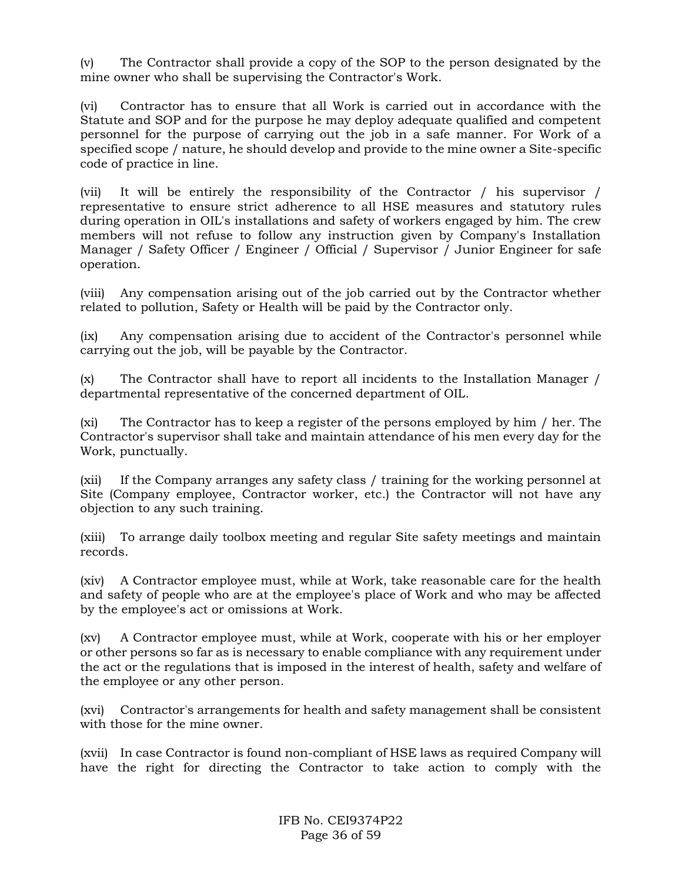(v) The Contractor shall provide a copy of the SOP to the person designated by the mine owner who shall be supervising the Contractor's Work.

(vi) Contractor has to ensure that all Work is carried out in accordance with the Statute and SOP and for the purpose he may deploy adequate qualified and competent personnel for the purpose of carrying out the job in a safe manner. For Work of a specified scope / nature, he should develop and provide to the mine owner a Site-specific code of practice in line.

(vii) It will be entirely the responsibility of the Contractor / his supervisor / representative to ensure strict adherence to all HSE measures and statutory rules during operation in OIL's installations and safety of workers engaged by him. The crew members will not refuse to follow any instruction given by Company's Installation Manager / Safety Officer / Engineer / Official / Supervisor / Junior Engineer for safe operation.

(viii) Any compensation arising out of the job carried out by the Contractor whether related to pollution, Safety or Health will be paid by the Contractor only.

(ix) Any compensation arising due to accident of the Contractor's personnel while carrying out the job, will be payable by the Contractor.

(x) The Contractor shall have to report all incidents to the Installation Manager / departmental representative of the concerned department of OIL.

(xi) The Contractor has to keep a register of the persons employed by him / her. The Contractor's supervisor shall take and maintain attendance of his men every day for the Work, punctually.

(xii) If the Company arranges any safety class / training for the working personnel at Site (Company employee, Contractor worker, etc.) the Contractor will not have any objection to any such training.

(xiii) To arrange daily toolbox meeting and regular Site safety meetings and maintain records.

(xiv) A Contractor employee must, while at Work, take reasonable care for the health and safety of people who are at the employee's place of Work and who may be affected by the employee's act or omissions at Work.

(xv) A Contractor employee must, while at Work, cooperate with his or her employer or other persons so far as is necessary to enable compliance with any requirement under the act or the regulations that is imposed in the interest of health, safety and welfare of the employee or any other person.

(xvi) Contractor's arrangements for health and safety management shall be consistent with those for the mine owner.

(xvii) In case Contractor is found non-compliant of HSE laws as required Company will have the right for directing the Contractor to take action to comply with the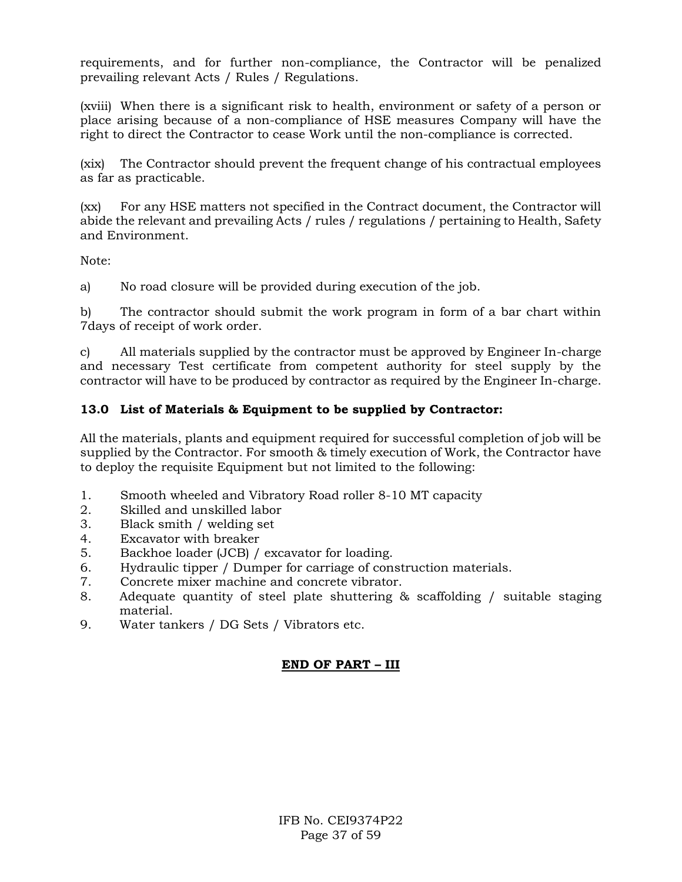requirements, and for further non-compliance, the Contractor will be penalized prevailing relevant Acts / Rules / Regulations.

(xviii) When there is a significant risk to health, environment or safety of a person or place arising because of a non-compliance of HSE measures Company will have the right to direct the Contractor to cease Work until the non-compliance is corrected.

(xix) The Contractor should prevent the frequent change of his contractual employees as far as practicable.

(xx) For any HSE matters not specified in the Contract document, the Contractor will abide the relevant and prevailing Acts / rules / regulations / pertaining to Health, Safety and Environment.

Note:

a) No road closure will be provided during execution of the job.

b) The contractor should submit the work program in form of a bar chart within 7days of receipt of work order.

c) All materials supplied by the contractor must be approved by Engineer In-charge and necessary Test certificate from competent authority for steel supply by the contractor will have to be produced by contractor as required by the Engineer In-charge.

### **13.0 List of Materials & Equipment to be supplied by Contractor:**

All the materials, plants and equipment required for successful completion of job will be supplied by the Contractor. For smooth & timely execution of Work, the Contractor have to deploy the requisite Equipment but not limited to the following:

- 1. Smooth wheeled and Vibratory Road roller 8-10 MT capacity
- 2. Skilled and unskilled labor
- 3. Black smith / welding set
- 4. Excavator with breaker
- 5. Backhoe loader (JCB) / excavator for loading.
- 6. Hydraulic tipper / Dumper for carriage of construction materials.
- 7. Concrete mixer machine and concrete vibrator.
- 8. Adequate quantity of steel plate shuttering & scaffolding / suitable staging material.
- 9. Water tankers / DG Sets / Vibrators etc.

## **END OF PART – III**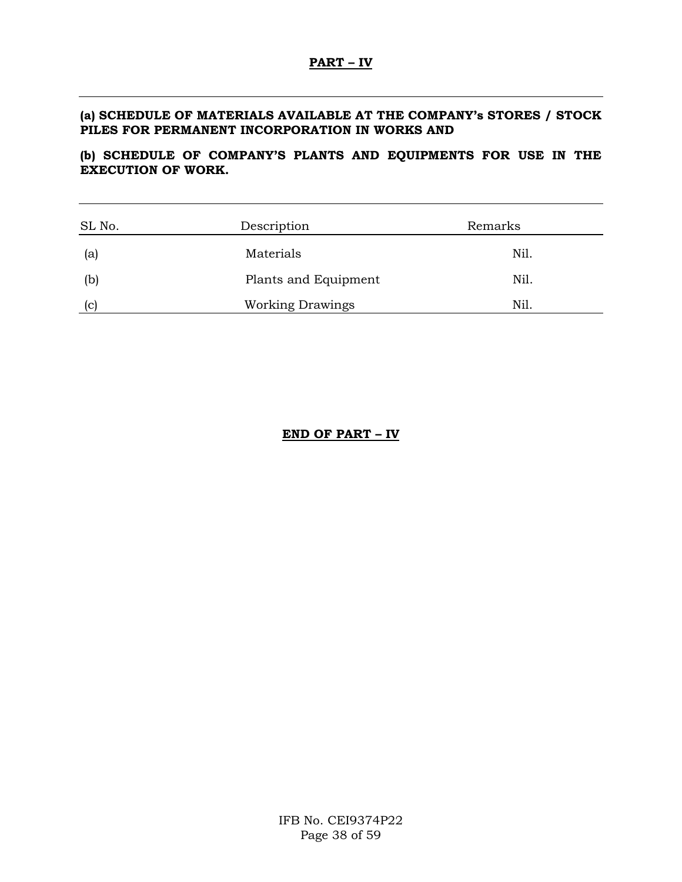### **(a) SCHEDULE OF MATERIALS AVAILABLE AT THE COMPANY's STORES / STOCK PILES FOR PERMANENT INCORPORATION IN WORKS AND**

## **(b) SCHEDULE OF COMPANY'S PLANTS AND EQUIPMENTS FOR USE IN THE EXECUTION OF WORK.**

| SL No.      | Description             | Remarks |
|-------------|-------------------------|---------|
| (a)         | Materials               | Nil.    |
| (b)         | Plants and Equipment    | Nil.    |
| $ {\rm c} $ | <b>Working Drawings</b> | Nil.    |

### **END OF PART – IV**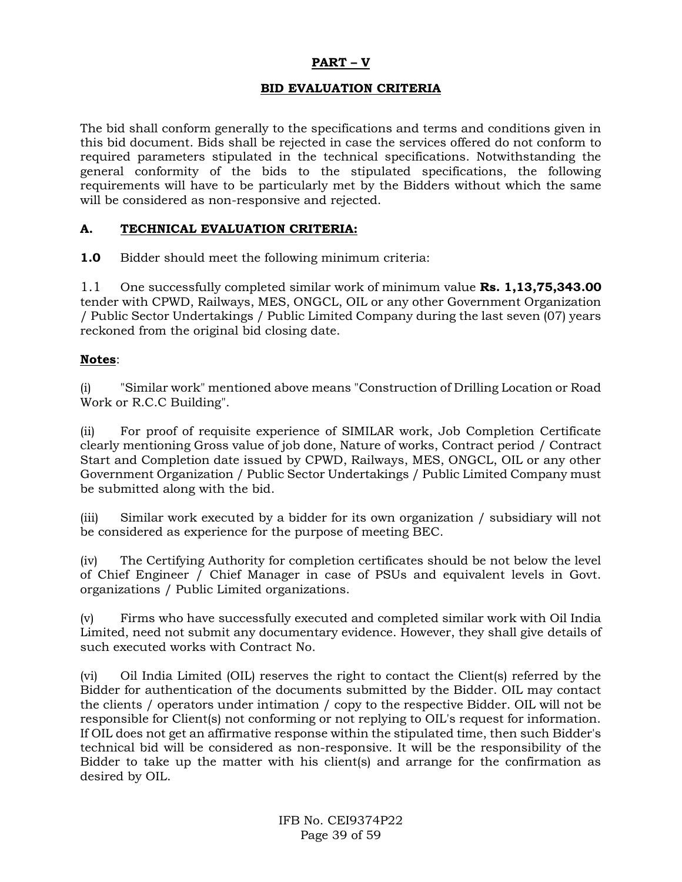## **PART – V**

## **BID EVALUATION CRITERIA**

The bid shall conform generally to the specifications and terms and conditions given in this bid document. Bids shall be rejected in case the services offered do not conform to required parameters stipulated in the technical specifications. Notwithstanding the general conformity of the bids to the stipulated specifications, the following requirements will have to be particularly met by the Bidders without which the same will be considered as non-responsive and rejected.

## **A. TECHNICAL EVALUATION CRITERIA:**

**1.0** Bidder should meet the following minimum criteria:

1.1 One successfully completed similar work of minimum value **Rs. 1,13,75,343.00**  tender with CPWD, Railways, MES, ONGCL, OIL or any other Government Organization / Public Sector Undertakings / Public Limited Company during the last seven (07) years reckoned from the original bid closing date.

### **Notes**:

(i) "Similar work" mentioned above means "Construction of Drilling Location or Road Work or R.C.C Building".

(ii) For proof of requisite experience of SIMILAR work, Job Completion Certificate clearly mentioning Gross value of job done, Nature of works, Contract period / Contract Start and Completion date issued by CPWD, Railways, MES, ONGCL, OIL or any other Government Organization / Public Sector Undertakings / Public Limited Company must be submitted along with the bid.

(iii) Similar work executed by a bidder for its own organization / subsidiary will not be considered as experience for the purpose of meeting BEC.

(iv) The Certifying Authority for completion certificates should be not below the level of Chief Engineer / Chief Manager in case of PSUs and equivalent levels in Govt. organizations / Public Limited organizations.

(v) Firms who have successfully executed and completed similar work with Oil India Limited, need not submit any documentary evidence. However, they shall give details of such executed works with Contract No.

(vi) Oil India Limited (OIL) reserves the right to contact the Client(s) referred by the Bidder for authentication of the documents submitted by the Bidder. OIL may contact the clients / operators under intimation / copy to the respective Bidder. OIL will not be responsible for Client(s) not conforming or not replying to OIL's request for information. If OIL does not get an affirmative response within the stipulated time, then such Bidder's technical bid will be considered as non-responsive. It will be the responsibility of the Bidder to take up the matter with his client(s) and arrange for the confirmation as desired by OIL.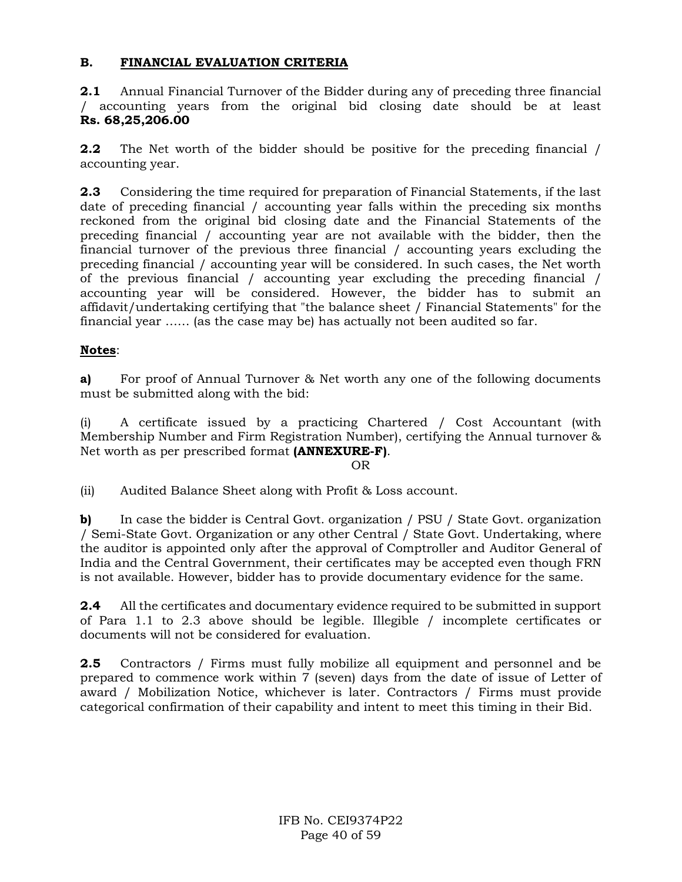## **B. FINANCIAL EVALUATION CRITERIA**

**2.1** Annual Financial Turnover of the Bidder during any of preceding three financial / accounting years from the original bid closing date should be at least **Rs. 68,25,206.00**

**2.2** The Net worth of the bidder should be positive for the preceding financial / accounting year.

**2.3** Considering the time required for preparation of Financial Statements, if the last date of preceding financial / accounting year falls within the preceding six months reckoned from the original bid closing date and the Financial Statements of the preceding financial / accounting year are not available with the bidder, then the financial turnover of the previous three financial / accounting years excluding the preceding financial / accounting year will be considered. In such cases, the Net worth of the previous financial / accounting year excluding the preceding financial / accounting year will be considered. However, the bidder has to submit an affidavit/undertaking certifying that "the balance sheet / Financial Statements" for the financial year …… (as the case may be) has actually not been audited so far.

## **Notes**:

**a)** For proof of Annual Turnover & Net worth any one of the following documents must be submitted along with the bid:

(i) A certificate issued by a practicing Chartered / Cost Accountant (with Membership Number and Firm Registration Number), certifying the Annual turnover & Net worth as per prescribed format **(ANNEXURE-F)**.

#### OR

(ii) Audited Balance Sheet along with Profit & Loss account.

**b)** In case the bidder is Central Govt. organization / PSU / State Govt. organization / Semi-State Govt. Organization or any other Central / State Govt. Undertaking, where the auditor is appointed only after the approval of Comptroller and Auditor General of India and the Central Government, their certificates may be accepted even though FRN is not available. However, bidder has to provide documentary evidence for the same.

**2.4** All the certificates and documentary evidence required to be submitted in support of Para 1.1 to 2.3 above should be legible. Illegible / incomplete certificates or documents will not be considered for evaluation.

**2.5** Contractors / Firms must fully mobilize all equipment and personnel and be prepared to commence work within 7 (seven) days from the date of issue of Letter of award / Mobilization Notice, whichever is later. Contractors / Firms must provide categorical confirmation of their capability and intent to meet this timing in their Bid.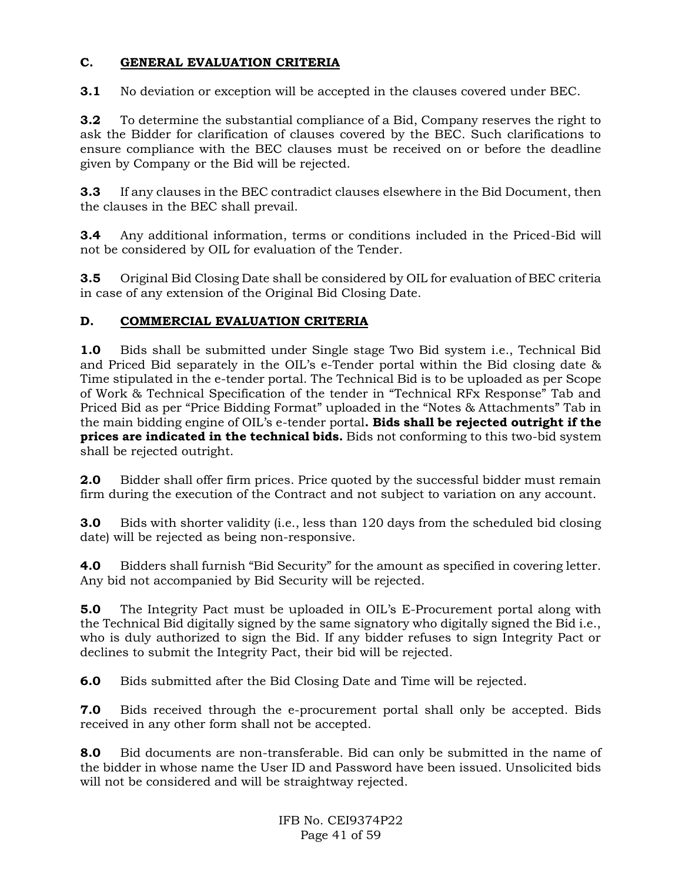## **C. GENERAL EVALUATION CRITERIA**

**3.1** No deviation or exception will be accepted in the clauses covered under BEC.

**3.2** To determine the substantial compliance of a Bid, Company reserves the right to ask the Bidder for clarification of clauses covered by the BEC. Such clarifications to ensure compliance with the BEC clauses must be received on or before the deadline given by Company or the Bid will be rejected.

**3.3** If any clauses in the BEC contradict clauses elsewhere in the Bid Document, then the clauses in the BEC shall prevail.

**3.4** Any additional information, terms or conditions included in the Priced-Bid will not be considered by OIL for evaluation of the Tender.

**3.5** Original Bid Closing Date shall be considered by OIL for evaluation of BEC criteria in case of any extension of the Original Bid Closing Date.

## **D. COMMERCIAL EVALUATION CRITERIA**

**1.0** Bids shall be submitted under Single stage Two Bid system i.e., Technical Bid and Priced Bid separately in the OIL's e-Tender portal within the Bid closing date & Time stipulated in the e-tender portal. The Technical Bid is to be uploaded as per Scope of Work & Technical Specification of the tender in "Technical RFx Response" Tab and Priced Bid as per "Price Bidding Format" uploaded in the "Notes & Attachments" Tab in the main bidding engine of OIL's e-tender portal**. Bids shall be rejected outright if the prices are indicated in the technical bids.** Bids not conforming to this two-bid system shall be rejected outright.

**2.0** Bidder shall offer firm prices. Price quoted by the successful bidder must remain firm during the execution of the Contract and not subject to variation on any account.

**3.0** Bids with shorter validity (i.e., less than 120 days from the scheduled bid closing date) will be rejected as being non-responsive.

**4.0** Bidders shall furnish "Bid Security" for the amount as specified in covering letter. Any bid not accompanied by Bid Security will be rejected.

**5.0** The Integrity Pact must be uploaded in OIL's E-Procurement portal along with the Technical Bid digitally signed by the same signatory who digitally signed the Bid i.e., who is duly authorized to sign the Bid. If any bidder refuses to sign Integrity Pact or declines to submit the Integrity Pact, their bid will be rejected.

**6.0** Bids submitted after the Bid Closing Date and Time will be rejected.

**7.0** Bids received through the e-procurement portal shall only be accepted. Bids received in any other form shall not be accepted.

**8.0** Bid documents are non-transferable. Bid can only be submitted in the name of the bidder in whose name the User ID and Password have been issued. Unsolicited bids will not be considered and will be straightway rejected.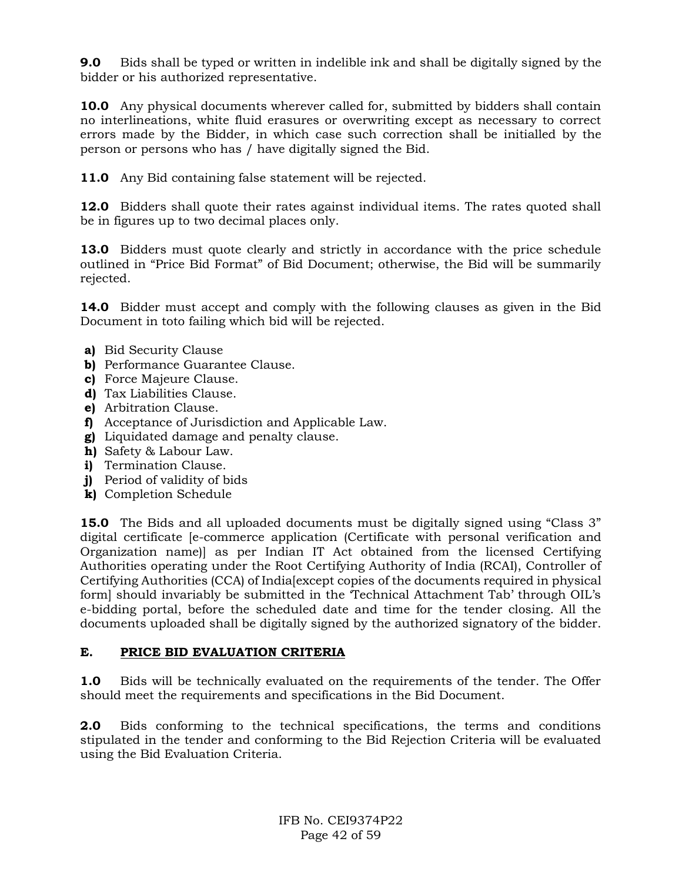**9.0** Bids shall be typed or written in indelible ink and shall be digitally signed by the bidder or his authorized representative.

**10.0** Any physical documents wherever called for, submitted by bidders shall contain no interlineations, white fluid erasures or overwriting except as necessary to correct errors made by the Bidder, in which case such correction shall be initialled by the person or persons who has / have digitally signed the Bid.

**11.0** Any Bid containing false statement will be rejected.

**12.0** Bidders shall quote their rates against individual items. The rates quoted shall be in figures up to two decimal places only.

**13.0** Bidders must quote clearly and strictly in accordance with the price schedule outlined in "Price Bid Format" of Bid Document; otherwise, the Bid will be summarily rejected.

**14.0** Bidder must accept and comply with the following clauses as given in the Bid Document in toto failing which bid will be rejected.

- **a)** Bid Security Clause
- **b)** Performance Guarantee Clause.
- **c)** Force Majeure Clause.
- **d)** Tax Liabilities Clause.
- **e)** Arbitration Clause.
- **f)** Acceptance of Jurisdiction and Applicable Law.
- **g)** Liquidated damage and penalty clause.
- **h)** Safety & Labour Law.
- **i)** Termination Clause.
- **j)** Period of validity of bids
- **k)** Completion Schedule

**15.0** The Bids and all uploaded documents must be digitally signed using "Class 3" digital certificate [e-commerce application (Certificate with personal verification and Organization name)] as per Indian IT Act obtained from the licensed Certifying Authorities operating under the Root Certifying Authority of India (RCAI), Controller of Certifying Authorities (CCA) of India[except copies of the documents required in physical form] should invariably be submitted in the 'Technical Attachment Tab' through OIL's e-bidding portal, before the scheduled date and time for the tender closing. All the documents uploaded shall be digitally signed by the authorized signatory of the bidder.

## **E. PRICE BID EVALUATION CRITERIA**

**1.0** Bids will be technically evaluated on the requirements of the tender. The Offer should meet the requirements and specifications in the Bid Document.

**2.0** Bids conforming to the technical specifications, the terms and conditions stipulated in the tender and conforming to the Bid Rejection Criteria will be evaluated using the Bid Evaluation Criteria.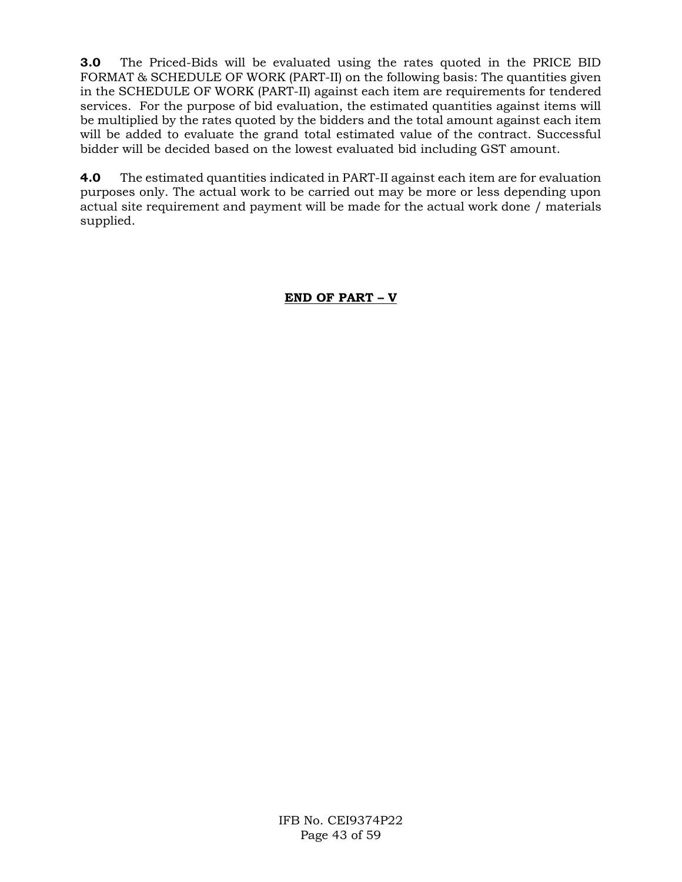**3.0** The Priced-Bids will be evaluated using the rates quoted in the PRICE BID FORMAT & SCHEDULE OF WORK (PART-II) on the following basis: The quantities given in the SCHEDULE OF WORK (PART-II) against each item are requirements for tendered services. For the purpose of bid evaluation, the estimated quantities against items will be multiplied by the rates quoted by the bidders and the total amount against each item will be added to evaluate the grand total estimated value of the contract. Successful bidder will be decided based on the lowest evaluated bid including GST amount.

**4.0** The estimated quantities indicated in PART-II against each item are for evaluation purposes only. The actual work to be carried out may be more or less depending upon actual site requirement and payment will be made for the actual work done / materials supplied.

## **END OF PART – V**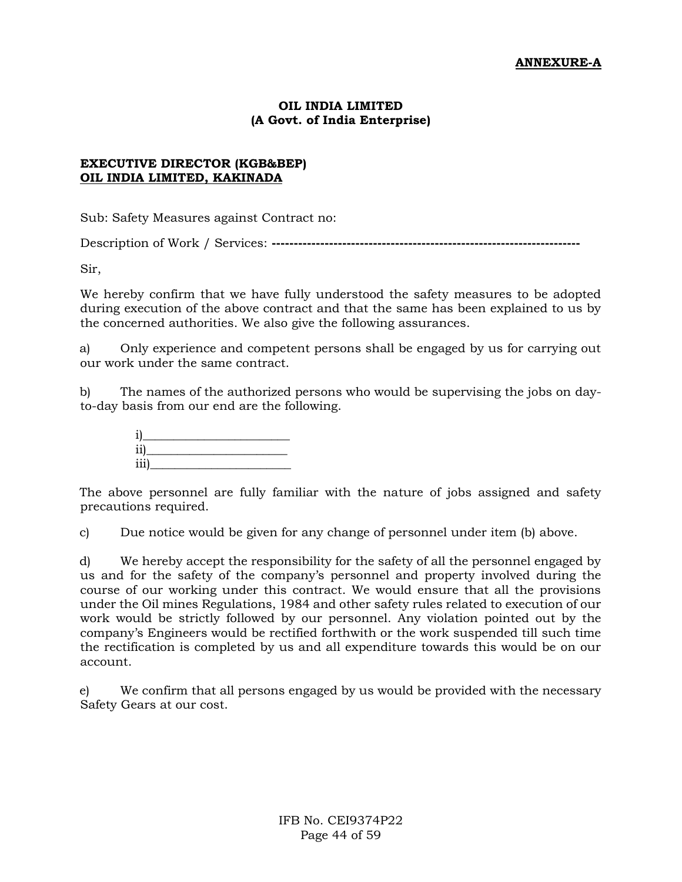### **OIL INDIA LIMITED (A Govt. of India Enterprise)**

### **EXECUTIVE DIRECTOR (KGB&BEP) OIL INDIA LIMITED, KAKINADA**

Sub: Safety Measures against Contract no:

Description of Work / Services: **----------------------------------------------------------------------**

Sir,

We hereby confirm that we have fully understood the safety measures to be adopted during execution of the above contract and that the same has been explained to us by the concerned authorities. We also give the following assurances.

a) Only experience and competent persons shall be engaged by us for carrying out our work under the same contract.

b) The names of the authorized persons who would be supervising the jobs on dayto-day basis from our end are the following.



The above personnel are fully familiar with the nature of jobs assigned and safety precautions required.

c) Due notice would be given for any change of personnel under item (b) above.

d) We hereby accept the responsibility for the safety of all the personnel engaged by us and for the safety of the company's personnel and property involved during the course of our working under this contract. We would ensure that all the provisions under the Oil mines Regulations, 1984 and other safety rules related to execution of our work would be strictly followed by our personnel. Any violation pointed out by the company's Engineers would be rectified forthwith or the work suspended till such time the rectification is completed by us and all expenditure towards this would be on our account.

e) We confirm that all persons engaged by us would be provided with the necessary Safety Gears at our cost.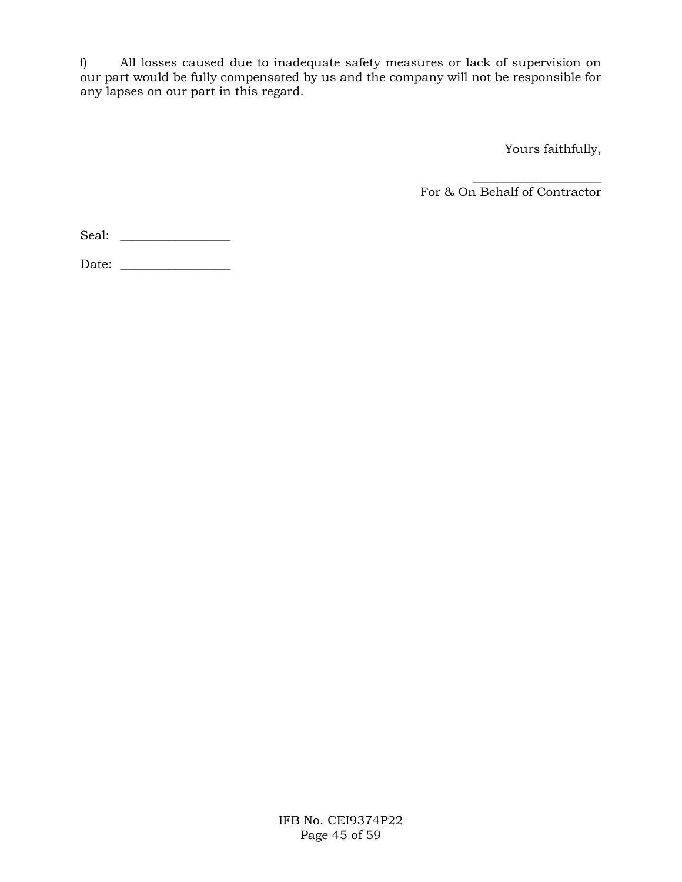f) All losses caused due to inadequate safety measures or lack of supervision on our part would be fully compensated by us and the company will not be responsible for any lapses on our part in this regard.

Yours faithfully,

 $\overline{\phantom{a}}$  ,  $\overline{\phantom{a}}$  ,  $\overline{\phantom{a}}$  ,  $\overline{\phantom{a}}$  ,  $\overline{\phantom{a}}$  ,  $\overline{\phantom{a}}$  ,  $\overline{\phantom{a}}$  ,  $\overline{\phantom{a}}$  ,  $\overline{\phantom{a}}$  ,  $\overline{\phantom{a}}$  ,  $\overline{\phantom{a}}$  ,  $\overline{\phantom{a}}$  ,  $\overline{\phantom{a}}$  ,  $\overline{\phantom{a}}$  ,  $\overline{\phantom{a}}$  ,  $\overline{\phantom{a}}$ For & On Behalf of Contractor

Seal: \_\_\_\_\_\_\_\_\_\_\_\_\_\_\_\_\_\_

Date: \_\_\_\_\_\_\_\_\_\_\_\_\_\_\_\_\_\_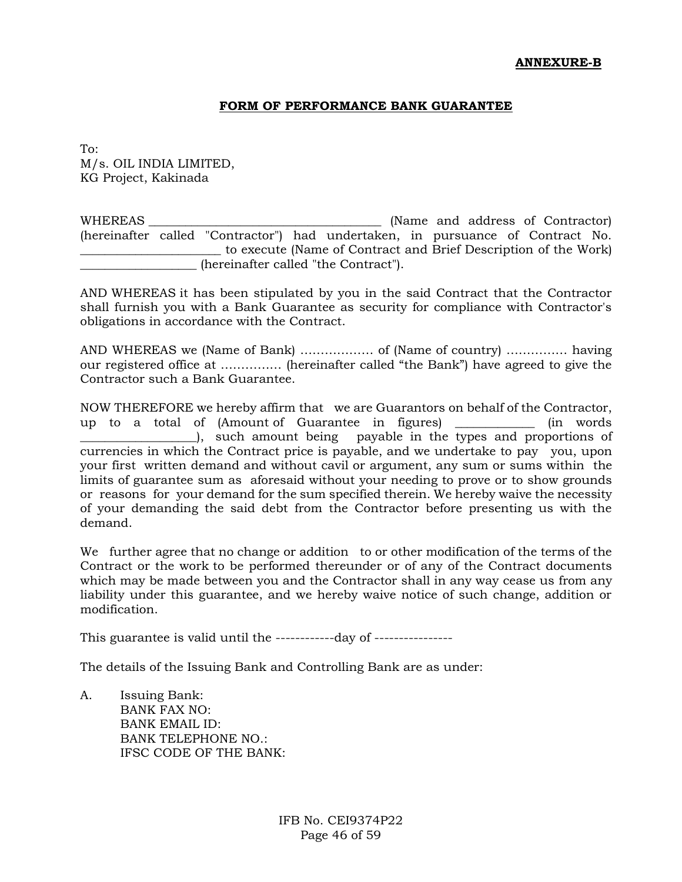#### **ANNEXURE-B**

#### **FORM OF PERFORMANCE BANK GUARANTEE**

To: M/s. OIL INDIA LIMITED, KG Project, Kakinada

WHEREAS \_\_\_\_\_\_\_\_\_\_\_\_\_\_\_\_\_\_\_\_\_\_\_\_\_\_\_\_\_\_\_\_\_\_\_\_\_\_ (Name and address of Contractor) (hereinafter called "Contractor") had undertaken, in pursuance of Contract No. \_\_\_\_\_\_\_\_\_\_\_\_\_\_\_\_\_\_\_\_\_\_\_ to execute (Name of Contract and Brief Description of the Work) (hereinafter called "the Contract").

AND WHEREAS it has been stipulated by you in the said Contract that the Contractor shall furnish you with a Bank Guarantee as security for compliance with Contractor's obligations in accordance with the Contract.

AND WHEREAS we (Name of Bank) ……………… of (Name of country) …………… having our registered office at …………… (hereinafter called "the Bank") have agreed to give the Contractor such a Bank Guarantee.

NOW THEREFORE we hereby affirm that we are Guarantors on behalf of the Contractor, up to a total of (Amount of Guarantee in figures) \_\_\_\_\_\_\_\_\_\_\_\_\_ (in words \_\_\_\_\_\_\_\_\_\_\_\_\_\_\_\_\_\_\_), such amount being payable in the types and proportions of currencies in which the Contract price is payable, and we undertake to pay you, upon your first written demand and without cavil or argument, any sum or sums within the limits of guarantee sum as aforesaid without your needing to prove or to show grounds or reasons for your demand for the sum specified therein. We hereby waive the necessity of your demanding the said debt from the Contractor before presenting us with the demand.

We further agree that no change or addition to or other modification of the terms of the Contract or the work to be performed thereunder or of any of the Contract documents which may be made between you and the Contractor shall in any way cease us from any liability under this guarantee, and we hereby waive notice of such change, addition or modification.

This guarantee is valid until the ------------day of ----------------

The details of the Issuing Bank and Controlling Bank are as under:

A. Issuing Bank: BANK FAX NO: BANK EMAIL ID: BANK TELEPHONE NO.: IFSC CODE OF THE BANK: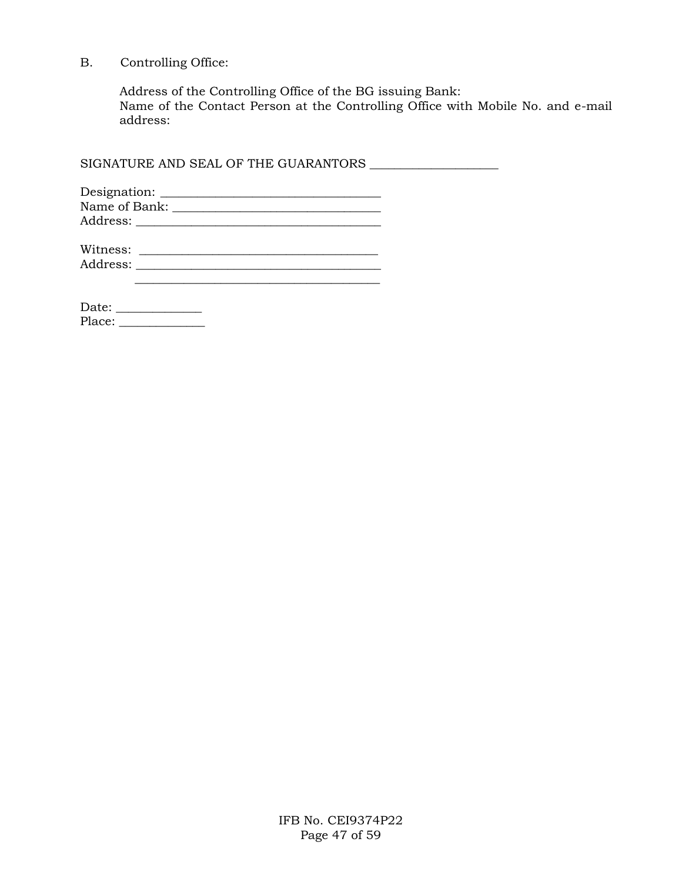B. Controlling Office:

Address of the Controlling Office of the BG issuing Bank: Name of the Contact Person at the Controlling Office with Mobile No. and e-mail address:

SIGNATURE AND SEAL OF THE GUARANTORS \_\_\_\_\_\_\_\_\_\_\_\_\_\_\_\_\_\_\_\_\_

| Designation:  |  |
|---------------|--|
| Name of Bank: |  |
| Address:      |  |

| Witness: |  |
|----------|--|
| Address: |  |
|          |  |

Date: \_\_\_\_\_\_\_\_\_\_\_\_\_\_ Place: \_\_\_\_\_\_\_\_\_\_\_\_\_\_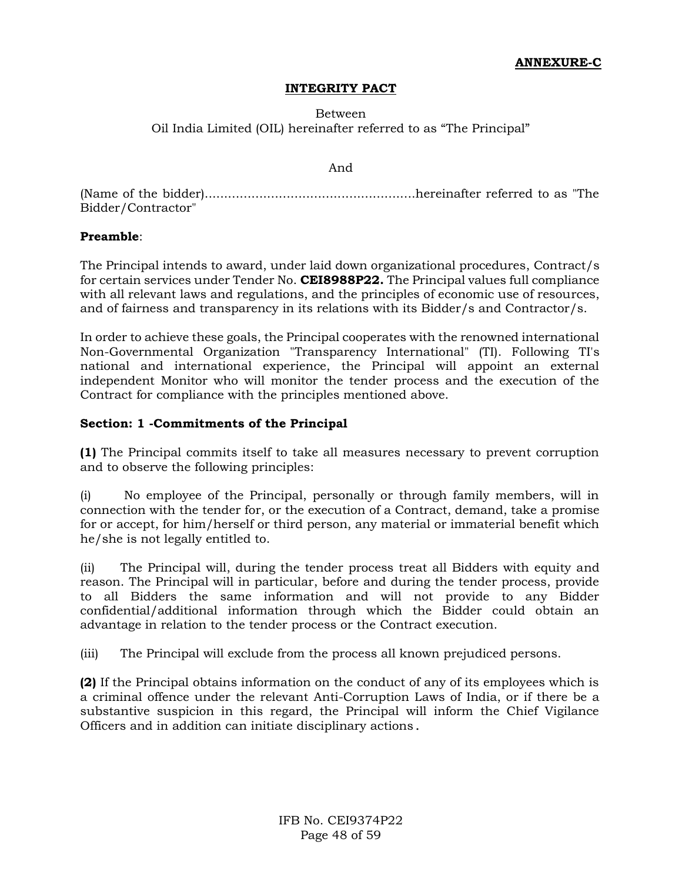#### **INTEGRITY PACT**

### Between Oil India Limited (OIL) hereinafter referred to as "The Principal"

#### And

(Name of the bidder)......................................................hereinafter referred to as "The Bidder/Contractor"

#### **Preamble**:

The Principal intends to award, under laid down organizational procedures, Contract/s for certain services under Tender No. **CEI8988P22.** The Principal values full compliance with all relevant laws and regulations, and the principles of economic use of resources, and of fairness and transparency in its relations with its Bidder/s and Contractor/s.

In order to achieve these goals, the Principal cooperates with the renowned international Non-Governmental Organization "Transparency International" (TI). Following TI's national and international experience, the Principal will appoint an external independent Monitor who will monitor the tender process and the execution of the Contract for compliance with the principles mentioned above.

### **Section: 1 -Commitments of the Principal**

**(1)** The Principal commits itself to take all measures necessary to prevent corruption and to observe the following principles:

(i) No employee of the Principal, personally or through family members, will in connection with the tender for, or the execution of a Contract, demand, take a promise for or accept, for him/herself or third person, any material or immaterial benefit which he/she is not legally entitled to.

(ii) The Principal will, during the tender process treat all Bidders with equity and reason. The Principal will in particular, before and during the tender process, provide to all Bidders the same information and will not provide to any Bidder confidential/additional information through which the Bidder could obtain an advantage in relation to the tender process or the Contract execution.

(iii) The Principal will exclude from the process all known prejudiced persons.

**(2)** If the Principal obtains information on the conduct of any of its employees which is a criminal offence under the relevant Anti-Corruption Laws of India, or if there be a substantive suspicion in this regard, the Principal will inform the Chief Vigilance Officers and in addition can initiate disciplinary actions.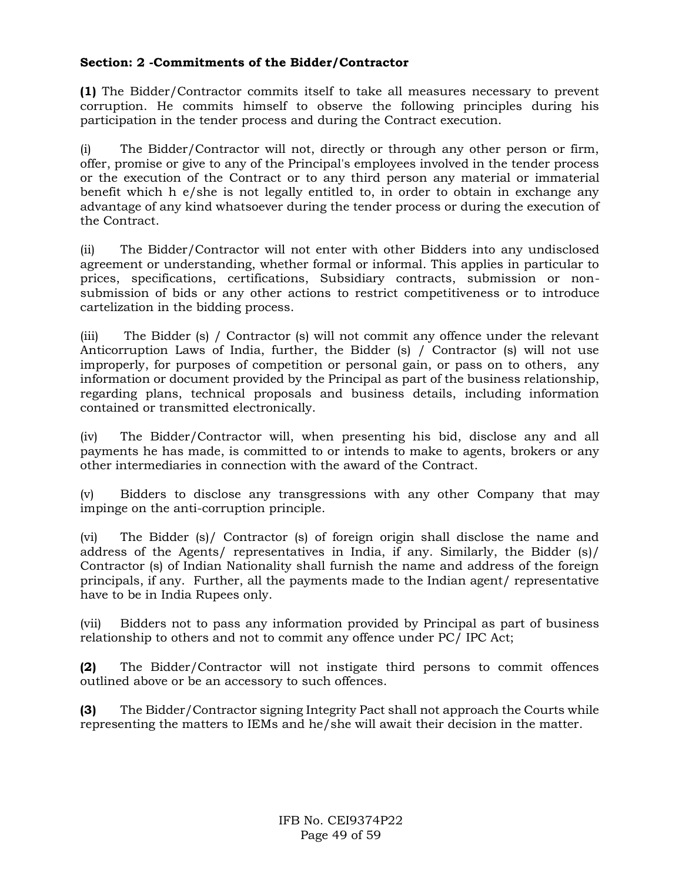## **Section: 2 -Commitments of the Bidder/Contractor**

**(1)** The Bidder/Contractor commits itself to take all measures necessary to prevent corruption. He commits himself to observe the following principles during his participation in the tender process and during the Contract execution.

(i) The Bidder/Contractor will not, directly or through any other person or firm, offer, promise or give to any of the Principal's employees involved in the tender process or the execution of the Contract or to any third person any material or immaterial benefit which h e/she is not legally entitled to, in order to obtain in exchange any advantage of any kind whatsoever during the tender process or during the execution of the Contract.

(ii) The Bidder/Contractor will not enter with other Bidders into any undisclosed agreement or understanding, whether formal or informal. This applies in particular to prices, specifications, certifications, Subsidiary contracts, submission or nonsubmission of bids or any other actions to restrict competitiveness or to introduce cartelization in the bidding process.

(iii) The Bidder (s) / Contractor (s) will not commit any offence under the relevant Anticorruption Laws of India, further, the Bidder (s) / Contractor (s) will not use improperly, for purposes of competition or personal gain, or pass on to others, any information or document provided by the Principal as part of the business relationship, regarding plans, technical proposals and business details, including information contained or transmitted electronically.

(iv) The Bidder/Contractor will, when presenting his bid, disclose any and all payments he has made, is committed to or intends to make to agents, brokers or any other intermediaries in connection with the award of the Contract.

(v) Bidders to disclose any transgressions with any other Company that may impinge on the anti-corruption principle.

(vi) The Bidder (s)/ Contractor (s) of foreign origin shall disclose the name and address of the Agents/ representatives in India, if any. Similarly, the Bidder (s)/ Contractor (s) of Indian Nationality shall furnish the name and address of the foreign principals, if any. Further, all the payments made to the Indian agent/ representative have to be in India Rupees only.

(vii) Bidders not to pass any information provided by Principal as part of business relationship to others and not to commit any offence under PC/ IPC Act;

**(2)** The Bidder/Contractor will not instigate third persons to commit offences outlined above or be an accessory to such offences.

**(3)** The Bidder/Contractor signing Integrity Pact shall not approach the Courts while representing the matters to IEMs and he/she will await their decision in the matter.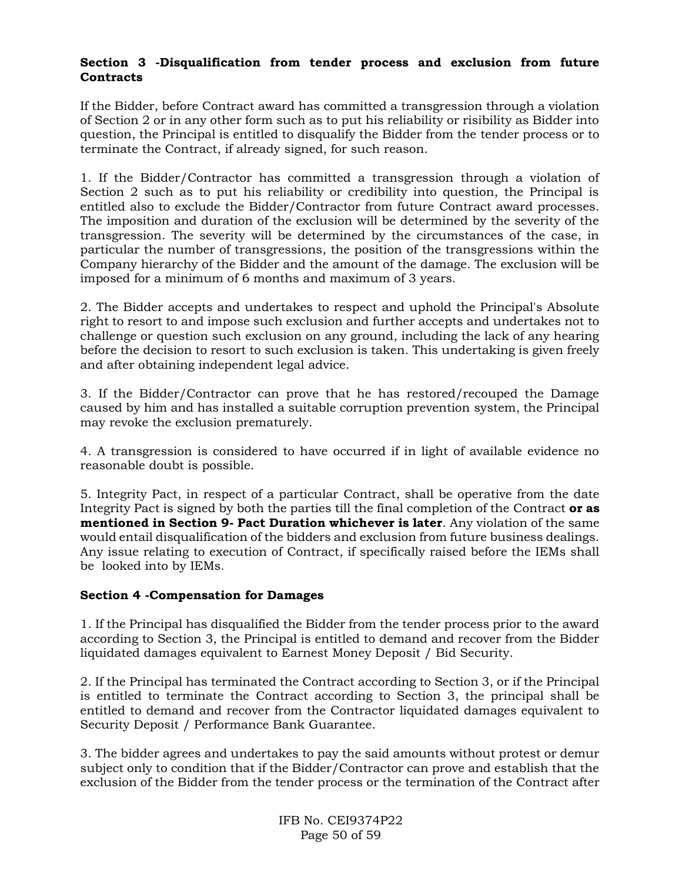## **Section 3 -Disqualification from tender process and exclusion from future Contracts**

If the Bidder, before Contract award has committed a transgression through a violation of Section 2 or in any other form such as to put his reliability or risibility as Bidder into question, the Principal is entitled to disqualify the Bidder from the tender process or to terminate the Contract, if already signed, for such reason.

1. If the Bidder/Contractor has committed a transgression through a violation of Section 2 such as to put his reliability or credibility into question, the Principal is entitled also to exclude the Bidder/Contractor from future Contract award processes. The imposition and duration of the exclusion will be determined by the severity of the transgression. The severity will be determined by the circumstances of the case, in particular the number of transgressions, the position of the transgressions within the Company hierarchy of the Bidder and the amount of the damage. The exclusion will be imposed for a minimum of 6 months and maximum of 3 years.

2. The Bidder accepts and undertakes to respect and uphold the Principal's Absolute right to resort to and impose such exclusion and further accepts and undertakes not to challenge or question such exclusion on any ground, including the lack of any hearing before the decision to resort to such exclusion is taken. This undertaking is given freely and after obtaining independent legal advice.

3. If the Bidder/Contractor can prove that he has restored/recouped the Damage caused by him and has installed a suitable corruption prevention system, the Principal may revoke the exclusion prematurely.

4. A transgression is considered to have occurred if in light of available evidence no reasonable doubt is possible.

5. Integrity Pact, in respect of a particular Contract, shall be operative from the date Integrity Pact is signed by both the parties till the final completion of the Contract **or as mentioned in Section 9- Pact Duration whichever is later**. Any violation of the same would entail disqualification of the bidders and exclusion from future business dealings. Any issue relating to execution of Contract, if specifically raised before the IEMs shall be looked into by IEMs.

### **Section 4 -Compensation for Damages**

1. If the Principal has disqualified the Bidder from the tender process prior to the award according to Section 3, the Principal is entitled to demand and recover from the Bidder liquidated damages equivalent to Earnest Money Deposit / Bid Security.

2. If the Principal has terminated the Contract according to Section 3, or if the Principal is entitled to terminate the Contract according to Section 3, the principal shall be entitled to demand and recover from the Contractor liquidated damages equivalent to Security Deposit / Performance Bank Guarantee.

3. The bidder agrees and undertakes to pay the said amounts without protest or demur subject only to condition that if the Bidder/Contractor can prove and establish that the exclusion of the Bidder from the tender process or the termination of the Contract after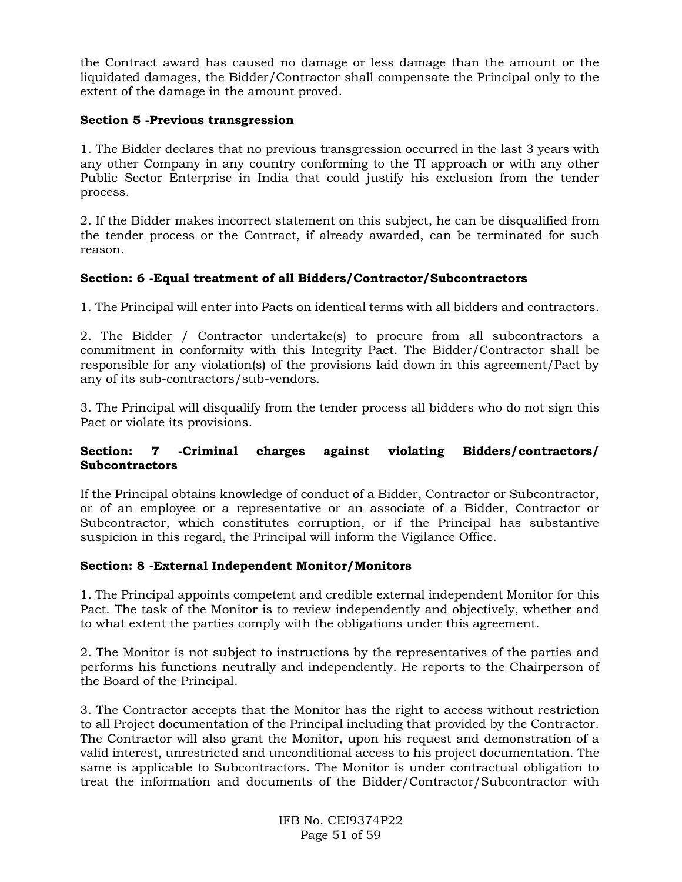the Contract award has caused no damage or less damage than the amount or the liquidated damages, the Bidder/Contractor shall compensate the Principal only to the extent of the damage in the amount proved.

### **Section 5 -Previous transgression**

1. The Bidder declares that no previous transgression occurred in the last 3 years with any other Company in any country conforming to the TI approach or with any other Public Sector Enterprise in India that could justify his exclusion from the tender process.

2. If the Bidder makes incorrect statement on this subject, he can be disqualified from the tender process or the Contract, if already awarded, can be terminated for such reason.

### **Section: 6 -Equal treatment of all Bidders/Contractor/Subcontractors**

1. The Principal will enter into Pacts on identical terms with all bidders and contractors.

2. The Bidder / Contractor undertake(s) to procure from all subcontractors a commitment in conformity with this Integrity Pact. The Bidder/Contractor shall be responsible for any violation(s) of the provisions laid down in this agreement/Pact by any of its sub-contractors/sub-vendors.

3. The Principal will disqualify from the tender process all bidders who do not sign this Pact or violate its provisions.

### **Section: 7 -Criminal charges against violating Bidders/contractors/ Subcontractors**

If the Principal obtains knowledge of conduct of a Bidder, Contractor or Subcontractor, or of an employee or a representative or an associate of a Bidder, Contractor or Subcontractor, which constitutes corruption, or if the Principal has substantive suspicion in this regard, the Principal will inform the Vigilance Office.

### **Section: 8 -External Independent Monitor/Monitors**

1. The Principal appoints competent and credible external independent Monitor for this Pact. The task of the Monitor is to review independently and objectively, whether and to what extent the parties comply with the obligations under this agreement.

2. The Monitor is not subject to instructions by the representatives of the parties and performs his functions neutrally and independently. He reports to the Chairperson of the Board of the Principal.

3. The Contractor accepts that the Monitor has the right to access without restriction to all Project documentation of the Principal including that provided by the Contractor. The Contractor will also grant the Monitor, upon his request and demonstration of a valid interest, unrestricted and unconditional access to his project documentation. The same is applicable to Subcontractors. The Monitor is under contractual obligation to treat the information and documents of the Bidder/Contractor/Subcontractor with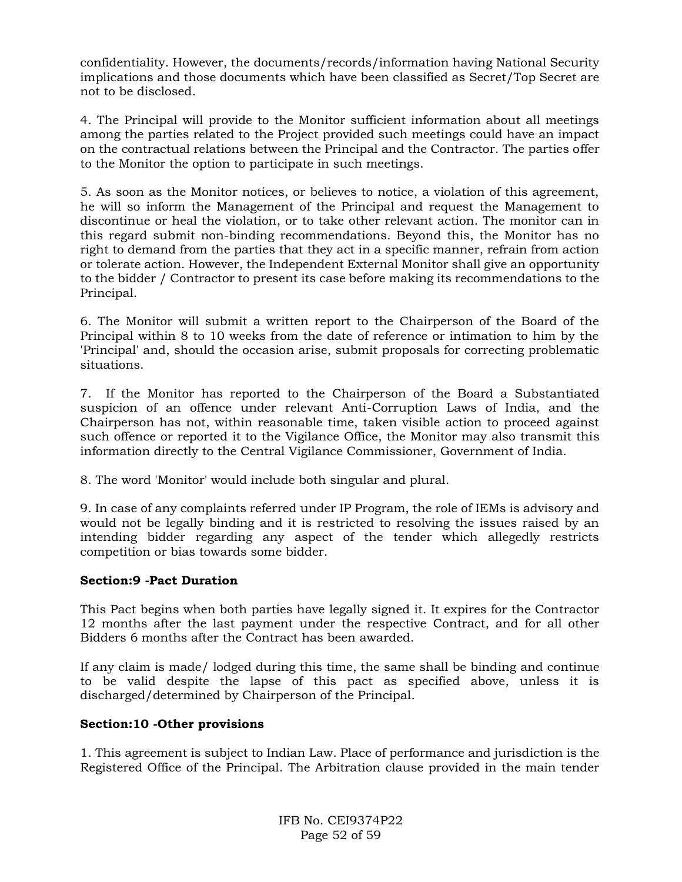confidentiality. However, the documents/records/information having National Security implications and those documents which have been classified as Secret/Top Secret are not to be disclosed.

4. The Principal will provide to the Monitor sufficient information about all meetings among the parties related to the Project provided such meetings could have an impact on the contractual relations between the Principal and the Contractor. The parties offer to the Monitor the option to participate in such meetings.

5. As soon as the Monitor notices, or believes to notice, a violation of this agreement, he will so inform the Management of the Principal and request the Management to discontinue or heal the violation, or to take other relevant action. The monitor can in this regard submit non-binding recommendations. Beyond this, the Monitor has no right to demand from the parties that they act in a specific manner, refrain from action or tolerate action. However, the Independent External Monitor shall give an opportunity to the bidder / Contractor to present its case before making its recommendations to the Principal.

6. The Monitor will submit a written report to the Chairperson of the Board of the Principal within 8 to 10 weeks from the date of reference or intimation to him by the 'Principal' and, should the occasion arise, submit proposals for correcting problematic situations.

7. If the Monitor has reported to the Chairperson of the Board a Substantiated suspicion of an offence under relevant Anti-Corruption Laws of India, and the Chairperson has not, within reasonable time, taken visible action to proceed against such offence or reported it to the Vigilance Office, the Monitor may also transmit this information directly to the Central Vigilance Commissioner, Government of India.

8. The word 'Monitor' would include both singular and plural.

9. In case of any complaints referred under IP Program, the role of IEMs is advisory and would not be legally binding and it is restricted to resolving the issues raised by an intending bidder regarding any aspect of the tender which allegedly restricts competition or bias towards some bidder.

### **Section:9 -Pact Duration**

This Pact begins when both parties have legally signed it. It expires for the Contractor 12 months after the last payment under the respective Contract, and for all other Bidders 6 months after the Contract has been awarded.

If any claim is made/ lodged during this time, the same shall be binding and continue to be valid despite the lapse of this pact as specified above, unless it is discharged/determined by Chairperson of the Principal.

### **Section:10 -Other provisions**

1. This agreement is subject to Indian Law. Place of performance and jurisdiction is the Registered Office of the Principal. The Arbitration clause provided in the main tender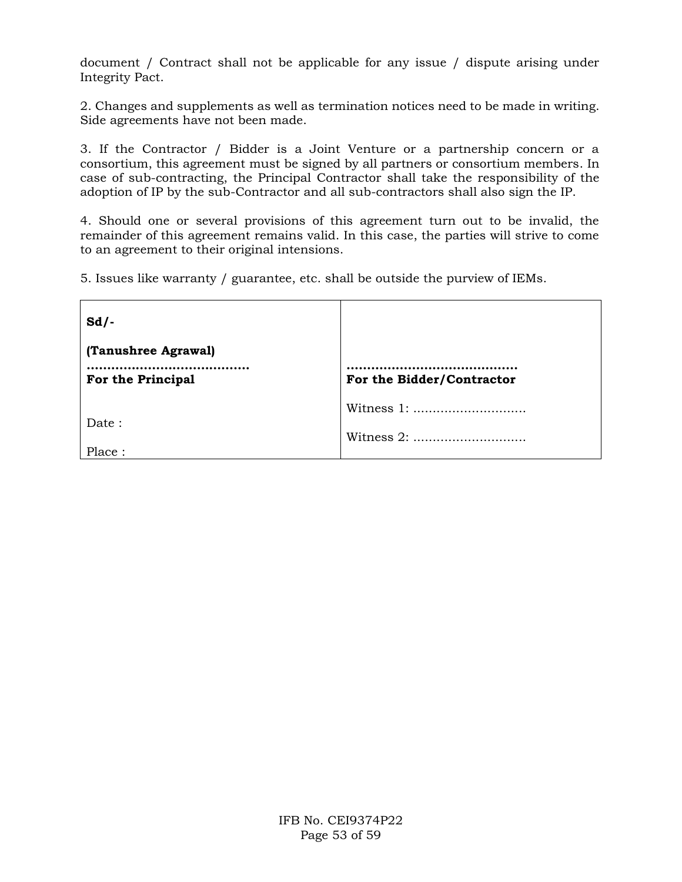document / Contract shall not be applicable for any issue / dispute arising under Integrity Pact.

2. Changes and supplements as well as termination notices need to be made in writing. Side agreements have not been made.

3. If the Contractor / Bidder is a Joint Venture or a partnership concern or a consortium, this agreement must be signed by all partners or consortium members. In case of sub-contracting, the Principal Contractor shall take the responsibility of the adoption of IP by the sub-Contractor and all sub-contractors shall also sign the IP.

4. Should one or several provisions of this agreement turn out to be invalid, the remainder of this agreement remains valid. In this case, the parties will strive to come to an agreement to their original intensions.

5. Issues like warranty / guarantee, etc. shall be outside the purview of IEMs.

| $Sd$ .                                   |                           |
|------------------------------------------|---------------------------|
| (Tanushree Agrawal)<br>For the Principal | For the Bidder/Contractor |
| Date:<br>Place:                          | Witness 1:<br>Witness 2:  |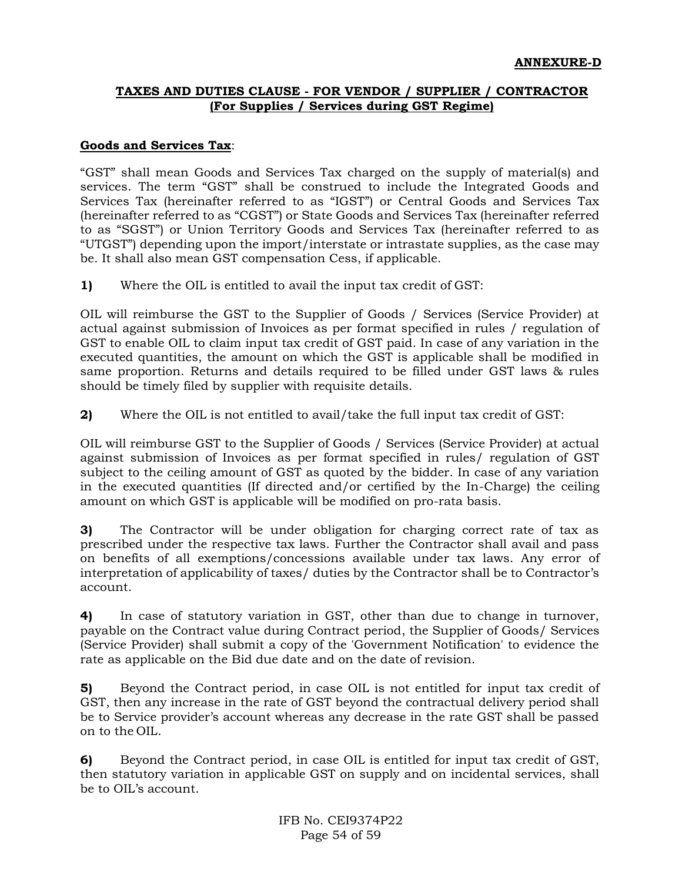## **TAXES AND DUTIES CLAUSE - FOR VENDOR / SUPPLIER / CONTRACTOR (For Supplies / Services during GST Regime)**

#### **Goods and Services Tax**:

"GST" shall mean Goods and Services Tax charged on the supply of material(s) and services. The term "GST" shall be construed to include the Integrated Goods and Services Tax (hereinafter referred to as "IGST") or Central Goods and Services Tax (hereinafter referred to as "CGST") or State Goods and Services Tax (hereinafter referred to as "SGST") or Union Territory Goods and Services Tax (hereinafter referred to as "UTGST") depending upon the import/interstate or intrastate supplies, as the case may be. It shall also mean GST compensation Cess, if applicable.

**1)** Where the OIL is entitled to avail the input tax credit of GST:

OIL will reimburse the GST to the Supplier of Goods / Services (Service Provider) at actual against submission of Invoices as per format specified in rules / regulation of GST to enable OIL to claim input tax credit of GST paid. In case of any variation in the executed quantities, the amount on which the GST is applicable shall be modified in same proportion. Returns and details required to be filled under GST laws & rules should be timely filed by supplier with requisite details.

**2)** Where the OIL is not entitled to avail/take the full input tax credit of GST:

OIL will reimburse GST to the Supplier of Goods / Services (Service Provider) at actual against submission of Invoices as per format specified in rules/ regulation of GST subject to the ceiling amount of GST as quoted by the bidder. In case of any variation in the executed quantities (If directed and/or certified by the In-Charge) the ceiling amount on which GST is applicable will be modified on pro-rata basis.

**3)** The Contractor will be under obligation for charging correct rate of tax as prescribed under the respective tax laws. Further the Contractor shall avail and pass on benefits of all exemptions/concessions available under tax laws. Any error of interpretation of applicability of taxes/ duties by the Contractor shall be to Contractor's account.

**4)** In case of statutory variation in GST, other than due to change in turnover, payable on the Contract value during Contract period, the Supplier of Goods/ Services (Service Provider) shall submit a copy of the 'Government Notification' to evidence the rate as applicable on the Bid due date and on the date of revision.

**5)** Beyond the Contract period, in case OIL is not entitled for input tax credit of GST, then any increase in the rate of GST beyond the contractual delivery period shall be to Service provider's account whereas any decrease in the rate GST shall be passed on to the OIL.

**6)** Beyond the Contract period, in case OIL is entitled for input tax credit of GST, then statutory variation in applicable GST on supply and on incidental services, shall be to OIL's account.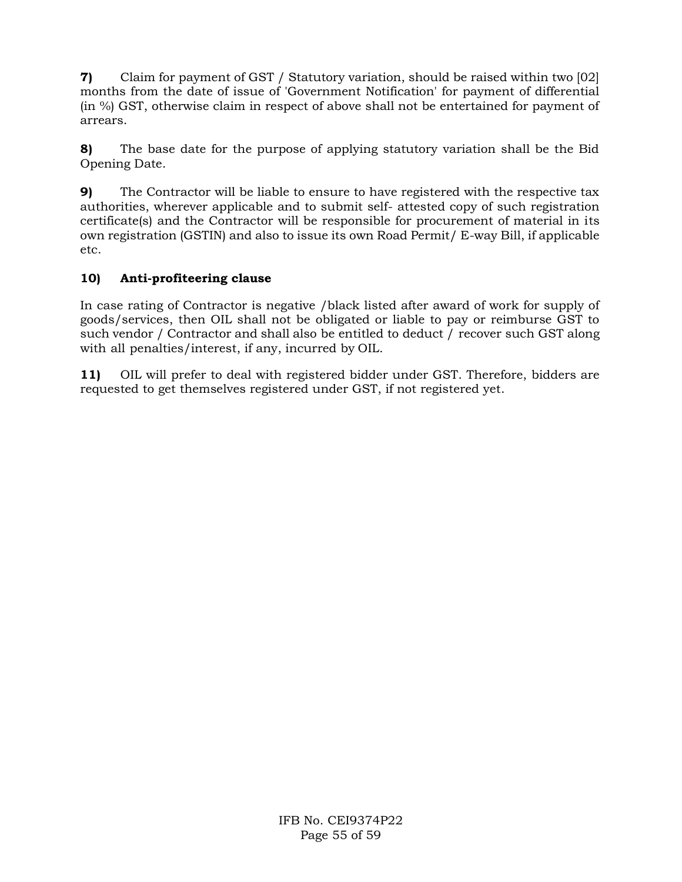**7)** Claim for payment of GST / Statutory variation, should be raised within two [02] months from the date of issue of 'Government Notification' for payment of differential (in %) GST, otherwise claim in respect of above shall not be entertained for payment of arrears.

**8)** The base date for the purpose of applying statutory variation shall be the Bid Opening Date.

**9)** The Contractor will be liable to ensure to have registered with the respective tax authorities, wherever applicable and to submit self- attested copy of such registration certificate(s) and the Contractor will be responsible for procurement of material in its own registration (GSTIN) and also to issue its own Road Permit/ E-way Bill, if applicable etc.

## **10) Anti-profiteering clause**

In case rating of Contractor is negative /black listed after award of work for supply of goods/services, then OIL shall not be obligated or liable to pay or reimburse GST to such vendor / Contractor and shall also be entitled to deduct / recover such GST along with all penalties/interest, if any, incurred by OIL.

**11)** OIL will prefer to deal with registered bidder under GST. Therefore, bidders are requested to get themselves registered under GST, if not registered yet.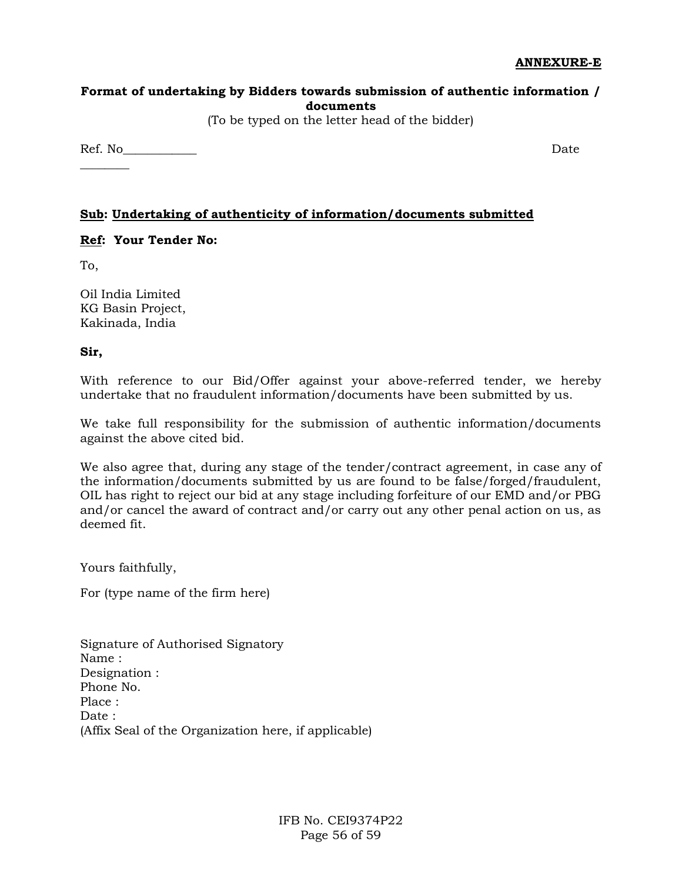## **Format of undertaking by Bidders towards submission of authentic information / documents**

(To be typed on the letter head of the bidder)

Ref. No Date

## **Sub: Undertaking of authenticity of information/documents submitted**

### **Ref: Your Tender No:**

To,

 $\overline{\phantom{a}}$ 

Oil India Limited KG Basin Project, Kakinada, India

**Sir,**

With reference to our Bid/Offer against your above-referred tender, we hereby undertake that no fraudulent information/documents have been submitted by us.

We take full responsibility for the submission of authentic information/documents against the above cited bid.

We also agree that, during any stage of the tender/contract agreement, in case any of the information/documents submitted by us are found to be false/forged/fraudulent, OIL has right to reject our bid at any stage including forfeiture of our EMD and/or PBG and/or cancel the award of contract and/or carry out any other penal action on us, as deemed fit.

Yours faithfully,

For (type name of the firm here)

| Signature of Authorised Signatory                    |
|------------------------------------------------------|
| Name :                                               |
| Designation :                                        |
| Phone No.                                            |
| Place :                                              |
| Date :                                               |
| (Affix Seal of the Organization here, if applicable) |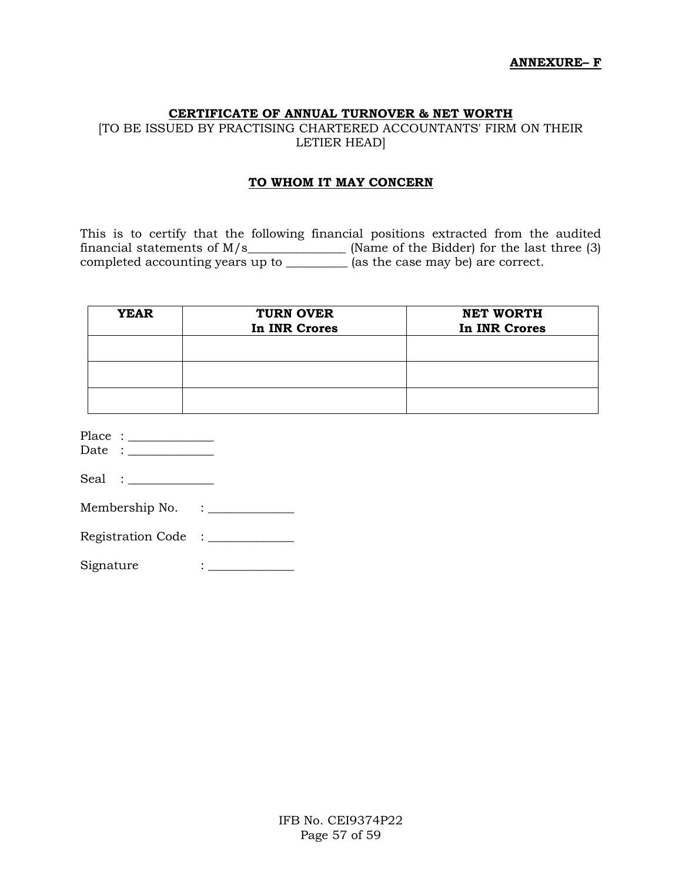#### **CERTIFICATE OF ANNUAL TURNOVER & NET WORTH**

[TO BE ISSUED BY PRACTISING CHARTERED ACCOUNTANTS' FIRM ON THEIR LETIER HEAD]

#### **TO WHOM IT MAY CONCERN**

This is to certify that the following financial positions extracted from the audited financial statements of  $M/s$  [Name of the Bidder) for the last three (3) completed accounting years up to \_\_\_\_\_\_\_\_\_\_ (as the case may be) are correct.

| <b>YEAR</b> | <b>TURN OVER</b><br>In INR Crores | <b>NET WORTH</b><br>In INR Crores |
|-------------|-----------------------------------|-----------------------------------|
|             |                                   |                                   |
|             |                                   |                                   |
|             |                                   |                                   |

| Place |  |
|-------|--|
|       |  |

Date : \_\_\_\_\_\_\_\_\_\_\_\_\_\_

| зеят |  |
|------|--|
| v.   |  |

| Membership No. |  |
|----------------|--|
|----------------|--|

Registration Code : \_\_\_\_\_\_\_\_\_\_\_\_\_

Signature : \_\_\_\_\_\_\_\_\_\_\_\_\_\_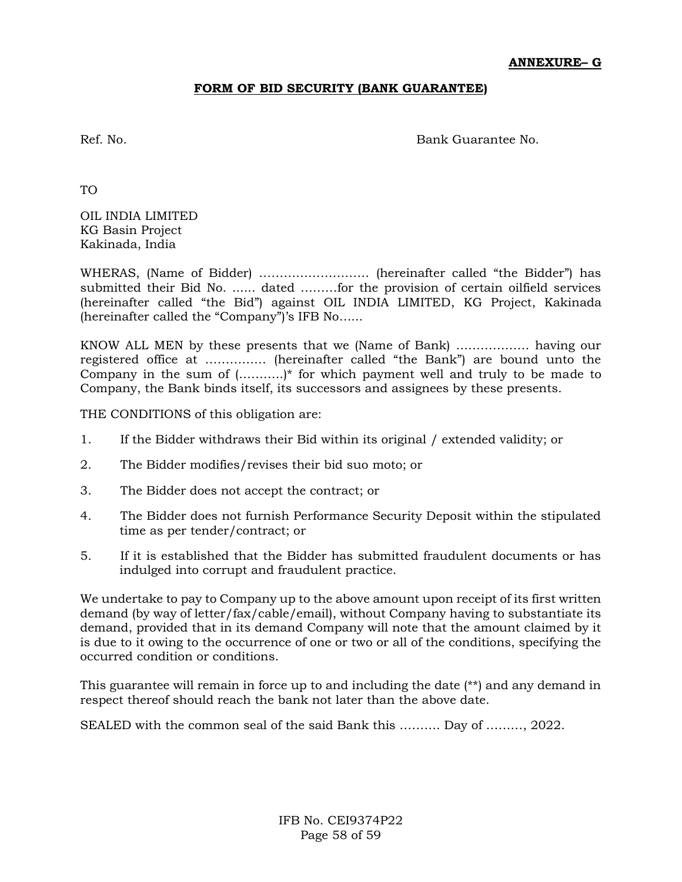### **FORM OF BID SECURITY (BANK GUARANTEE)**

Ref. No. Bank Guarantee No.

TO

OIL INDIA LIMITED KG Basin Project Kakinada, India

WHERAS, (Name of Bidder) ……………………… (hereinafter called "the Bidder") has submitted their Bid No. ...... dated ………for the provision of certain oilfield services (hereinafter called "the Bid") against OIL INDIA LIMITED, KG Project, Kakinada (hereinafter called the "Company")'s IFB No…...

KNOW ALL MEN by these presents that we (Name of Bank) ……………… having our registered office at …………… (hereinafter called "the Bank") are bound unto the Company in the sum of  $($ ...........)<sup>\*</sup> for which payment well and truly to be made to Company, the Bank binds itself, its successors and assignees by these presents.

THE CONDITIONS of this obligation are:

- 1. If the Bidder withdraws their Bid within its original / extended validity; or
- 2. The Bidder modifies/revises their bid suo moto; or
- 3. The Bidder does not accept the contract; or
- 4. The Bidder does not furnish Performance Security Deposit within the stipulated time as per tender/contract; or
- 5. If it is established that the Bidder has submitted fraudulent documents or has indulged into corrupt and fraudulent practice.

We undertake to pay to Company up to the above amount upon receipt of its first written demand (by way of letter/fax/cable/email), without Company having to substantiate its demand, provided that in its demand Company will note that the amount claimed by it is due to it owing to the occurrence of one or two or all of the conditions, specifying the occurred condition or conditions.

This guarantee will remain in force up to and including the date (\*\*) and any demand in respect thereof should reach the bank not later than the above date.

SEALED with the common seal of the said Bank this ………. Day of ………, 2022.